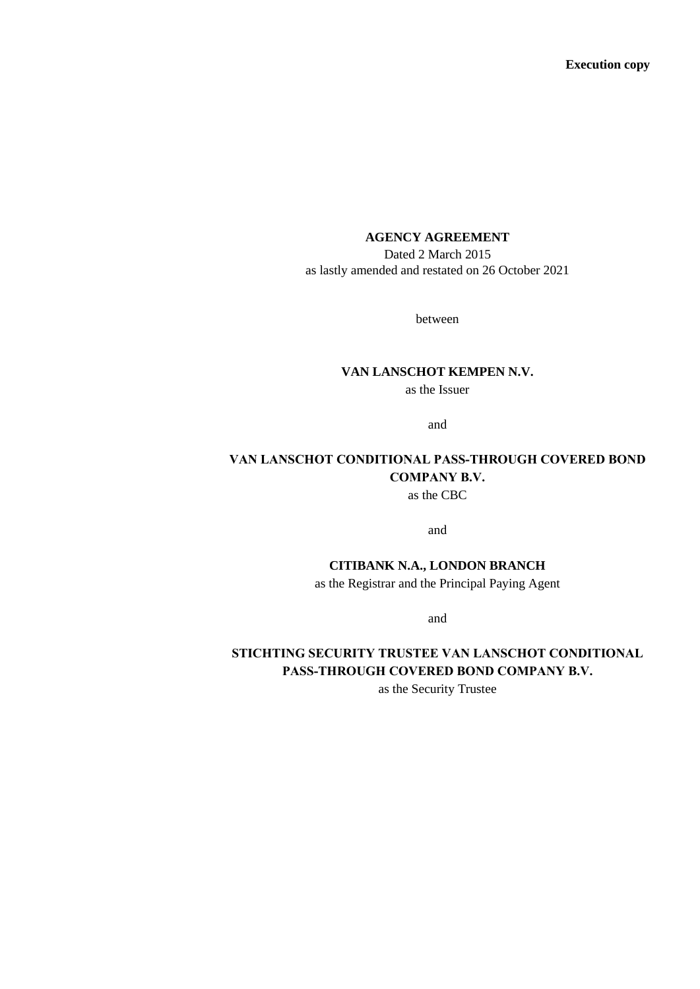**Execution copy**

#### **AGENCY AGREEMENT**

Dated 2 March 2015 as lastly amended and restated on 26 October 2021

between

#### **VAN LANSCHOT KEMPEN N.V.**

as the Issuer

and

# **VAN LANSCHOT CONDITIONAL PASS-THROUGH COVERED BOND COMPANY B.V.**

as the CBC

and

**CITIBANK N.A., LONDON BRANCH** as the Registrar and the Principal Paying Agent

and

# **STICHTING SECURITY TRUSTEE VAN LANSCHOT CONDITIONAL PASS-THROUGH COVERED BOND COMPANY B.V.**

as the Security Trustee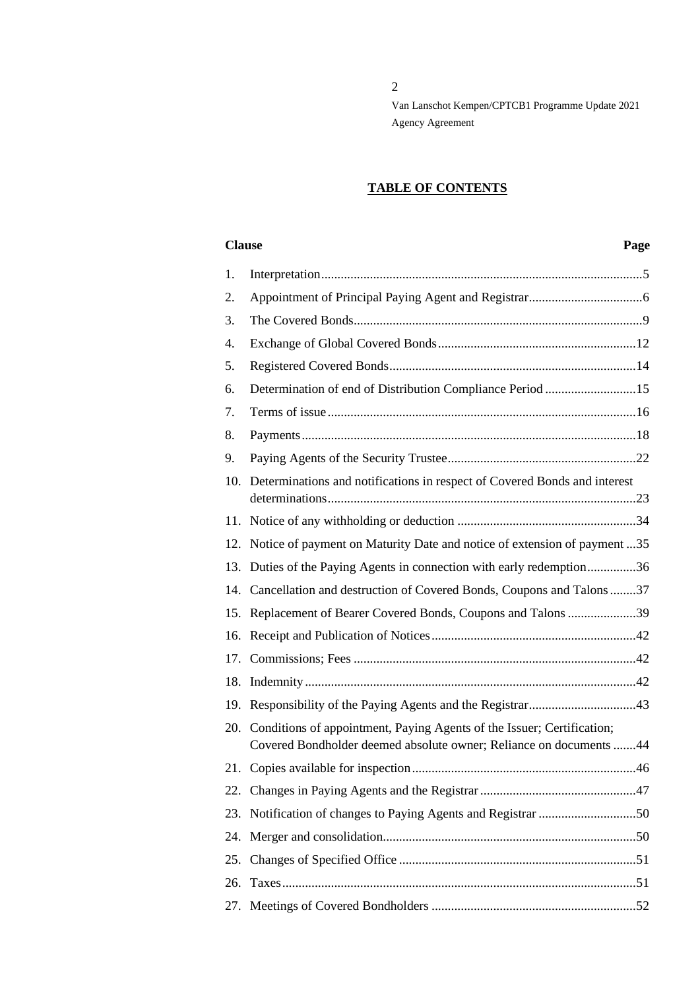2

Van Lanschot Kempen/CPTCB1 Programme Update 2021 Agency Agreement

# **TABLE OF CONTENTS**

#### **Clause Page**

| 1.  |                                                                                                                                              |  |
|-----|----------------------------------------------------------------------------------------------------------------------------------------------|--|
| 2.  |                                                                                                                                              |  |
| 3.  |                                                                                                                                              |  |
| 4.  |                                                                                                                                              |  |
| 5.  |                                                                                                                                              |  |
| 6.  | Determination of end of Distribution Compliance Period 15                                                                                    |  |
| 7.  |                                                                                                                                              |  |
| 8.  |                                                                                                                                              |  |
| 9.  |                                                                                                                                              |  |
| 10. | Determinations and notifications in respect of Covered Bonds and interest                                                                    |  |
| 11. |                                                                                                                                              |  |
| 12. | Notice of payment on Maturity Date and notice of extension of payment 35                                                                     |  |
| 13. | Duties of the Paying Agents in connection with early redemption36                                                                            |  |
| 14. | Cancellation and destruction of Covered Bonds, Coupons and Talons37                                                                          |  |
| 15. | Replacement of Bearer Covered Bonds, Coupons and Talons 39                                                                                   |  |
| 16. |                                                                                                                                              |  |
| 17. |                                                                                                                                              |  |
| 18. |                                                                                                                                              |  |
| 19. |                                                                                                                                              |  |
| 20. | Conditions of appointment, Paying Agents of the Issuer; Certification;<br>Covered Bondholder deemed absolute owner; Reliance on documents 44 |  |
| 21. |                                                                                                                                              |  |
|     |                                                                                                                                              |  |
| 23. |                                                                                                                                              |  |
| 24. |                                                                                                                                              |  |
| 25. |                                                                                                                                              |  |
| 26. |                                                                                                                                              |  |
| 27. |                                                                                                                                              |  |
|     |                                                                                                                                              |  |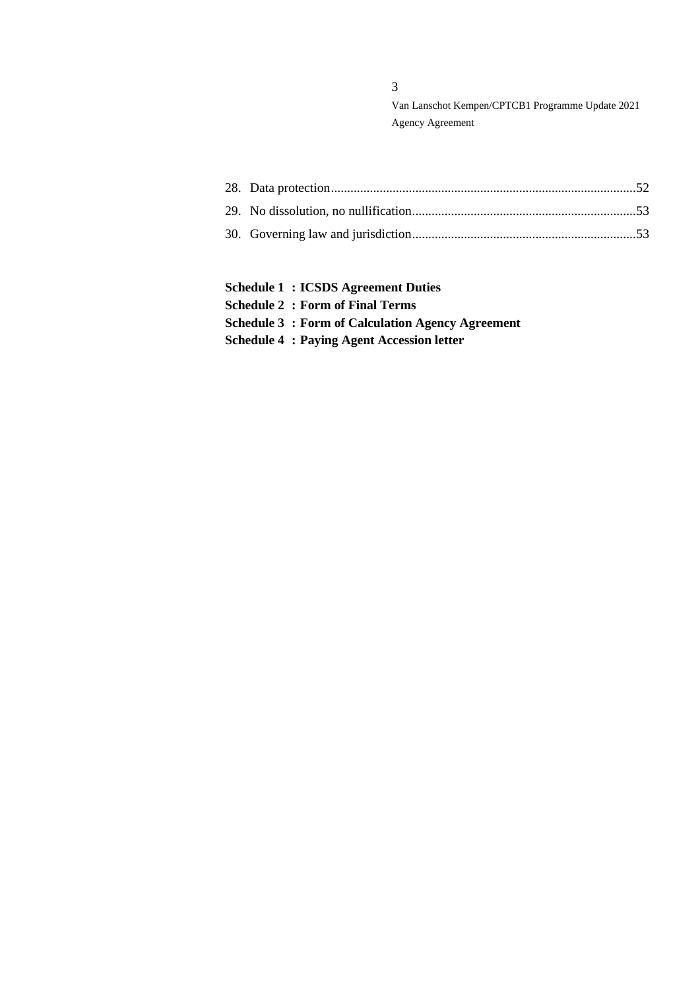- **Schedule 1 : ICSDS Agreement Duties**
- **Schedule 2 : Form of Final Terms**
- **Schedule 3 : Form of Calculation Agency Agreement**
- **Schedule 4 : Paying Agent Accession letter**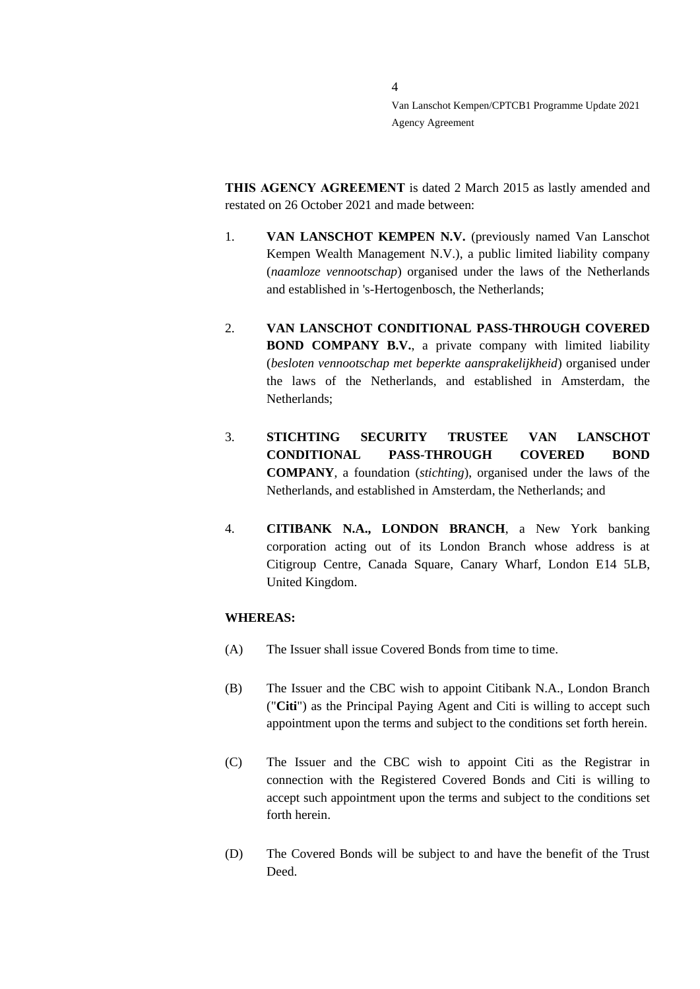**THIS AGENCY AGREEMENT** is dated 2 March 2015 as lastly amended and restated on 26 October 2021 and made between:

4

- 1. **VAN LANSCHOT KEMPEN N.V.** (previously named Van Lanschot Kempen Wealth Management N.V.), a public limited liability company (*naamloze vennootschap*) organised under the laws of the Netherlands and established in 's-Hertogenbosch, the Netherlands;
- 2. **VAN LANSCHOT CONDITIONAL PASS-THROUGH COVERED BOND COMPANY B.V.**, a private company with limited liability (*besloten vennootschap met beperkte aansprakelijkheid*) organised under the laws of the Netherlands, and established in Amsterdam, the Netherlands;
- 3. **STICHTING SECURITY TRUSTEE VAN LANSCHOT CONDITIONAL PASS-THROUGH COVERED BOND COMPANY**, a foundation (*stichting*), organised under the laws of the Netherlands, and established in Amsterdam, the Netherlands; and
- 4. **CITIBANK N.A., LONDON BRANCH**, a New York banking corporation acting out of its London Branch whose address is at Citigroup Centre, Canada Square, Canary Wharf, London E14 5LB, United Kingdom.

# **WHEREAS:**

- (A) The Issuer shall issue Covered Bonds from time to time.
- (B) The Issuer and the CBC wish to appoint Citibank N.A., London Branch ("**Citi**") as the Principal Paying Agent and Citi is willing to accept such appointment upon the terms and subject to the conditions set forth herein.
- (C) The Issuer and the CBC wish to appoint Citi as the Registrar in connection with the Registered Covered Bonds and Citi is willing to accept such appointment upon the terms and subject to the conditions set forth herein.
- (D) The Covered Bonds will be subject to and have the benefit of the Trust Deed.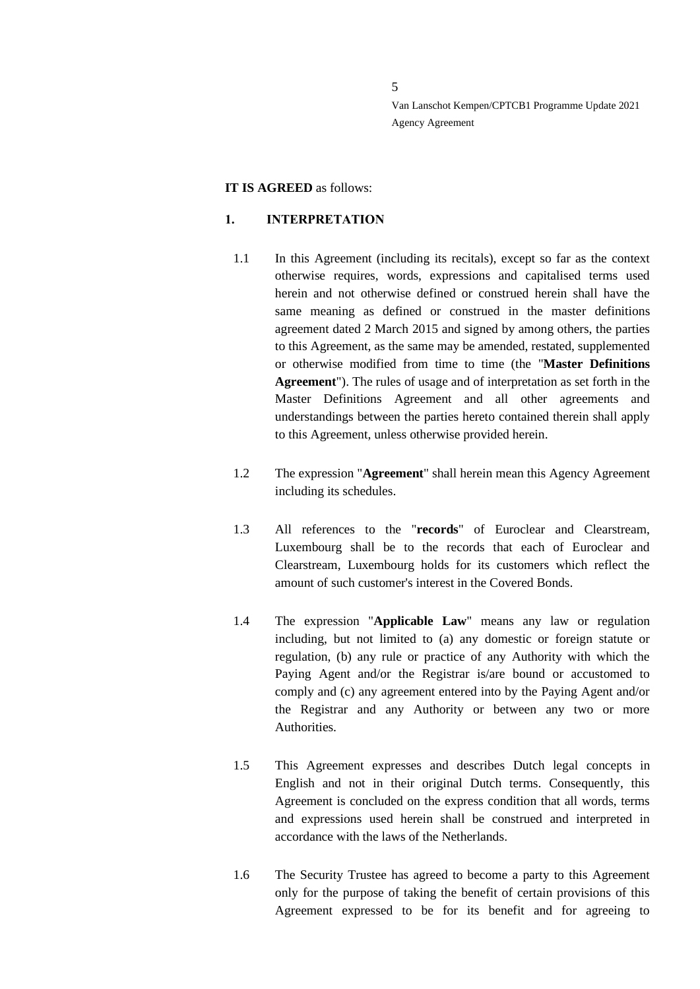#### **IT IS AGREED** as follows:

#### <span id="page-4-0"></span>**1. INTERPRETATION**

- 1.1 In this Agreement (including its recitals), except so far as the context otherwise requires, words, expressions and capitalised terms used herein and not otherwise defined or construed herein shall have the same meaning as defined or construed in the master definitions agreement dated 2 March 2015 and signed by among others, the parties to this Agreement, as the same may be amended, restated, supplemented or otherwise modified from time to time (the "**Master Definitions Agreement**"). The rules of usage and of interpretation as set forth in the Master Definitions Agreement and all other agreements and understandings between the parties hereto contained therein shall apply to this Agreement, unless otherwise provided herein.
- 1.2 The expression "**Agreement**" shall herein mean this Agency Agreement including its schedules.
- 1.3 All references to the "**records**" of Euroclear and Clearstream, Luxembourg shall be to the records that each of Euroclear and Clearstream, Luxembourg holds for its customers which reflect the amount of such customer's interest in the Covered Bonds.
- 1.4 The expression "**Applicable Law**" means any law or regulation including, but not limited to (a) any domestic or foreign statute or regulation, (b) any rule or practice of any Authority with which the Paying Agent and/or the Registrar is/are bound or accustomed to comply and (c) any agreement entered into by the Paying Agent and/or the Registrar and any Authority or between any two or more Authorities.
- 1.5 This Agreement expresses and describes Dutch legal concepts in English and not in their original Dutch terms. Consequently, this Agreement is concluded on the express condition that all words, terms and expressions used herein shall be construed and interpreted in accordance with the laws of the Netherlands.
- 1.6 The Security Trustee has agreed to become a party to this Agreement only for the purpose of taking the benefit of certain provisions of this Agreement expressed to be for its benefit and for agreeing to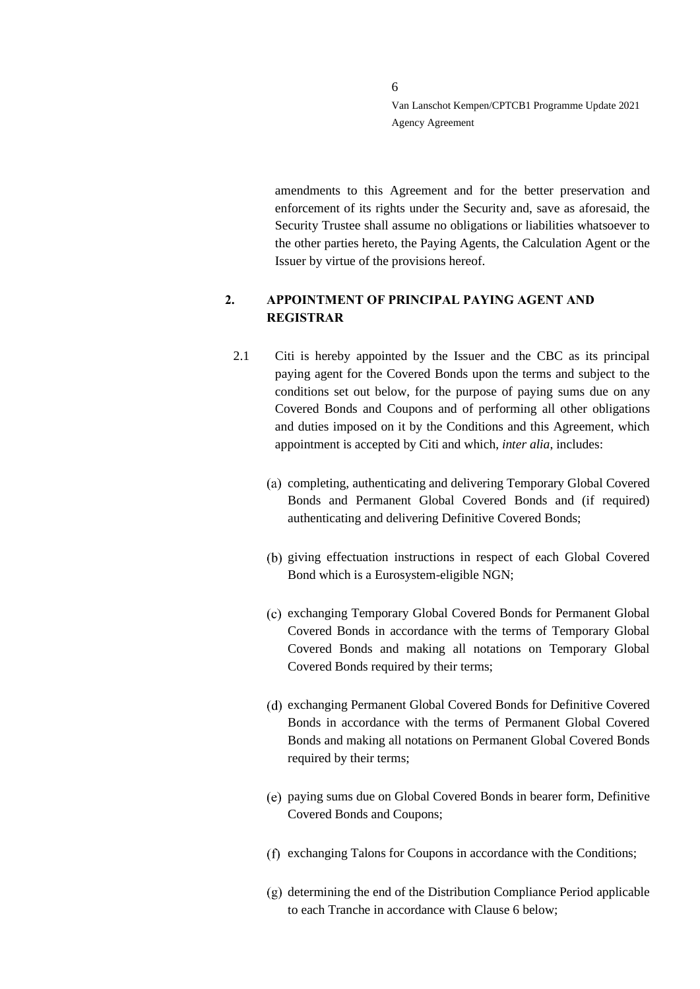amendments to this Agreement and for the better preservation and enforcement of its rights under the Security and, save as aforesaid, the Security Trustee shall assume no obligations or liabilities whatsoever to the other parties hereto, the Paying Agents, the Calculation Agent or the Issuer by virtue of the provisions hereof.

# <span id="page-5-0"></span>**2. APPOINTMENT OF PRINCIPAL PAYING AGENT AND REGISTRAR**

- 2.1 Citi is hereby appointed by the Issuer and the CBC as its principal paying agent for the Covered Bonds upon the terms and subject to the conditions set out below, for the purpose of paying sums due on any Covered Bonds and Coupons and of performing all other obligations and duties imposed on it by the Conditions and this Agreement, which appointment is accepted by Citi and which, *inter alia*, includes:
	- (a) completing, authenticating and delivering Temporary Global Covered Bonds and Permanent Global Covered Bonds and (if required) authenticating and delivering Definitive Covered Bonds;
	- (b) giving effectuation instructions in respect of each Global Covered Bond which is a Eurosystem-eligible NGN;
	- exchanging Temporary Global Covered Bonds for Permanent Global Covered Bonds in accordance with the terms of Temporary Global Covered Bonds and making all notations on Temporary Global Covered Bonds required by their terms;
	- (d) exchanging Permanent Global Covered Bonds for Definitive Covered Bonds in accordance with the terms of Permanent Global Covered Bonds and making all notations on Permanent Global Covered Bonds required by their terms;
	- paying sums due on Global Covered Bonds in bearer form, Definitive Covered Bonds and Coupons;
	- (f) exchanging Talons for Coupons in accordance with the Conditions;
	- $(g)$  determining the end of the Distribution Compliance Period applicable to each Tranche in accordance with Clause 6 below;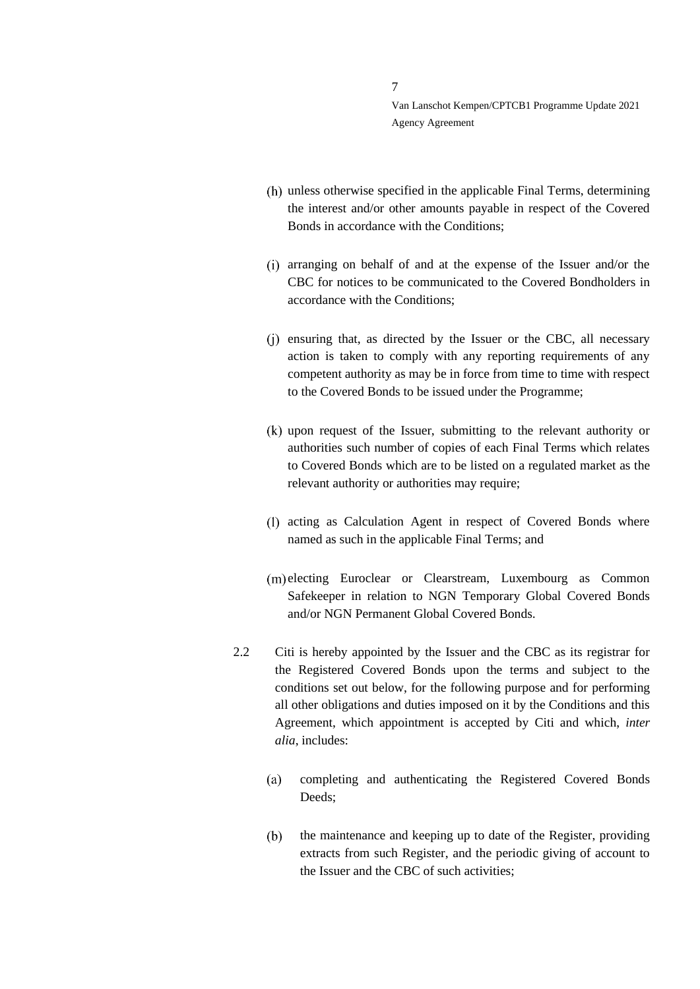- unless otherwise specified in the applicable Final Terms, determining the interest and/or other amounts payable in respect of the Covered Bonds in accordance with the Conditions;
- arranging on behalf of and at the expense of the Issuer and/or the CBC for notices to be communicated to the Covered Bondholders in accordance with the Conditions;
- (i) ensuring that, as directed by the Issuer or the CBC, all necessary action is taken to comply with any reporting requirements of any competent authority as may be in force from time to time with respect to the Covered Bonds to be issued under the Programme;
- upon request of the Issuer, submitting to the relevant authority or authorities such number of copies of each Final Terms which relates to Covered Bonds which are to be listed on a regulated market as the relevant authority or authorities may require;
- (1) acting as Calculation Agent in respect of Covered Bonds where named as such in the applicable Final Terms; and
- (m) electing Euroclear or Clearstream, Luxembourg as Common Safekeeper in relation to NGN Temporary Global Covered Bonds and/or NGN Permanent Global Covered Bonds.
- 2.2 Citi is hereby appointed by the Issuer and the CBC as its registrar for the Registered Covered Bonds upon the terms and subject to the conditions set out below, for the following purpose and for performing all other obligations and duties imposed on it by the Conditions and this Agreement, which appointment is accepted by Citi and which, *inter alia*, includes:
	- $(a)$ completing and authenticating the Registered Covered Bonds Deeds;
	- $(b)$ the maintenance and keeping up to date of the Register, providing extracts from such Register, and the periodic giving of account to the Issuer and the CBC of such activities;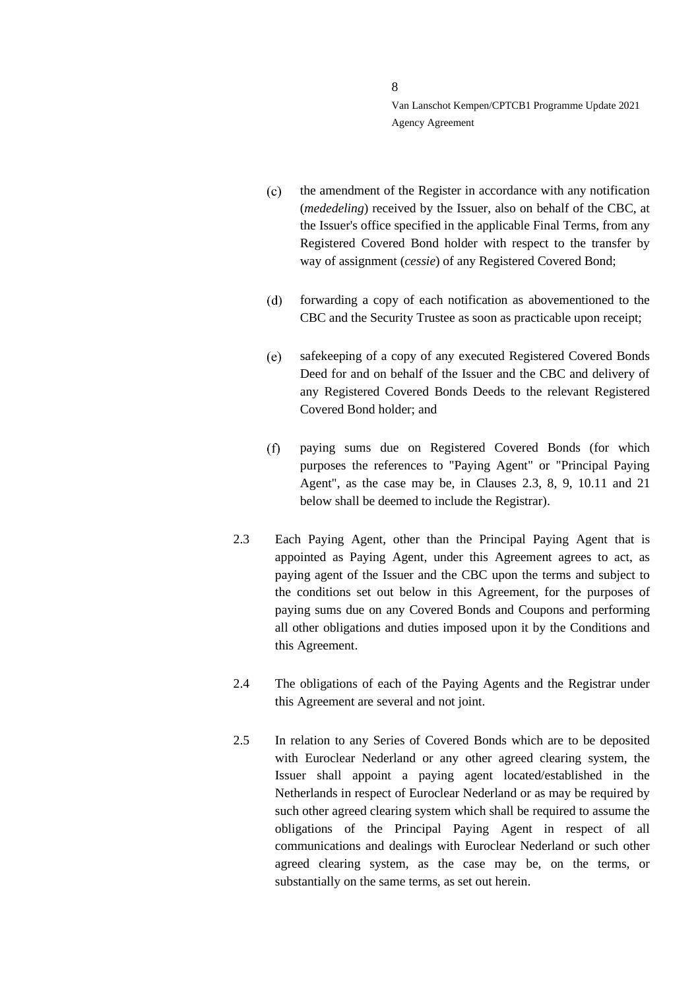- $(c)$ the amendment of the Register in accordance with any notification (*mededeling*) received by the Issuer, also on behalf of the CBC, at the Issuer's office specified in the applicable Final Terms, from any Registered Covered Bond holder with respect to the transfer by way of assignment (*cessie*) of any Registered Covered Bond;
- forwarding a copy of each notification as abovementioned to the  $(d)$ CBC and the Security Trustee as soon as practicable upon receipt;
- $(e)$ safekeeping of a copy of any executed Registered Covered Bonds Deed for and on behalf of the Issuer and the CBC and delivery of any Registered Covered Bonds Deeds to the relevant Registered Covered Bond holder; and
- paying sums due on Registered Covered Bonds (for which  $(f)$ purposes the references to "Paying Agent" or "Principal Paying Agent", as the case may be, in Clauses [2.3,](#page-7-0) [8,](#page-17-0) [9,](#page-21-0) [10.11](#page-26-0) and [21](#page-45-0) below shall be deemed to include the Registrar).
- <span id="page-7-0"></span>2.3 Each Paying Agent, other than the Principal Paying Agent that is appointed as Paying Agent, under this Agreement agrees to act, as paying agent of the Issuer and the CBC upon the terms and subject to the conditions set out below in this Agreement, for the purposes of paying sums due on any Covered Bonds and Coupons and performing all other obligations and duties imposed upon it by the Conditions and this Agreement.
- 2.4 The obligations of each of the Paying Agents and the Registrar under this Agreement are several and not joint.
- <span id="page-7-1"></span>2.5 In relation to any Series of Covered Bonds which are to be deposited with Euroclear Nederland or any other agreed clearing system, the Issuer shall appoint a paying agent located/established in the Netherlands in respect of Euroclear Nederland or as may be required by such other agreed clearing system which shall be required to assume the obligations of the Principal Paying Agent in respect of all communications and dealings with Euroclear Nederland or such other agreed clearing system, as the case may be, on the terms, or substantially on the same terms, as set out herein.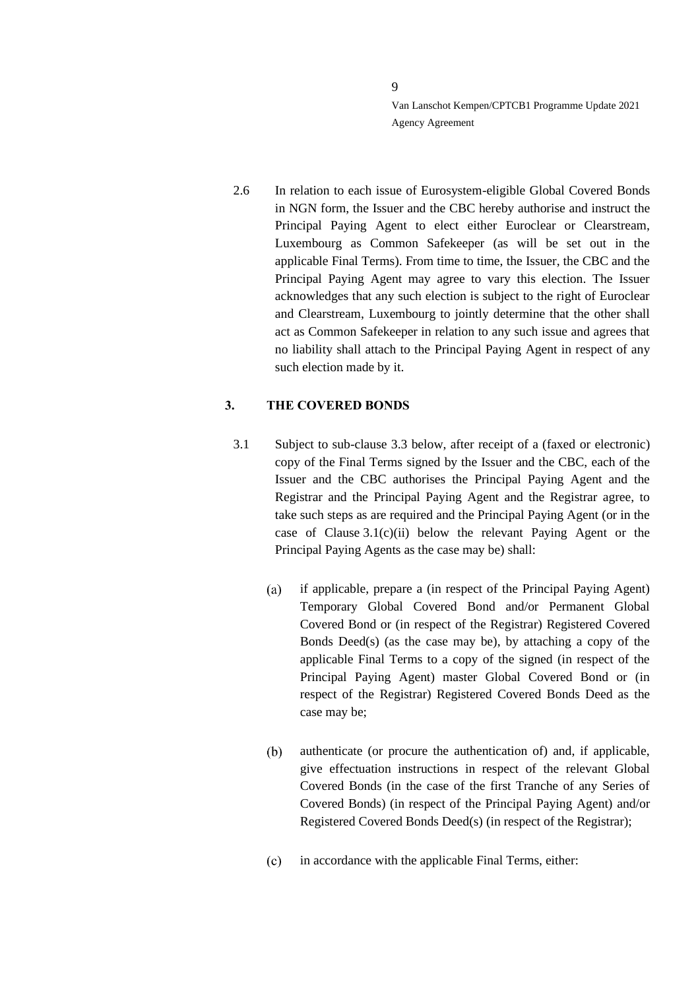2.6 In relation to each issue of Eurosystem-eligible Global Covered Bonds in NGN form, the Issuer and the CBC hereby authorise and instruct the Principal Paying Agent to elect either Euroclear or Clearstream, Luxembourg as Common Safekeeper (as will be set out in the applicable Final Terms). From time to time, the Issuer, the CBC and the Principal Paying Agent may agree to vary this election. The Issuer acknowledges that any such election is subject to the right of Euroclear and Clearstream, Luxembourg to jointly determine that the other shall act as Common Safekeeper in relation to any such issue and agrees that no liability shall attach to the Principal Paying Agent in respect of any such election made by it.

# <span id="page-8-0"></span>**3. THE COVERED BONDS**

- <span id="page-8-3"></span><span id="page-8-2"></span><span id="page-8-1"></span>3.1 Subject to sub-clause [3.3](#page-10-0) below, after receipt of a (faxed or electronic) copy of the Final Terms signed by the Issuer and the CBC, each of the Issuer and the CBC authorises the Principal Paying Agent and the Registrar and the Principal Paying Agent and the Registrar agree, to take such steps as are required and the Principal Paying Agent (or in the case of Clause [3.1](#page-8-1)[\(c\)](#page-8-2)[\(ii\)](#page-9-0) below the relevant Paying Agent or the Principal Paying Agents as the case may be) shall:
	- $(a)$ if applicable, prepare a (in respect of the Principal Paying Agent) Temporary Global Covered Bond and/or Permanent Global Covered Bond or (in respect of the Registrar) Registered Covered Bonds Deed(s) (as the case may be), by attaching a copy of the applicable Final Terms to a copy of the signed (in respect of the Principal Paying Agent) master Global Covered Bond or (in respect of the Registrar) Registered Covered Bonds Deed as the case may be;
	- $(b)$ authenticate (or procure the authentication of) and, if applicable, give effectuation instructions in respect of the relevant Global Covered Bonds (in the case of the first Tranche of any Series of Covered Bonds) (in respect of the Principal Paying Agent) and/or Registered Covered Bonds Deed(s) (in respect of the Registrar);
	- $(c)$ in accordance with the applicable Final Terms, either: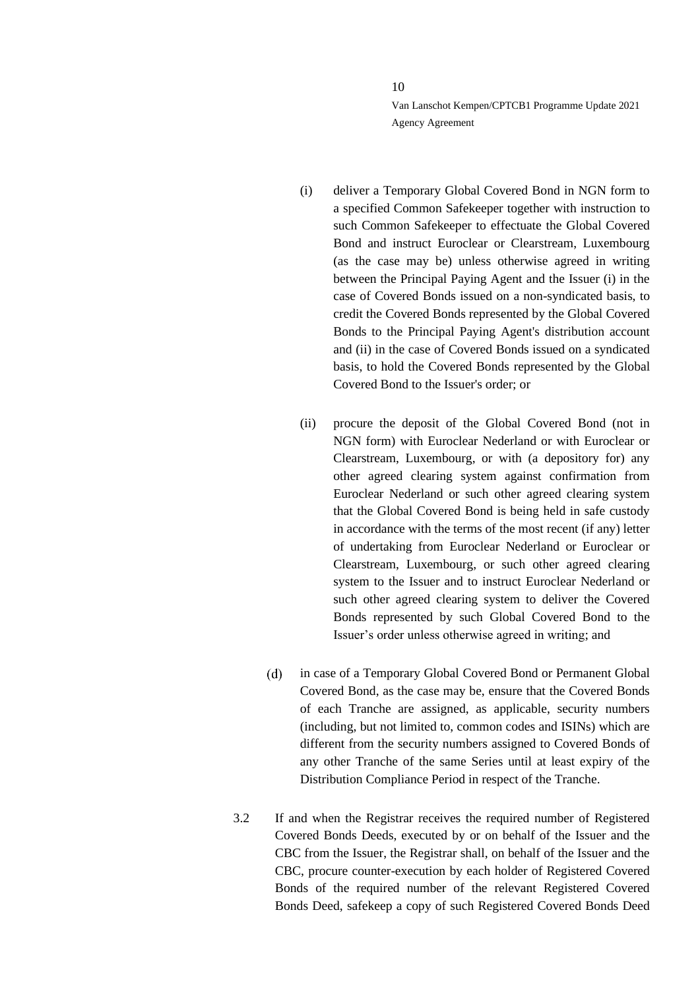- (i) deliver a Temporary Global Covered Bond in NGN form to a specified Common Safekeeper together with instruction to such Common Safekeeper to effectuate the Global Covered Bond and instruct Euroclear or Clearstream, Luxembourg (as the case may be) unless otherwise agreed in writing between the Principal Paying Agent and the Issuer (i) in the case of Covered Bonds issued on a non-syndicated basis, to credit the Covered Bonds represented by the Global Covered Bonds to the Principal Paying Agent's distribution account and (ii) in the case of Covered Bonds issued on a syndicated basis, to hold the Covered Bonds represented by the Global Covered Bond to the Issuer's order; or
- <span id="page-9-0"></span>(ii) procure the deposit of the Global Covered Bond (not in NGN form) with Euroclear Nederland or with Euroclear or Clearstream, Luxembourg, or with (a depository for) any other agreed clearing system against confirmation from Euroclear Nederland or such other agreed clearing system that the Global Covered Bond is being held in safe custody in accordance with the terms of the most recent (if any) letter of undertaking from Euroclear Nederland or Euroclear or Clearstream, Luxembourg, or such other agreed clearing system to the Issuer and to instruct Euroclear Nederland or such other agreed clearing system to deliver the Covered Bonds represented by such Global Covered Bond to the Issuer's order unless otherwise agreed in writing; and
- $(d)$ in case of a Temporary Global Covered Bond or Permanent Global Covered Bond, as the case may be, ensure that the Covered Bonds of each Tranche are assigned, as applicable, security numbers (including, but not limited to, common codes and ISINs) which are different from the security numbers assigned to Covered Bonds of any other Tranche of the same Series until at least expiry of the Distribution Compliance Period in respect of the Tranche.
- 3.2 If and when the Registrar receives the required number of Registered Covered Bonds Deeds, executed by or on behalf of the Issuer and the CBC from the Issuer, the Registrar shall, on behalf of the Issuer and the CBC, procure counter-execution by each holder of Registered Covered Bonds of the required number of the relevant Registered Covered Bonds Deed, safekeep a copy of such Registered Covered Bonds Deed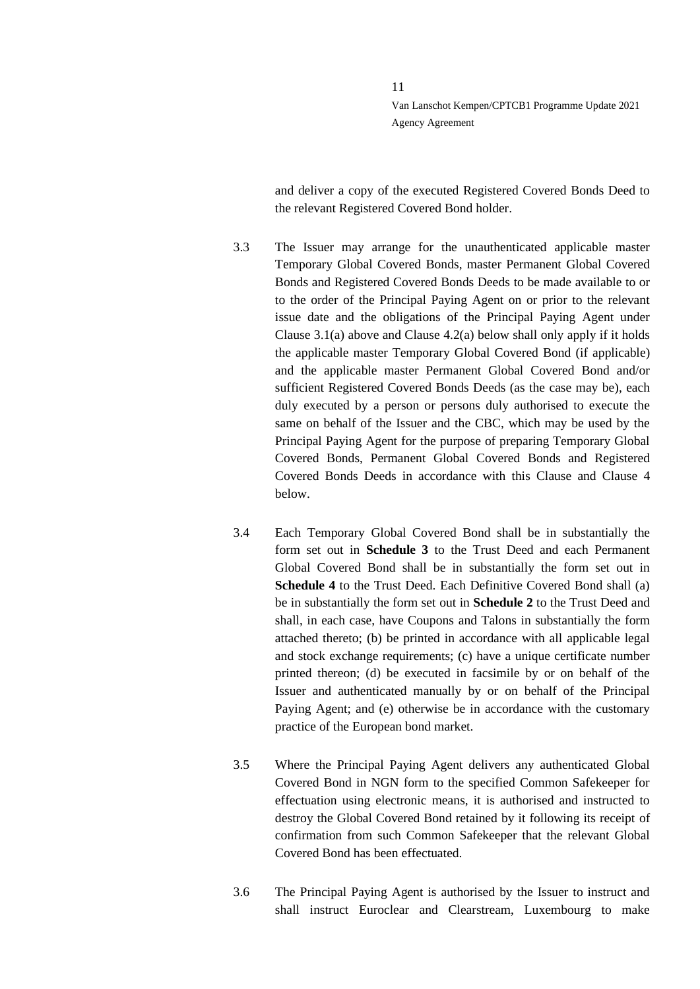and deliver a copy of the executed Registered Covered Bonds Deed to the relevant Registered Covered Bond holder.

- <span id="page-10-0"></span>3.3 The Issuer may arrange for the unauthenticated applicable master Temporary Global Covered Bonds, master Permanent Global Covered Bonds and Registered Covered Bonds Deeds to be made available to or to the order of the Principal Paying Agent on or prior to the relevant issue date and the obligations of the Principal Paying Agent under Clause 3.[1\(a\)](#page-8-3) above and Clause [4.2](#page-11-1)[\(a\)](#page-11-2) below shall only apply if it holds the applicable master Temporary Global Covered Bond (if applicable) and the applicable master Permanent Global Covered Bond and/or sufficient Registered Covered Bonds Deeds (as the case may be), each duly executed by a person or persons duly authorised to execute the same on behalf of the Issuer and the CBC, which may be used by the Principal Paying Agent for the purpose of preparing Temporary Global Covered Bonds, Permanent Global Covered Bonds and Registered Covered Bonds Deeds in accordance with this Clause and Clause [4](#page-11-0) below.
- 3.4 Each Temporary Global Covered Bond shall be in substantially the form set out in **Schedule 3** to the Trust Deed and each Permanent Global Covered Bond shall be in substantially the form set out in **Schedule 4** to the Trust Deed. Each Definitive Covered Bond shall (a) be in substantially the form set out in **Schedule 2** to the Trust Deed and shall, in each case, have Coupons and Talons in substantially the form attached thereto; (b) be printed in accordance with all applicable legal and stock exchange requirements; (c) have a unique certificate number printed thereon; (d) be executed in facsimile by or on behalf of the Issuer and authenticated manually by or on behalf of the Principal Paying Agent; and (e) otherwise be in accordance with the customary practice of the European bond market.
- 3.5 Where the Principal Paying Agent delivers any authenticated Global Covered Bond in NGN form to the specified Common Safekeeper for effectuation using electronic means, it is authorised and instructed to destroy the Global Covered Bond retained by it following its receipt of confirmation from such Common Safekeeper that the relevant Global Covered Bond has been effectuated.
- 3.6 The Principal Paying Agent is authorised by the Issuer to instruct and shall instruct Euroclear and Clearstream, Luxembourg to make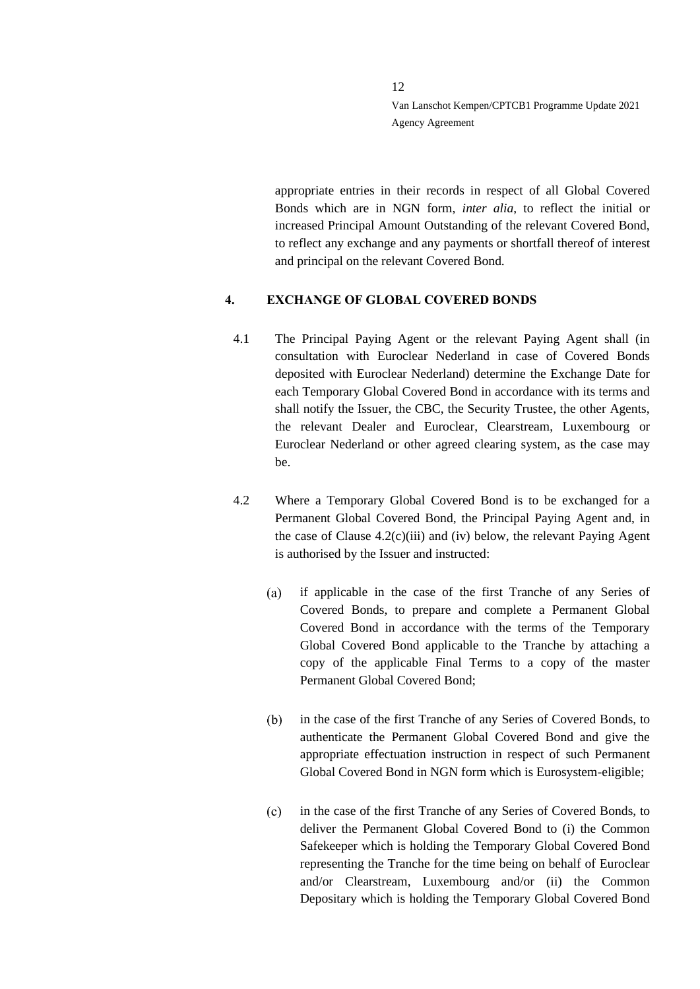appropriate entries in their records in respect of all Global Covered Bonds which are in NGN form, *inter alia*, to reflect the initial or increased Principal Amount Outstanding of the relevant Covered Bond, to reflect any exchange and any payments or shortfall thereof of interest and principal on the relevant Covered Bond.

# <span id="page-11-0"></span>**4. EXCHANGE OF GLOBAL COVERED BONDS**

- 4.1 The Principal Paying Agent or the relevant Paying Agent shall (in consultation with Euroclear Nederland in case of Covered Bonds deposited with Euroclear Nederland) determine the Exchange Date for each Temporary Global Covered Bond in accordance with its terms and shall notify the Issuer, the CBC, the Security Trustee, the other Agents, the relevant Dealer and Euroclear, Clearstream, Luxembourg or Euroclear Nederland or other agreed clearing system, as the case may be.
- <span id="page-11-2"></span><span id="page-11-1"></span>4.2 Where a Temporary Global Covered Bond is to be exchanged for a Permanent Global Covered Bond, the Principal Paying Agent and, in the case of Clause  $4.2(c)$  $4.2(c)$ (iii) and (iv) below, the relevant Paying Agent is authorised by the Issuer and instructed:
	- $(a)$ if applicable in the case of the first Tranche of any Series of Covered Bonds, to prepare and complete a Permanent Global Covered Bond in accordance with the terms of the Temporary Global Covered Bond applicable to the Tranche by attaching a copy of the applicable Final Terms to a copy of the master Permanent Global Covered Bond;
	- in the case of the first Tranche of any Series of Covered Bonds, to  $(b)$ authenticate the Permanent Global Covered Bond and give the appropriate effectuation instruction in respect of such Permanent Global Covered Bond in NGN form which is Eurosystem-eligible;
	- $(c)$ in the case of the first Tranche of any Series of Covered Bonds, to deliver the Permanent Global Covered Bond to (i) the Common Safekeeper which is holding the Temporary Global Covered Bond representing the Tranche for the time being on behalf of Euroclear and/or Clearstream, Luxembourg and/or (ii) the Common Depositary which is holding the Temporary Global Covered Bond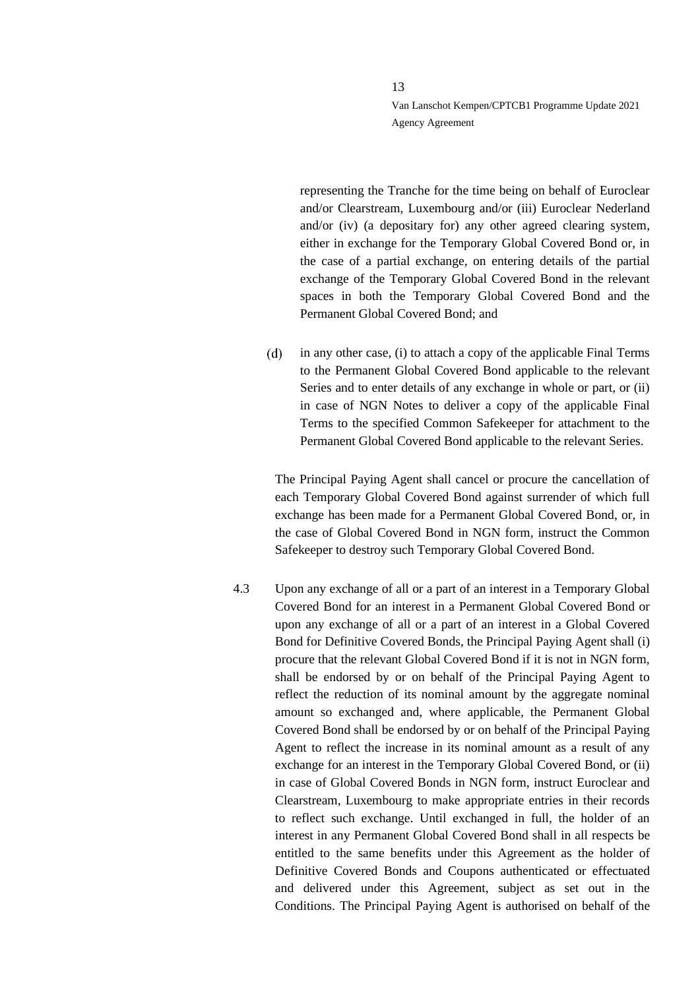representing the Tranche for the time being on behalf of Euroclear and/or Clearstream, Luxembourg and/or (iii) Euroclear Nederland and/or (iv) (a depositary for) any other agreed clearing system, either in exchange for the Temporary Global Covered Bond or, in the case of a partial exchange, on entering details of the partial exchange of the Temporary Global Covered Bond in the relevant spaces in both the Temporary Global Covered Bond and the Permanent Global Covered Bond; and

 $(d)$ in any other case, (i) to attach a copy of the applicable Final Terms to the Permanent Global Covered Bond applicable to the relevant Series and to enter details of any exchange in whole or part, or (ii) in case of NGN Notes to deliver a copy of the applicable Final Terms to the specified Common Safekeeper for attachment to the Permanent Global Covered Bond applicable to the relevant Series.

The Principal Paying Agent shall cancel or procure the cancellation of each Temporary Global Covered Bond against surrender of which full exchange has been made for a Permanent Global Covered Bond, or, in the case of Global Covered Bond in NGN form, instruct the Common Safekeeper to destroy such Temporary Global Covered Bond.

4.3 Upon any exchange of all or a part of an interest in a Temporary Global Covered Bond for an interest in a Permanent Global Covered Bond or upon any exchange of all or a part of an interest in a Global Covered Bond for Definitive Covered Bonds, the Principal Paying Agent shall (i) procure that the relevant Global Covered Bond if it is not in NGN form, shall be endorsed by or on behalf of the Principal Paying Agent to reflect the reduction of its nominal amount by the aggregate nominal amount so exchanged and, where applicable, the Permanent Global Covered Bond shall be endorsed by or on behalf of the Principal Paying Agent to reflect the increase in its nominal amount as a result of any exchange for an interest in the Temporary Global Covered Bond, or (ii) in case of Global Covered Bonds in NGN form, instruct Euroclear and Clearstream, Luxembourg to make appropriate entries in their records to reflect such exchange. Until exchanged in full, the holder of an interest in any Permanent Global Covered Bond shall in all respects be entitled to the same benefits under this Agreement as the holder of Definitive Covered Bonds and Coupons authenticated or effectuated and delivered under this Agreement, subject as set out in the Conditions. The Principal Paying Agent is authorised on behalf of the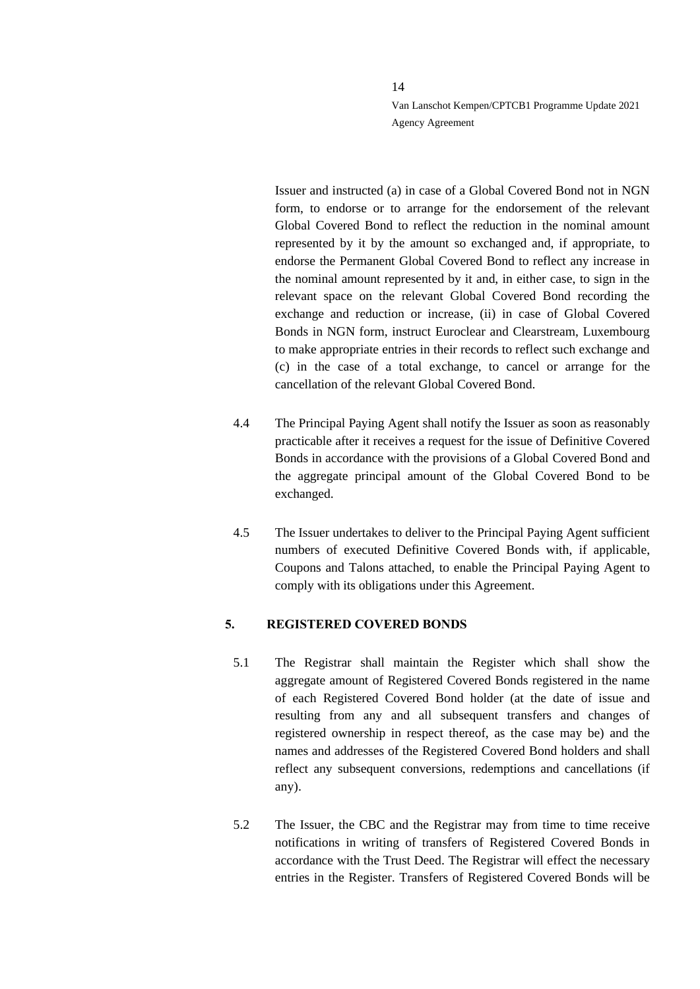Issuer and instructed (a) in case of a Global Covered Bond not in NGN form, to endorse or to arrange for the endorsement of the relevant Global Covered Bond to reflect the reduction in the nominal amount represented by it by the amount so exchanged and, if appropriate, to endorse the Permanent Global Covered Bond to reflect any increase in the nominal amount represented by it and, in either case, to sign in the relevant space on the relevant Global Covered Bond recording the exchange and reduction or increase, (ii) in case of Global Covered Bonds in NGN form, instruct Euroclear and Clearstream, Luxembourg to make appropriate entries in their records to reflect such exchange and (c) in the case of a total exchange, to cancel or arrange for the cancellation of the relevant Global Covered Bond.

- 4.4 The Principal Paying Agent shall notify the Issuer as soon as reasonably practicable after it receives a request for the issue of Definitive Covered Bonds in accordance with the provisions of a Global Covered Bond and the aggregate principal amount of the Global Covered Bond to be exchanged.
- 4.5 The Issuer undertakes to deliver to the Principal Paying Agent sufficient numbers of executed Definitive Covered Bonds with, if applicable, Coupons and Talons attached, to enable the Principal Paying Agent to comply with its obligations under this Agreement.

#### <span id="page-13-0"></span>**5. REGISTERED COVERED BONDS**

- 5.1 The Registrar shall maintain the Register which shall show the aggregate amount of Registered Covered Bonds registered in the name of each Registered Covered Bond holder (at the date of issue and resulting from any and all subsequent transfers and changes of registered ownership in respect thereof, as the case may be) and the names and addresses of the Registered Covered Bond holders and shall reflect any subsequent conversions, redemptions and cancellations (if any).
- 5.2 The Issuer, the CBC and the Registrar may from time to time receive notifications in writing of transfers of Registered Covered Bonds in accordance with the Trust Deed. The Registrar will effect the necessary entries in the Register. Transfers of Registered Covered Bonds will be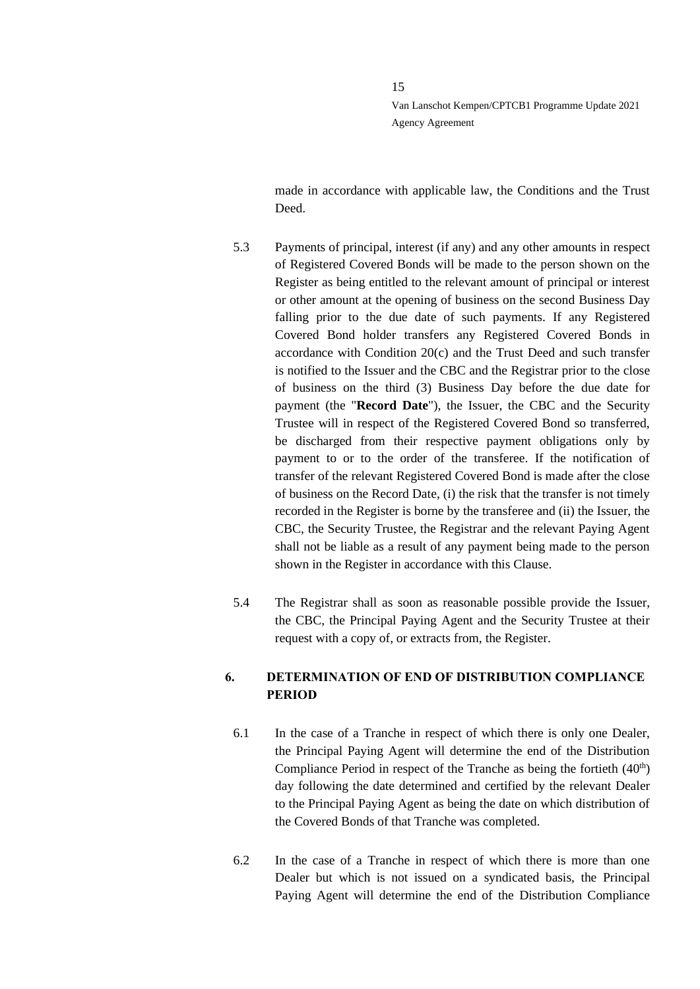made in accordance with applicable law, the Conditions and the Trust Deed.

- 5.3 Payments of principal, interest (if any) and any other amounts in respect of Registered Covered Bonds will be made to the person shown on the Register as being entitled to the relevant amount of principal or interest or other amount at the opening of business on the second Business Day falling prior to the due date of such payments. If any Registered Covered Bond holder transfers any Registered Covered Bonds in accordance with Condition 20(c) and the Trust Deed and such transfer is notified to the Issuer and the CBC and the Registrar prior to the close of business on the third (3) Business Day before the due date for payment (the "**Record Date**"), the Issuer, the CBC and the Security Trustee will in respect of the Registered Covered Bond so transferred, be discharged from their respective payment obligations only by payment to or to the order of the transferee. If the notification of transfer of the relevant Registered Covered Bond is made after the close of business on the Record Date, (i) the risk that the transfer is not timely recorded in the Register is borne by the transferee and (ii) the Issuer, the CBC, the Security Trustee, the Registrar and the relevant Paying Agent shall not be liable as a result of any payment being made to the person shown in the Register in accordance with this Clause.
- 5.4 The Registrar shall as soon as reasonable possible provide the Issuer, the CBC, the Principal Paying Agent and the Security Trustee at their request with a copy of, or extracts from, the Register.

# <span id="page-14-0"></span>**6. DETERMINATION OF END OF DISTRIBUTION COMPLIANCE PERIOD**

- 6.1 In the case of a Tranche in respect of which there is only one Dealer, the Principal Paying Agent will determine the end of the Distribution Compliance Period in respect of the Tranche as being the fortieth  $(40<sup>th</sup>)$ day following the date determined and certified by the relevant Dealer to the Principal Paying Agent as being the date on which distribution of the Covered Bonds of that Tranche was completed.
- 6.2 In the case of a Tranche in respect of which there is more than one Dealer but which is not issued on a syndicated basis, the Principal Paying Agent will determine the end of the Distribution Compliance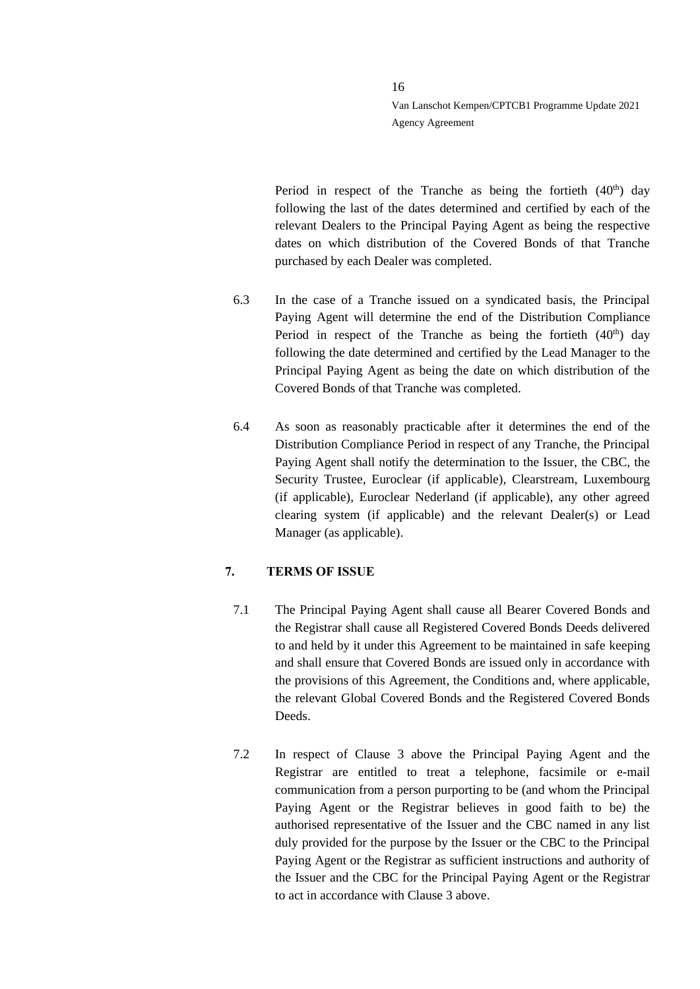Period in respect of the Tranche as being the fortieth  $(40<sup>th</sup>)$  day following the last of the dates determined and certified by each of the relevant Dealers to the Principal Paying Agent as being the respective dates on which distribution of the Covered Bonds of that Tranche purchased by each Dealer was completed.

- 6.3 In the case of a Tranche issued on a syndicated basis, the Principal Paying Agent will determine the end of the Distribution Compliance Period in respect of the Tranche as being the fortieth  $(40<sup>th</sup>)$  day following the date determined and certified by the Lead Manager to the Principal Paying Agent as being the date on which distribution of the Covered Bonds of that Tranche was completed.
- 6.4 As soon as reasonably practicable after it determines the end of the Distribution Compliance Period in respect of any Tranche, the Principal Paying Agent shall notify the determination to the Issuer, the CBC, the Security Trustee, Euroclear (if applicable), Clearstream, Luxembourg (if applicable), Euroclear Nederland (if applicable), any other agreed clearing system (if applicable) and the relevant Dealer(s) or Lead Manager (as applicable).

# <span id="page-15-0"></span>**7. TERMS OF ISSUE**

- 7.1 The Principal Paying Agent shall cause all Bearer Covered Bonds and the Registrar shall cause all Registered Covered Bonds Deeds delivered to and held by it under this Agreement to be maintained in safe keeping and shall ensure that Covered Bonds are issued only in accordance with the provisions of this Agreement, the Conditions and, where applicable, the relevant Global Covered Bonds and the Registered Covered Bonds Deeds.
- 7.2 In respect of Clause [3](#page-8-0) above the Principal Paying Agent and the Registrar are entitled to treat a telephone, facsimile or e-mail communication from a person purporting to be (and whom the Principal Paying Agent or the Registrar believes in good faith to be) the authorised representative of the Issuer and the CBC named in any list duly provided for the purpose by the Issuer or the CBC to the Principal Paying Agent or the Registrar as sufficient instructions and authority of the Issuer and the CBC for the Principal Paying Agent or the Registrar to act in accordance with Clause [3](#page-8-0) above.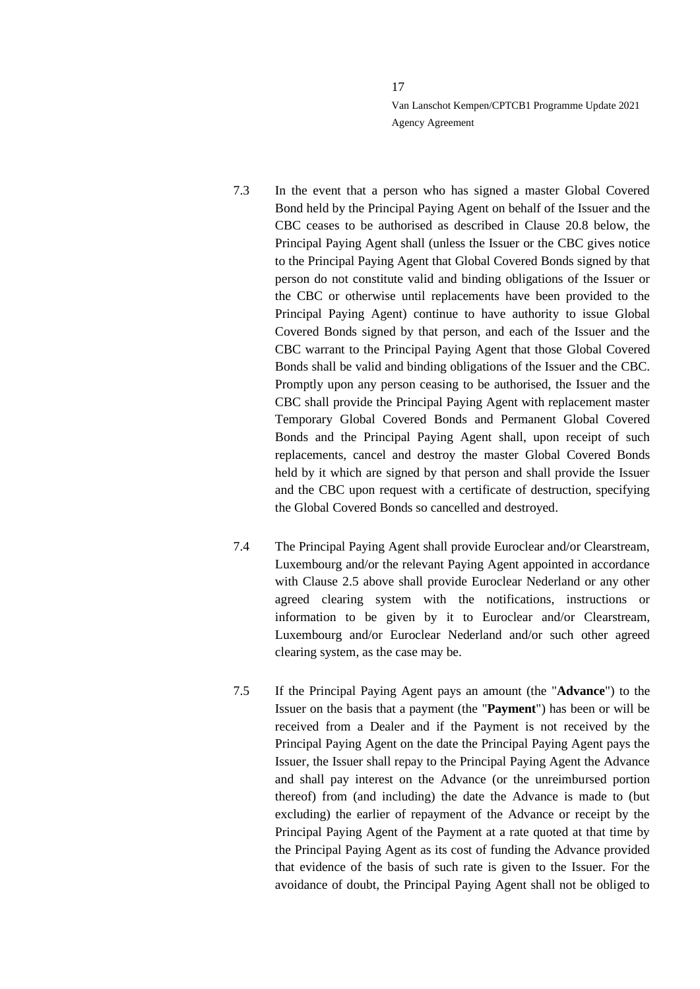- 7.3 In the event that a person who has signed a master Global Covered Bond held by the Principal Paying Agent on behalf of the Issuer and the CBC ceases to be authorised as described in Clause [20.8](#page-45-1) below, the Principal Paying Agent shall (unless the Issuer or the CBC gives notice to the Principal Paying Agent that Global Covered Bonds signed by that person do not constitute valid and binding obligations of the Issuer or the CBC or otherwise until replacements have been provided to the Principal Paying Agent) continue to have authority to issue Global Covered Bonds signed by that person, and each of the Issuer and the CBC warrant to the Principal Paying Agent that those Global Covered Bonds shall be valid and binding obligations of the Issuer and the CBC. Promptly upon any person ceasing to be authorised, the Issuer and the CBC shall provide the Principal Paying Agent with replacement master Temporary Global Covered Bonds and Permanent Global Covered Bonds and the Principal Paying Agent shall, upon receipt of such replacements, cancel and destroy the master Global Covered Bonds held by it which are signed by that person and shall provide the Issuer and the CBC upon request with a certificate of destruction, specifying the Global Covered Bonds so cancelled and destroyed.
- 7.4 The Principal Paying Agent shall provide Euroclear and/or Clearstream, Luxembourg and/or the relevant Paying Agent appointed in accordance with Clause [2.5](#page-7-1) above shall provide Euroclear Nederland or any other agreed clearing system with the notifications, instructions or information to be given by it to Euroclear and/or Clearstream, Luxembourg and/or Euroclear Nederland and/or such other agreed clearing system, as the case may be.
- 7.5 If the Principal Paying Agent pays an amount (the "**Advance**") to the Issuer on the basis that a payment (the "**Payment**") has been or will be received from a Dealer and if the Payment is not received by the Principal Paying Agent on the date the Principal Paying Agent pays the Issuer, the Issuer shall repay to the Principal Paying Agent the Advance and shall pay interest on the Advance (or the unreimbursed portion thereof) from (and including) the date the Advance is made to (but excluding) the earlier of repayment of the Advance or receipt by the Principal Paying Agent of the Payment at a rate quoted at that time by the Principal Paying Agent as its cost of funding the Advance provided that evidence of the basis of such rate is given to the Issuer. For the avoidance of doubt, the Principal Paying Agent shall not be obliged to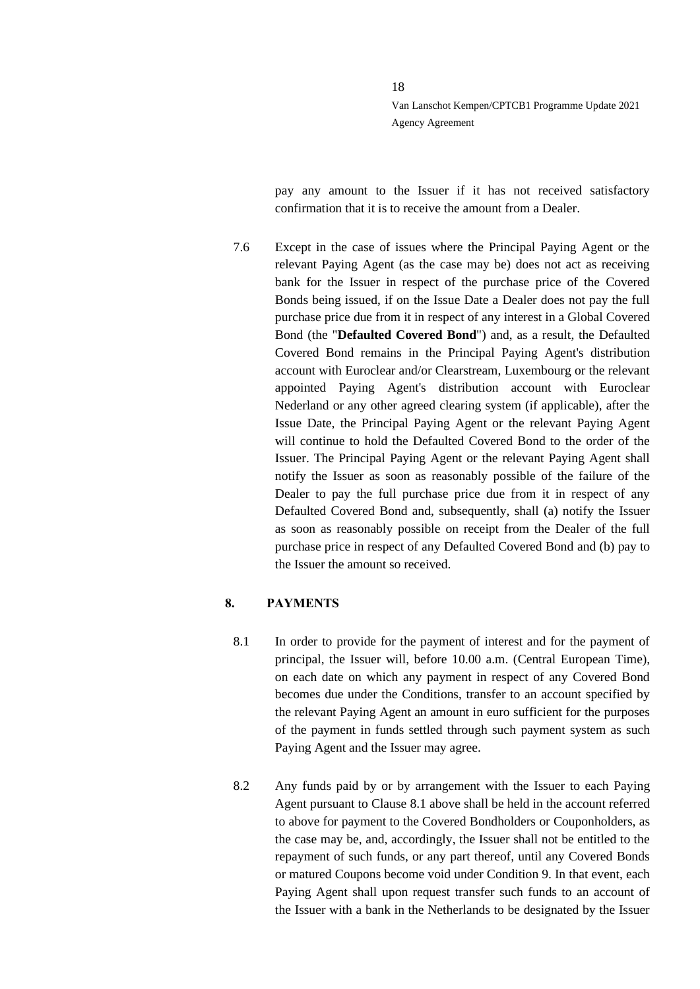pay any amount to the Issuer if it has not received satisfactory confirmation that it is to receive the amount from a Dealer.

7.6 Except in the case of issues where the Principal Paying Agent or the relevant Paying Agent (as the case may be) does not act as receiving bank for the Issuer in respect of the purchase price of the Covered Bonds being issued, if on the Issue Date a Dealer does not pay the full purchase price due from it in respect of any interest in a Global Covered Bond (the "**Defaulted Covered Bond**") and, as a result, the Defaulted Covered Bond remains in the Principal Paying Agent's distribution account with Euroclear and/or Clearstream, Luxembourg or the relevant appointed Paying Agent's distribution account with Euroclear Nederland or any other agreed clearing system (if applicable), after the Issue Date, the Principal Paying Agent or the relevant Paying Agent will continue to hold the Defaulted Covered Bond to the order of the Issuer. The Principal Paying Agent or the relevant Paying Agent shall notify the Issuer as soon as reasonably possible of the failure of the Dealer to pay the full purchase price due from it in respect of any Defaulted Covered Bond and, subsequently, shall (a) notify the Issuer as soon as reasonably possible on receipt from the Dealer of the full purchase price in respect of any Defaulted Covered Bond and (b) pay to the Issuer the amount so received.

#### <span id="page-17-0"></span>**8. PAYMENTS**

- <span id="page-17-1"></span>8.1 In order to provide for the payment of interest and for the payment of principal, the Issuer will, before 10.00 a.m. (Central European Time), on each date on which any payment in respect of any Covered Bond becomes due under the Conditions, transfer to an account specified by the relevant Paying Agent an amount in euro sufficient for the purposes of the payment in funds settled through such payment system as such Paying Agent and the Issuer may agree.
- 8.2 Any funds paid by or by arrangement with the Issuer to each Paying Agent pursuant to Clause [8.1](#page-17-1) above shall be held in the account referred to above for payment to the Covered Bondholders or Couponholders, as the case may be, and, accordingly, the Issuer shall not be entitled to the repayment of such funds, or any part thereof, until any Covered Bonds or matured Coupons become void under Condition 9. In that event, each Paying Agent shall upon request transfer such funds to an account of the Issuer with a bank in the Netherlands to be designated by the Issuer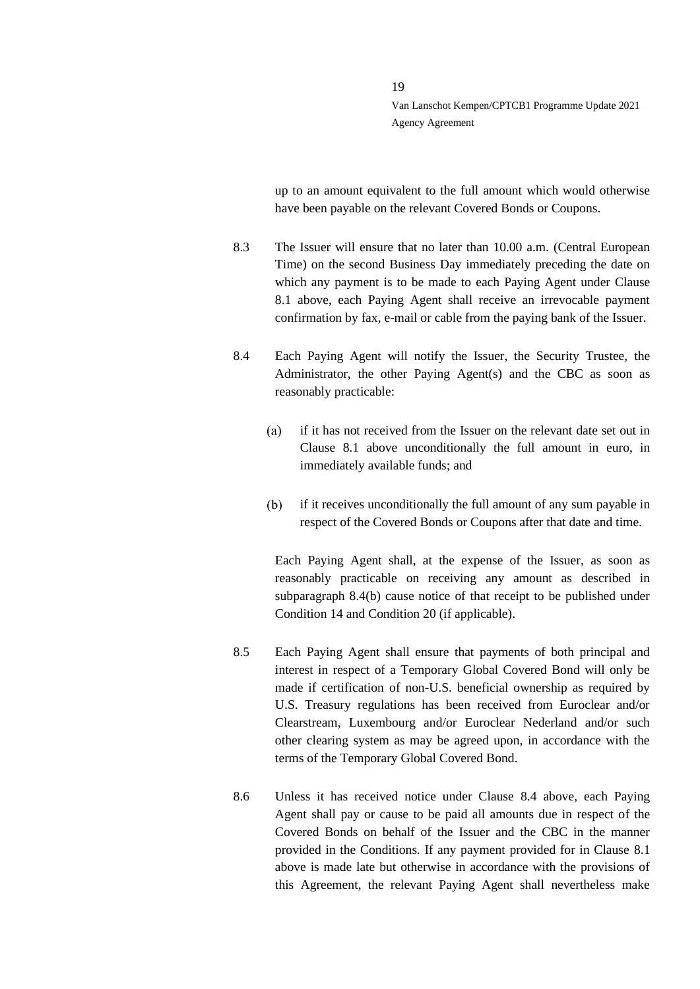up to an amount equivalent to the full amount which would otherwise have been payable on the relevant Covered Bonds or Coupons.

- <span id="page-18-3"></span>8.3 The Issuer will ensure that no later than 10.00 a.m. (Central European Time) on the second Business Day immediately preceding the date on which any payment is to be made to each Paying Agent under Clause [8.1](#page-17-1) above, each Paying Agent shall receive an irrevocable payment confirmation by fax, e-mail or cable from the paying bank of the Issuer.
- <span id="page-18-0"></span>8.4 Each Paying Agent will notify the Issuer, the Security Trustee, the Administrator, the other Paying Agent(s) and the CBC as soon as reasonably practicable:
	- if it has not received from the Issuer on the relevant date set out in  $(a)$ Clause [8.1](#page-17-1) above unconditionally the full amount in euro, in immediately available funds; and
	- $(b)$ if it receives unconditionally the full amount of any sum payable in respect of the Covered Bonds or Coupons after that date and time.

<span id="page-18-1"></span>Each Paying Agent shall, at the expense of the Issuer, as soon as reasonably practicable on receiving any amount as described in subparagraph [8.4](#page-18-0)[\(b\)](#page-18-1) cause notice of that receipt to be published under Condition 14 and Condition 20 (if applicable).

- 8.5 Each Paying Agent shall ensure that payments of both principal and interest in respect of a Temporary Global Covered Bond will only be made if certification of non-U.S. beneficial ownership as required by U.S. Treasury regulations has been received from Euroclear and/or Clearstream, Luxembourg and/or Euroclear Nederland and/or such other clearing system as may be agreed upon, in accordance with the terms of the Temporary Global Covered Bond.
- <span id="page-18-2"></span>8.6 Unless it has received notice under Clause [8.4](#page-18-0) above, each Paying Agent shall pay or cause to be paid all amounts due in respect of the Covered Bonds on behalf of the Issuer and the CBC in the manner provided in the Conditions. If any payment provided for in Clause [8.1](#page-17-1) above is made late but otherwise in accordance with the provisions of this Agreement, the relevant Paying Agent shall nevertheless make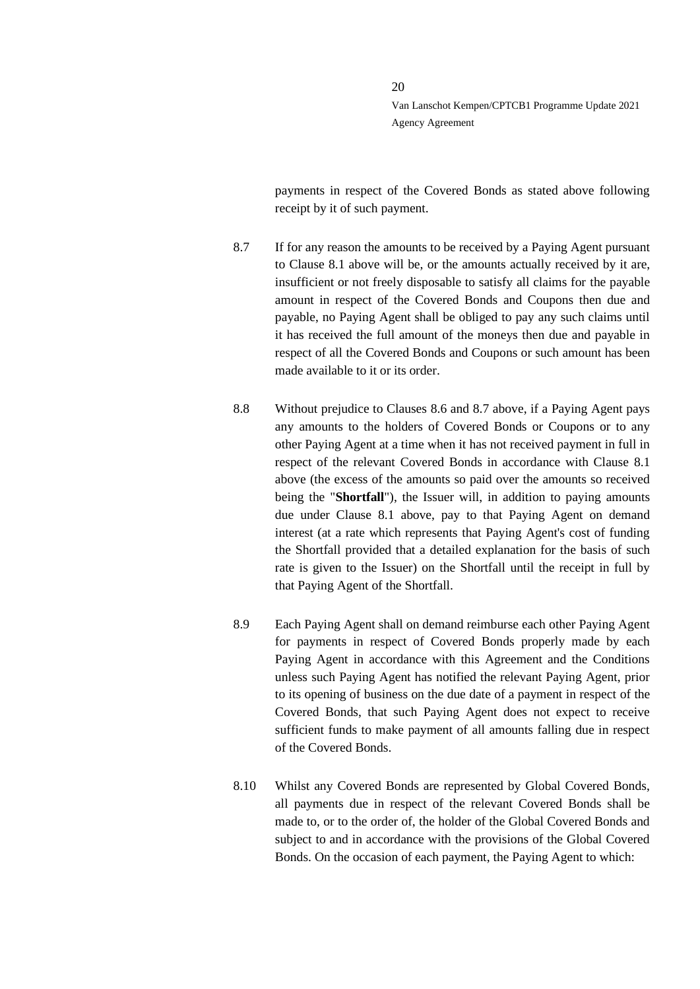payments in respect of the Covered Bonds as stated above following receipt by it of such payment.

- <span id="page-19-0"></span>8.7 If for any reason the amounts to be received by a Paying Agent pursuant to Clause [8.1](#page-17-1) above will be, or the amounts actually received by it are, insufficient or not freely disposable to satisfy all claims for the payable amount in respect of the Covered Bonds and Coupons then due and payable, no Paying Agent shall be obliged to pay any such claims until it has received the full amount of the moneys then due and payable in respect of all the Covered Bonds and Coupons or such amount has been made available to it or its order.
- 8.8 Without prejudice to Clauses [8.6](#page-18-2) and [8.7](#page-19-0) above, if a Paying Agent pays any amounts to the holders of Covered Bonds or Coupons or to any other Paying Agent at a time when it has not received payment in full in respect of the relevant Covered Bonds in accordance with Clause [8.1](#page-17-1) above (the excess of the amounts so paid over the amounts so received being the "**Shortfall**"), the Issuer will, in addition to paying amounts due under Clause [8.1](#page-17-1) above, pay to that Paying Agent on demand interest (at a rate which represents that Paying Agent's cost of funding the Shortfall provided that a detailed explanation for the basis of such rate is given to the Issuer) on the Shortfall until the receipt in full by that Paying Agent of the Shortfall.
- 8.9 Each Paying Agent shall on demand reimburse each other Paying Agent for payments in respect of Covered Bonds properly made by each Paying Agent in accordance with this Agreement and the Conditions unless such Paying Agent has notified the relevant Paying Agent, prior to its opening of business on the due date of a payment in respect of the Covered Bonds, that such Paying Agent does not expect to receive sufficient funds to make payment of all amounts falling due in respect of the Covered Bonds.
- 8.10 Whilst any Covered Bonds are represented by Global Covered Bonds, all payments due in respect of the relevant Covered Bonds shall be made to, or to the order of, the holder of the Global Covered Bonds and subject to and in accordance with the provisions of the Global Covered Bonds. On the occasion of each payment, the Paying Agent to which: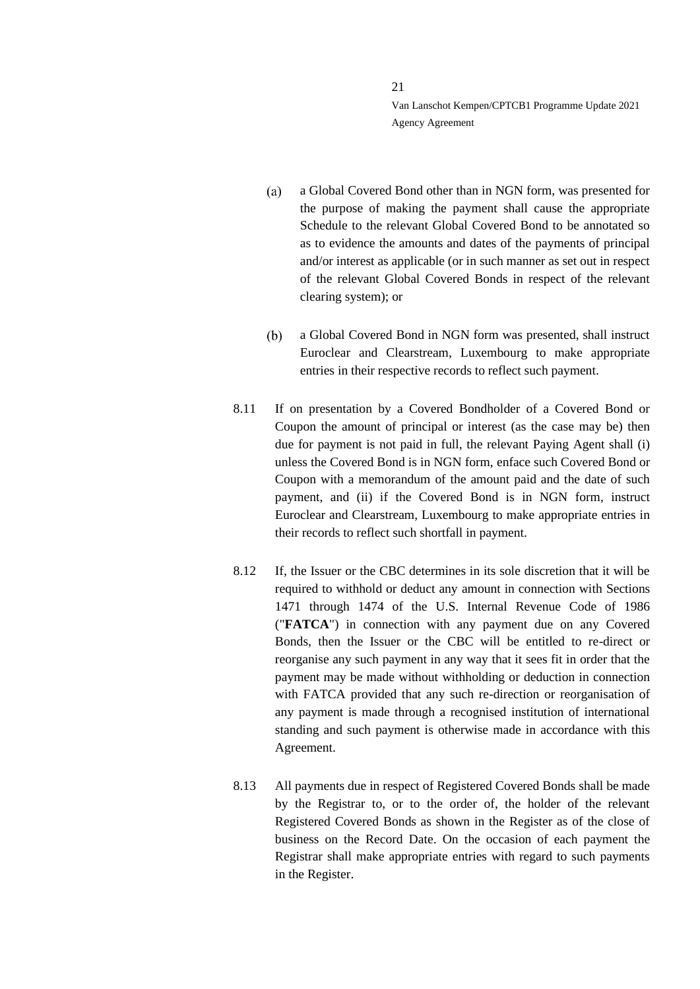- a Global Covered Bond other than in NGN form, was presented for  $(a)$ the purpose of making the payment shall cause the appropriate Schedule to the relevant Global Covered Bond to be annotated so as to evidence the amounts and dates of the payments of principal and/or interest as applicable (or in such manner as set out in respect of the relevant Global Covered Bonds in respect of the relevant clearing system); or
- $(b)$ a Global Covered Bond in NGN form was presented, shall instruct Euroclear and Clearstream, Luxembourg to make appropriate entries in their respective records to reflect such payment.
- 8.11 If on presentation by a Covered Bondholder of a Covered Bond or Coupon the amount of principal or interest (as the case may be) then due for payment is not paid in full, the relevant Paying Agent shall (i) unless the Covered Bond is in NGN form, enface such Covered Bond or Coupon with a memorandum of the amount paid and the date of such payment, and (ii) if the Covered Bond is in NGN form, instruct Euroclear and Clearstream, Luxembourg to make appropriate entries in their records to reflect such shortfall in payment.
- 8.12 If, the Issuer or the CBC determines in its sole discretion that it will be required to withhold or deduct any amount in connection with Sections 1471 through 1474 of the U.S. Internal Revenue Code of 1986 ("**FATCA**") in connection with any payment due on any Covered Bonds, then the Issuer or the CBC will be entitled to re-direct or reorganise any such payment in any way that it sees fit in order that the payment may be made without withholding or deduction in connection with FATCA provided that any such re-direction or reorganisation of any payment is made through a recognised institution of international standing and such payment is otherwise made in accordance with this Agreement.
- 8.13 All payments due in respect of Registered Covered Bonds shall be made by the Registrar to, or to the order of, the holder of the relevant Registered Covered Bonds as shown in the Register as of the close of business on the Record Date. On the occasion of each payment the Registrar shall make appropriate entries with regard to such payments in the Register.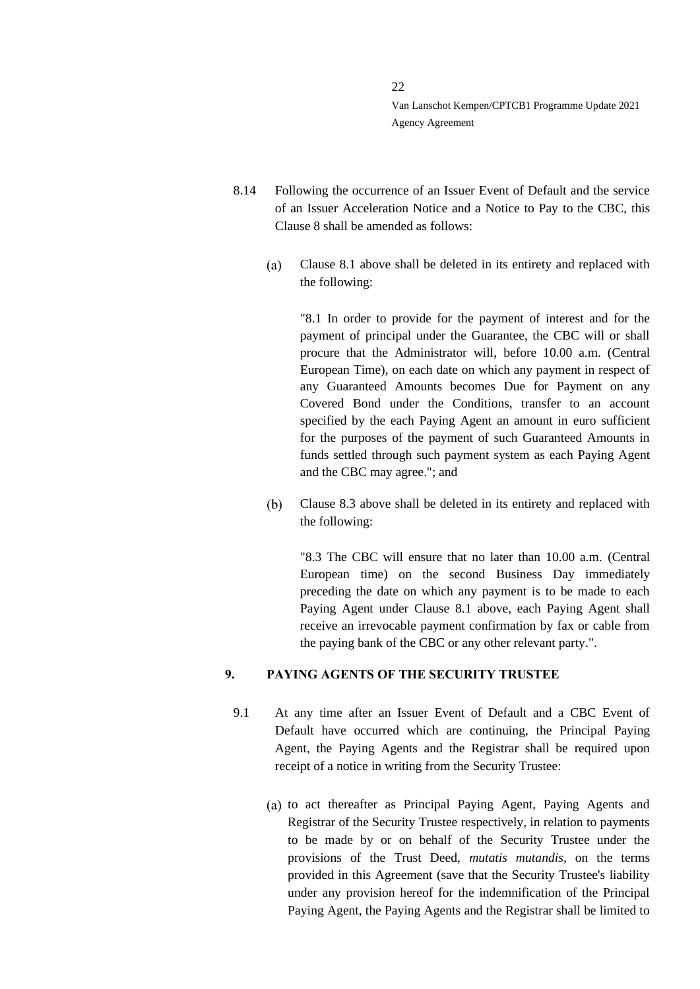- 8.14 Following the occurrence of an Issuer Event of Default and the service of an Issuer Acceleration Notice and a Notice to Pay to the CBC, this Claus[e 8](#page-17-0) shall be amended as follows:
	- Clause 8.1 above shall be deleted in its entirety and replaced with  $(a)$ the following:

"8.1 In order to provide for the payment of interest and for the payment of principal under the Guarantee, the CBC will or shall procure that the Administrator will, before 10.00 a.m. (Central European Time), on each date on which any payment in respect of any Guaranteed Amounts becomes Due for Payment on any Covered Bond under the Conditions, transfer to an account specified by the each Paying Agent an amount in euro sufficient for the purposes of the payment of such Guaranteed Amounts in funds settled through such payment system as each Paying Agent and the CBC may agree."; and

 $(b)$ Clause [8.3](#page-18-3) above shall be deleted in its entirety and replaced with the following:

["8.3](#page-18-3) The CBC will ensure that no later than 10.00 a.m. (Central European time) on the second Business Day immediately preceding the date on which any payment is to be made to each Paying Agent under Clause 8.1 above, each Paying Agent shall receive an irrevocable payment confirmation by fax or cable from the paying bank of the CBC or any other relevant party.".

# <span id="page-21-0"></span>**9. PAYING AGENTS OF THE SECURITY TRUSTEE**

- <span id="page-21-2"></span><span id="page-21-1"></span>9.1 At any time after an Issuer Event of Default and a CBC Event of Default have occurred which are continuing, the Principal Paying Agent, the Paying Agents and the Registrar shall be required upon receipt of a notice in writing from the Security Trustee:
	- (a) to act thereafter as Principal Paying Agent, Paying Agents and Registrar of the Security Trustee respectively, in relation to payments to be made by or on behalf of the Security Trustee under the provisions of the Trust Deed, *mutatis mutandis*, on the terms provided in this Agreement (save that the Security Trustee's liability under any provision hereof for the indemnification of the Principal Paying Agent, the Paying Agents and the Registrar shall be limited to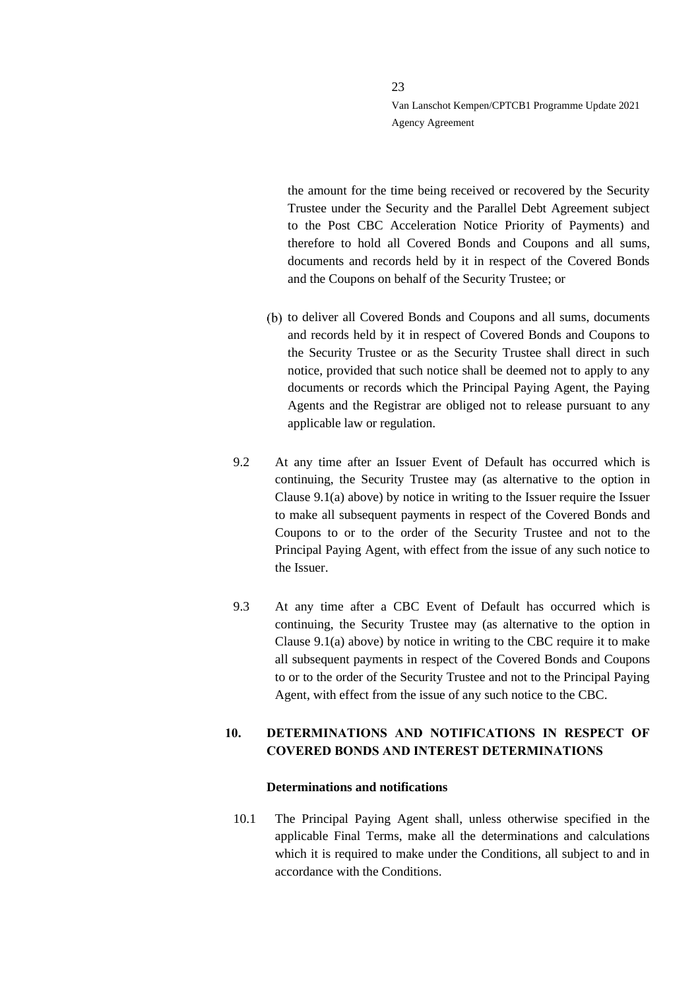the amount for the time being received or recovered by the Security Trustee under the Security and the Parallel Debt Agreement subject to the Post CBC Acceleration Notice Priority of Payments) and therefore to hold all Covered Bonds and Coupons and all sums, documents and records held by it in respect of the Covered Bonds and the Coupons on behalf of the Security Trustee; or

- (b) to deliver all Covered Bonds and Coupons and all sums, documents and records held by it in respect of Covered Bonds and Coupons to the Security Trustee or as the Security Trustee shall direct in such notice, provided that such notice shall be deemed not to apply to any documents or records which the Principal Paying Agent, the Paying Agents and the Registrar are obliged not to release pursuant to any applicable law or regulation.
- 9.2 At any time after an Issuer Event of Default has occurred which is continuing, the Security Trustee may (as alternative to the option in Clause [9.1](#page-21-1)[\(a\)](#page-21-2) above) by notice in writing to the Issuer require the Issuer to make all subsequent payments in respect of the Covered Bonds and Coupons to or to the order of the Security Trustee and not to the Principal Paying Agent, with effect from the issue of any such notice to the Issuer.
- 9.3 At any time after a CBC Event of Default has occurred which is continuing, the Security Trustee may (as alternative to the option in Clause [9.1](#page-21-1)[\(a\)](#page-21-2) above) by notice in writing to the CBC require it to make all subsequent payments in respect of the Covered Bonds and Coupons to or to the order of the Security Trustee and not to the Principal Paying Agent, with effect from the issue of any such notice to the CBC.

# <span id="page-22-0"></span>**10. DETERMINATIONS AND NOTIFICATIONS IN RESPECT OF COVERED BONDS AND INTEREST DETERMINATIONS**

#### **Determinations and notifications**

10.1 The Principal Paying Agent shall, unless otherwise specified in the applicable Final Terms, make all the determinations and calculations which it is required to make under the Conditions, all subject to and in accordance with the Conditions.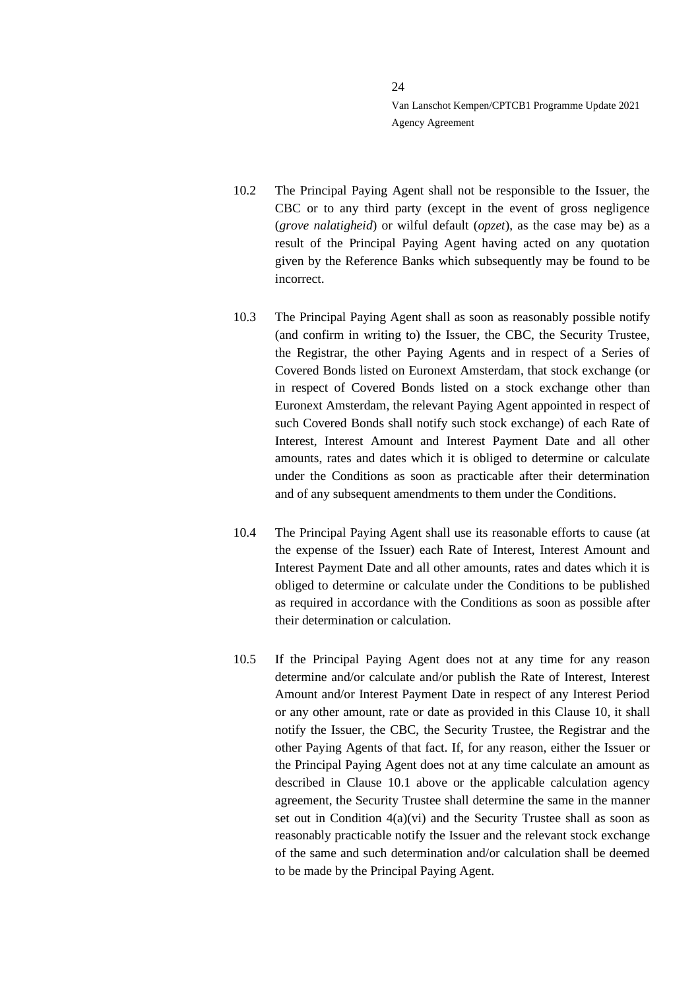- 10.2 The Principal Paying Agent shall not be responsible to the Issuer, the CBC or to any third party (except in the event of gross negligence (*grove nalatigheid*) or wilful default (*opzet*), as the case may be) as a result of the Principal Paying Agent having acted on any quotation given by the Reference Banks which subsequently may be found to be incorrect.
- 10.3 The Principal Paying Agent shall as soon as reasonably possible notify (and confirm in writing to) the Issuer, the CBC, the Security Trustee, the Registrar, the other Paying Agents and in respect of a Series of Covered Bonds listed on Euronext Amsterdam, that stock exchange (or in respect of Covered Bonds listed on a stock exchange other than Euronext Amsterdam, the relevant Paying Agent appointed in respect of such Covered Bonds shall notify such stock exchange) of each Rate of Interest, Interest Amount and Interest Payment Date and all other amounts, rates and dates which it is obliged to determine or calculate under the Conditions as soon as practicable after their determination and of any subsequent amendments to them under the Conditions.
- 10.4 The Principal Paying Agent shall use its reasonable efforts to cause (at the expense of the Issuer) each Rate of Interest, Interest Amount and Interest Payment Date and all other amounts, rates and dates which it is obliged to determine or calculate under the Conditions to be published as required in accordance with the Conditions as soon as possible after their determination or calculation.
- 10.5 If the Principal Paying Agent does not at any time for any reason determine and/or calculate and/or publish the Rate of Interest, Interest Amount and/or Interest Payment Date in respect of any Interest Period or any other amount, rate or date as provided in this Clause [10,](#page-22-0) it shall notify the Issuer, the CBC, the Security Trustee, the Registrar and the other Paying Agents of that fact. If, for any reason, either the Issuer or the Principal Paying Agent does not at any time calculate an amount as described in Clause 10.1 above or the applicable calculation agency agreement, the Security Trustee shall determine the same in the manner set out in Condition  $4(a)(vi)$  and the Security Trustee shall as soon as reasonably practicable notify the Issuer and the relevant stock exchange of the same and such determination and/or calculation shall be deemed to be made by the Principal Paying Agent.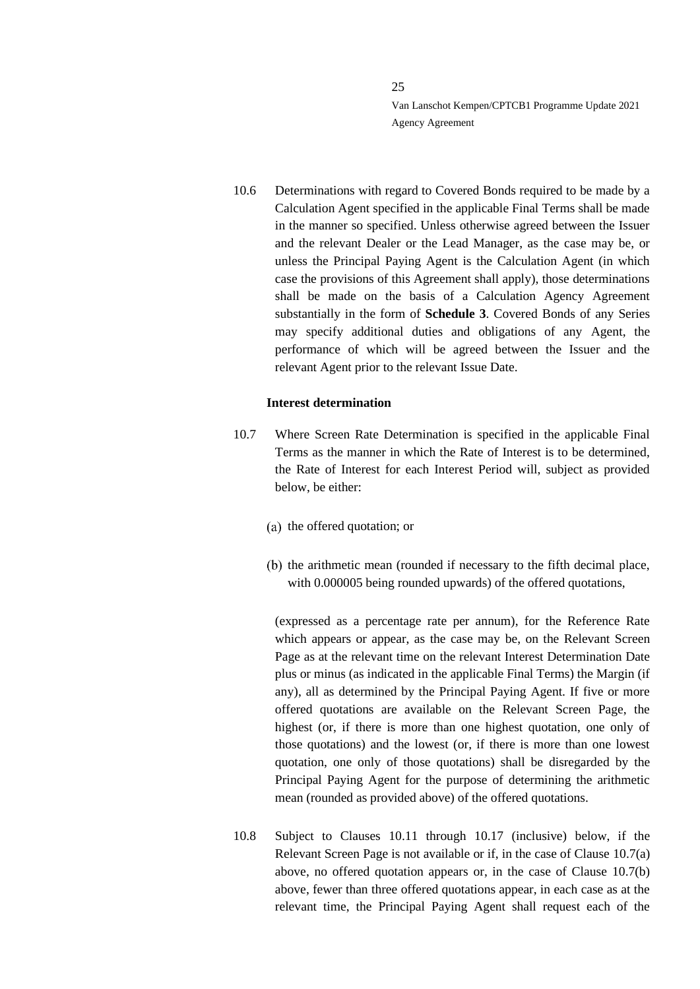10.6 Determinations with regard to Covered Bonds required to be made by a Calculation Agent specified in the applicable Final Terms shall be made in the manner so specified. Unless otherwise agreed between the Issuer and the relevant Dealer or the Lead Manager, as the case may be, or unless the Principal Paying Agent is the Calculation Agent (in which case the provisions of this Agreement shall apply), those determinations shall be made on the basis of a Calculation Agency Agreement substantially in the form of **Schedule 3**. Covered Bonds of any Series may specify additional duties and obligations of any Agent, the performance of which will be agreed between the Issuer and the relevant Agent prior to the relevant Issue Date.

#### **Interest determination**

- <span id="page-24-1"></span><span id="page-24-0"></span>10.7 Where Screen Rate Determination is specified in the applicable Final Terms as the manner in which the Rate of Interest is to be determined, the Rate of Interest for each Interest Period will, subject as provided below, be either:
	- (a) the offered quotation; or
	- $(b)$  the arithmetic mean (rounded if necessary to the fifth decimal place, with 0.000005 being rounded upwards) of the offered quotations,

<span id="page-24-2"></span>(expressed as a percentage rate per annum), for the Reference Rate which appears or appear, as the case may be, on the Relevant Screen Page as at the relevant time on the relevant Interest Determination Date plus or minus (as indicated in the applicable Final Terms) the Margin (if any), all as determined by the Principal Paying Agent. If five or more offered quotations are available on the Relevant Screen Page, the highest (or, if there is more than one highest quotation, one only of those quotations) and the lowest (or, if there is more than one lowest quotation, one only of those quotations) shall be disregarded by the Principal Paying Agent for the purpose of determining the arithmetic mean (rounded as provided above) of the offered quotations.

<span id="page-24-3"></span>10.8 Subject to Clauses [10.11](#page-26-0) through [10.17](#page-30-0) (inclusive) below, if the Relevant Screen Page is not available or if, in the case of Clause [10.7](#page-24-0)[\(a\)](#page-24-1) above, no offered quotation appears or, in the case of Clause [10.7](#page-24-0)[\(b\)](#page-24-2) above, fewer than three offered quotations appear, in each case as at the relevant time, the Principal Paying Agent shall request each of the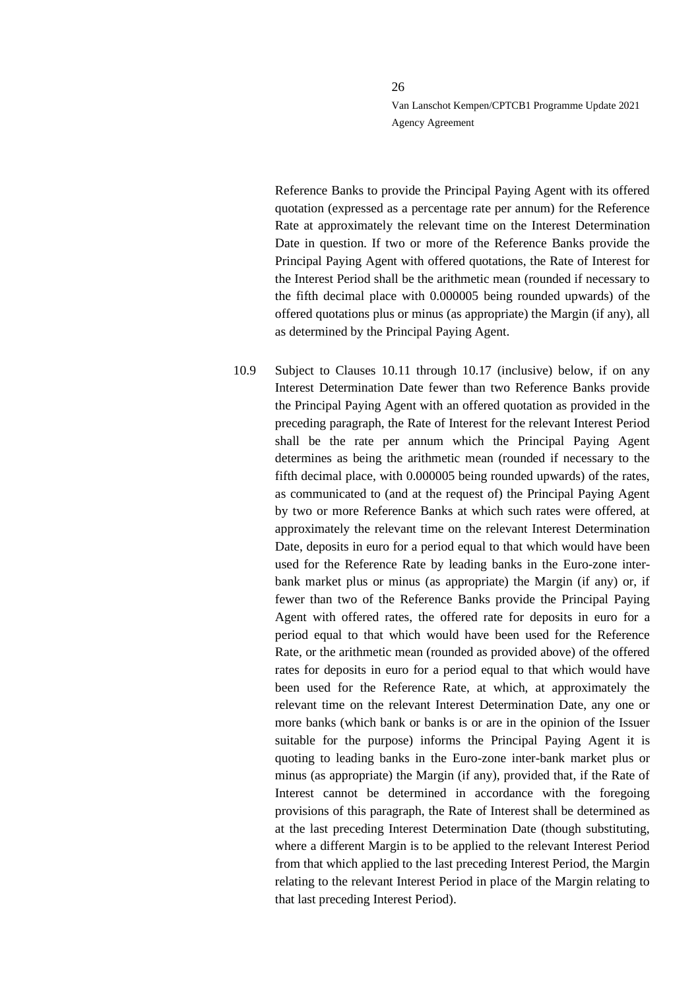Reference Banks to provide the Principal Paying Agent with its offered quotation (expressed as a percentage rate per annum) for the Reference Rate at approximately the relevant time on the Interest Determination Date in question. If two or more of the Reference Banks provide the Principal Paying Agent with offered quotations, the Rate of Interest for the Interest Period shall be the arithmetic mean (rounded if necessary to the fifth decimal place with 0.000005 being rounded upwards) of the offered quotations plus or minus (as appropriate) the Margin (if any), all as determined by the Principal Paying Agent.

<span id="page-25-0"></span>10.9 Subject to Clauses [10.11](#page-26-0) through [10.17](#page-30-0) (inclusive) below, if on any Interest Determination Date fewer than two Reference Banks provide the Principal Paying Agent with an offered quotation as provided in the preceding paragraph, the Rate of Interest for the relevant Interest Period shall be the rate per annum which the Principal Paying Agent determines as being the arithmetic mean (rounded if necessary to the fifth decimal place, with 0.000005 being rounded upwards) of the rates, as communicated to (and at the request of) the Principal Paying Agent by two or more Reference Banks at which such rates were offered, at approximately the relevant time on the relevant Interest Determination Date, deposits in euro for a period equal to that which would have been used for the Reference Rate by leading banks in the Euro-zone interbank market plus or minus (as appropriate) the Margin (if any) or, if fewer than two of the Reference Banks provide the Principal Paying Agent with offered rates, the offered rate for deposits in euro for a period equal to that which would have been used for the Reference Rate, or the arithmetic mean (rounded as provided above) of the offered rates for deposits in euro for a period equal to that which would have been used for the Reference Rate, at which, at approximately the relevant time on the relevant Interest Determination Date, any one or more banks (which bank or banks is or are in the opinion of the Issuer suitable for the purpose) informs the Principal Paying Agent it is quoting to leading banks in the Euro-zone inter-bank market plus or minus (as appropriate) the Margin (if any), provided that, if the Rate of Interest cannot be determined in accordance with the foregoing provisions of this paragraph, the Rate of Interest shall be determined as at the last preceding Interest Determination Date (though substituting, where a different Margin is to be applied to the relevant Interest Period from that which applied to the last preceding Interest Period, the Margin relating to the relevant Interest Period in place of the Margin relating to that last preceding Interest Period).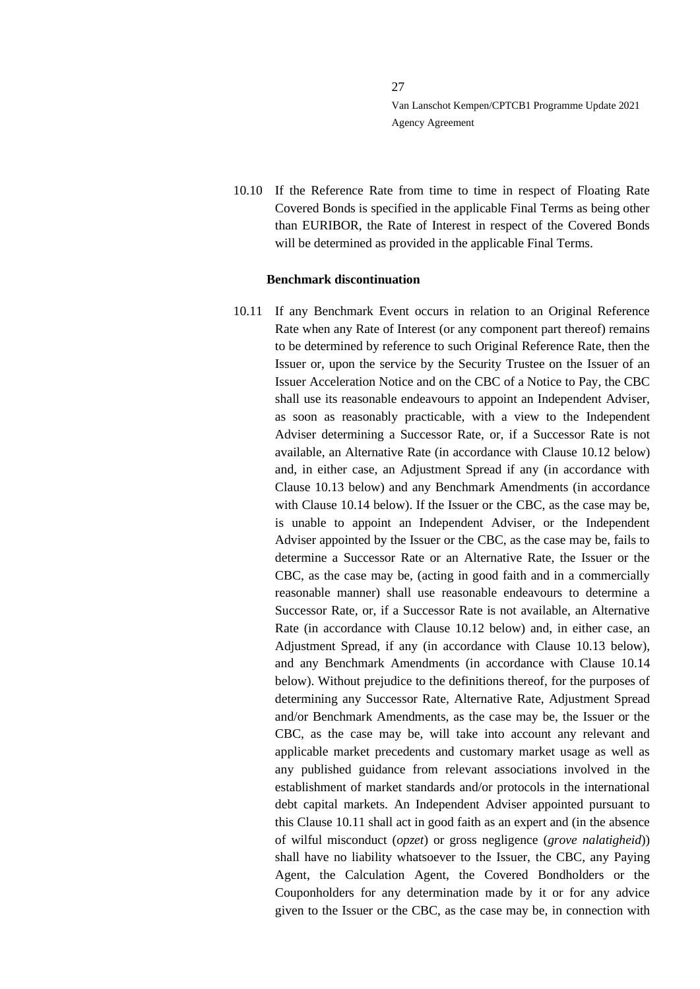10.10 If the Reference Rate from time to time in respect of Floating Rate Covered Bonds is specified in the applicable Final Terms as being other than EURIBOR, the Rate of Interest in respect of the Covered Bonds will be determined as provided in the applicable Final Terms.

27

#### **Benchmark discontinuation**

<span id="page-26-0"></span>10.11 If any Benchmark Event occurs in relation to an Original Reference Rate when any Rate of Interest (or any component part thereof) remains to be determined by reference to such Original Reference Rate, then the Issuer or, upon the service by the Security Trustee on the Issuer of an Issuer Acceleration Notice and on the CBC of a Notice to Pay, the CBC shall use its reasonable endeavours to appoint an Independent Adviser, as soon as reasonably practicable, with a view to the Independent Adviser determining a Successor Rate, or, if a Successor Rate is not available, an Alternative Rate (in accordance with Clause [10.12](#page-27-0) below) and, in either case, an Adjustment Spread if any (in accordance with Clause [10.13](#page-27-1) below) and any Benchmark Amendments (in accordance with Clause [10.14](#page-27-2) below). If the Issuer or the CBC, as the case may be, is unable to appoint an Independent Adviser, or the Independent Adviser appointed by the Issuer or the CBC, as the case may be, fails to determine a Successor Rate or an Alternative Rate, the Issuer or the CBC, as the case may be, (acting in good faith and in a commercially reasonable manner) shall use reasonable endeavours to determine a Successor Rate, or, if a Successor Rate is not available, an Alternative Rate (in accordance with Clause [10.12](#page-27-0) below) and, in either case, an Adjustment Spread, if any (in accordance with Clause [10.13](#page-27-1) below). and any Benchmark Amendments (in accordance with Clause [10.14](#page-27-2) below). Without prejudice to the definitions thereof, for the purposes of determining any Successor Rate, Alternative Rate, Adjustment Spread and/or Benchmark Amendments, as the case may be, the Issuer or the CBC, as the case may be, will take into account any relevant and applicable market precedents and customary market usage as well as any published guidance from relevant associations involved in the establishment of market standards and/or protocols in the international debt capital markets. An Independent Adviser appointed pursuant to this Clause [10.11](#page-26-0) shall act in good faith as an expert and (in the absence of wilful misconduct (*opzet*) or gross negligence (*grove nalatigheid*)) shall have no liability whatsoever to the Issuer, the CBC, any Paying Agent, the Calculation Agent, the Covered Bondholders or the Couponholders for any determination made by it or for any advice given to the Issuer or the CBC, as the case may be, in connection with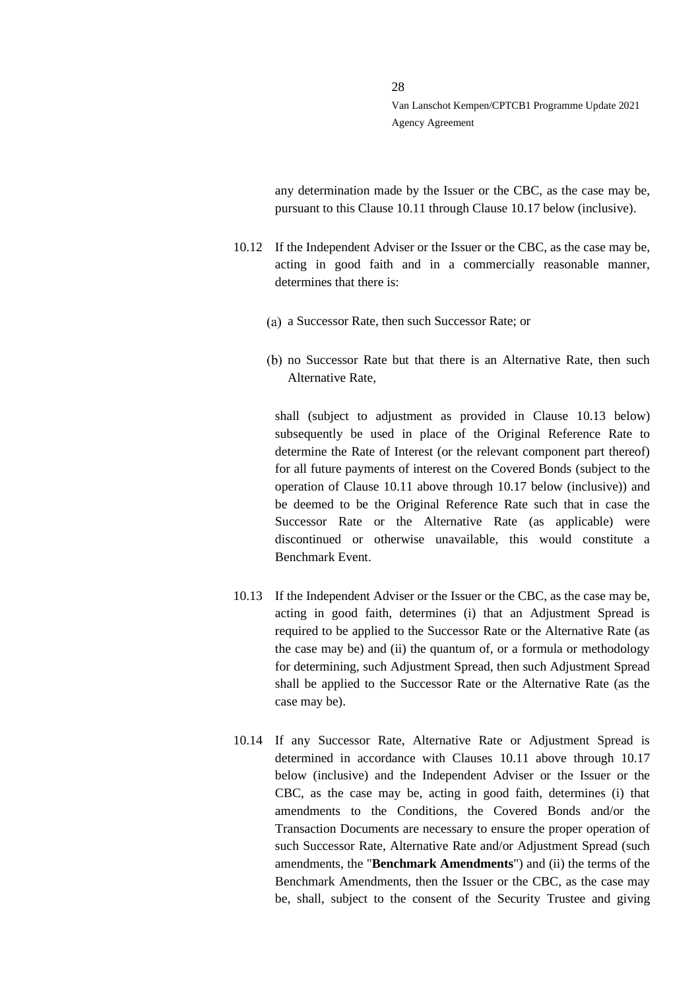any determination made by the Issuer or the CBC, as the case may be, pursuant to this Clause [10.11](#page-26-0) through Clause [10.17](#page-30-0) below (inclusive).

- <span id="page-27-0"></span>10.12 If the Independent Adviser or the Issuer or the CBC, as the case may be, acting in good faith and in a commercially reasonable manner, determines that there is:
	- a Successor Rate, then such Successor Rate; or
	- no Successor Rate but that there is an Alternative Rate, then such Alternative Rate,

shall (subject to adjustment as provided in Clause [10.13](#page-27-1) below) subsequently be used in place of the Original Reference Rate to determine the Rate of Interest (or the relevant component part thereof) for all future payments of interest on the Covered Bonds (subject to the operation of Clause [10.11](#page-26-0) above through [10.17](#page-30-0) below (inclusive)) and be deemed to be the Original Reference Rate such that in case the Successor Rate or the Alternative Rate (as applicable) were discontinued or otherwise unavailable, this would constitute a Benchmark Event.

- <span id="page-27-1"></span>10.13 If the Independent Adviser or the Issuer or the CBC, as the case may be, acting in good faith, determines (i) that an Adjustment Spread is required to be applied to the Successor Rate or the Alternative Rate (as the case may be) and (ii) the quantum of, or a formula or methodology for determining, such Adjustment Spread, then such Adjustment Spread shall be applied to the Successor Rate or the Alternative Rate (as the case may be).
- <span id="page-27-2"></span>10.14 If any Successor Rate, Alternative Rate or Adjustment Spread is determined in accordance with Clauses [10.11](#page-26-0) above through [10.17](#page-30-0) below (inclusive) and the Independent Adviser or the Issuer or the CBC, as the case may be, acting in good faith, determines (i) that amendments to the Conditions, the Covered Bonds and/or the Transaction Documents are necessary to ensure the proper operation of such Successor Rate, Alternative Rate and/or Adjustment Spread (such amendments, the "**Benchmark Amendments**") and (ii) the terms of the Benchmark Amendments, then the Issuer or the CBC, as the case may be, shall, subject to the consent of the Security Trustee and giving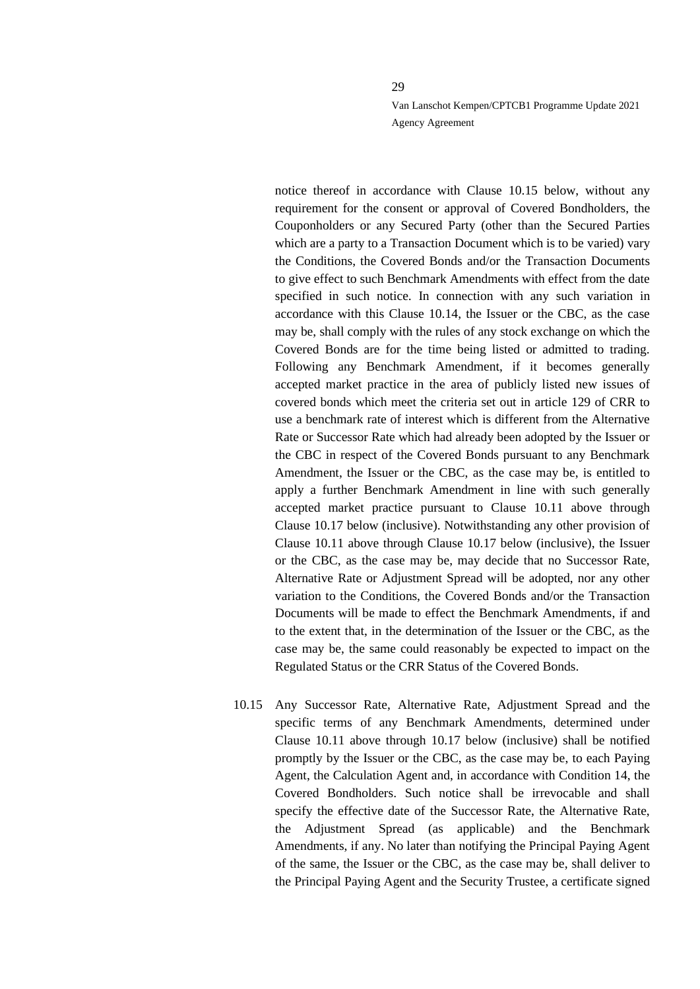notice thereof in accordance with Clause [10.15](#page-28-0) below, without any requirement for the consent or approval of Covered Bondholders, the Couponholders or any Secured Party (other than the Secured Parties which are a party to a Transaction Document which is to be varied) vary the Conditions, the Covered Bonds and/or the Transaction Documents to give effect to such Benchmark Amendments with effect from the date specified in such notice. In connection with any such variation in accordance with this Clause [10.14,](#page-27-2) the Issuer or the CBC, as the case may be, shall comply with the rules of any stock exchange on which the Covered Bonds are for the time being listed or admitted to trading. Following any Benchmark Amendment, if it becomes generally accepted market practice in the area of publicly listed new issues of covered bonds which meet the criteria set out in article 129 of CRR to use a benchmark rate of interest which is different from the Alternative Rate or Successor Rate which had already been adopted by the Issuer or the CBC in respect of the Covered Bonds pursuant to any Benchmark Amendment, the Issuer or the CBC, as the case may be, is entitled to apply a further Benchmark Amendment in line with such generally accepted market practice pursuant to Clause [10.11](#page-26-0) above through Clause [10.17](#page-30-0) below (inclusive). Notwithstanding any other provision of Clause [10.11](#page-26-0) above through Clause [10.17](#page-30-0) below (inclusive), the Issuer or the CBC, as the case may be, may decide that no Successor Rate, Alternative Rate or Adjustment Spread will be adopted, nor any other variation to the Conditions, the Covered Bonds and/or the Transaction Documents will be made to effect the Benchmark Amendments, if and to the extent that, in the determination of the Issuer or the CBC, as the case may be, the same could reasonably be expected to impact on the Regulated Status or the CRR Status of the Covered Bonds.

<span id="page-28-0"></span>10.15 Any Successor Rate, Alternative Rate, Adjustment Spread and the specific terms of any Benchmark Amendments, determined under Clause [10.11](#page-26-0) above through [10.17](#page-30-0) below (inclusive) shall be notified promptly by the Issuer or the CBC, as the case may be, to each Paying Agent, the Calculation Agent and, in accordance with Condition 14, the Covered Bondholders. Such notice shall be irrevocable and shall specify the effective date of the Successor Rate, the Alternative Rate, the Adjustment Spread (as applicable) and the Benchmark Amendments, if any. No later than notifying the Principal Paying Agent of the same, the Issuer or the CBC, as the case may be, shall deliver to the Principal Paying Agent and the Security Trustee, a certificate signed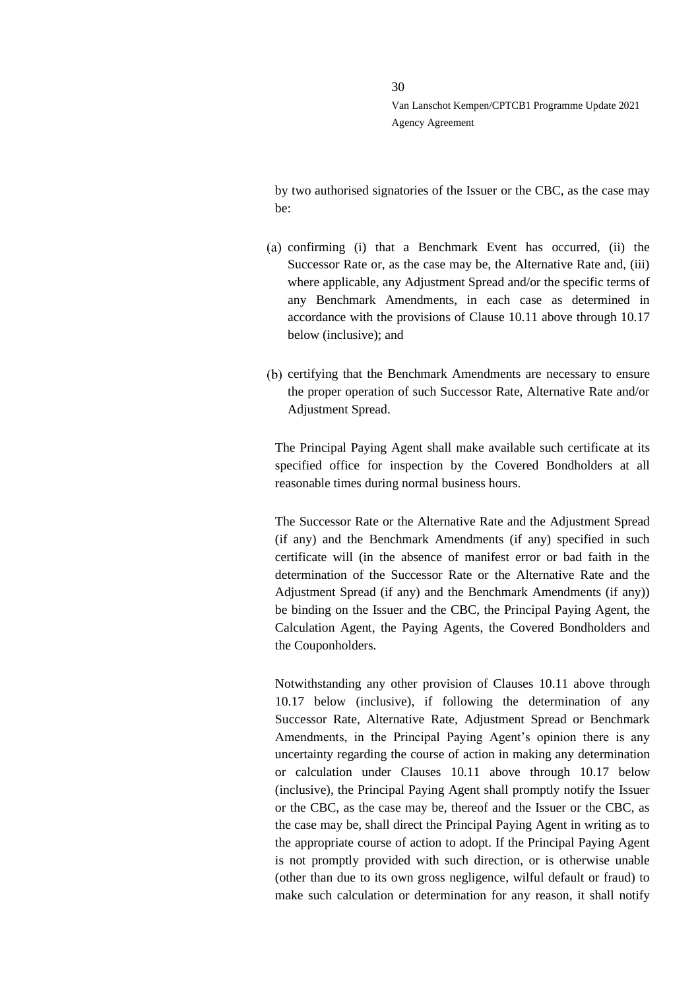by two authorised signatories of the Issuer or the CBC, as the case may be:

- confirming (i) that a Benchmark Event has occurred, (ii) the Successor Rate or, as the case may be, the Alternative Rate and, (iii) where applicable, any Adjustment Spread and/or the specific terms of any Benchmark Amendments, in each case as determined in accordance with the provisions of Clause [10.11](#page-26-0) above through [10.17](#page-30-0) below (inclusive); and
- (b) certifying that the Benchmark Amendments are necessary to ensure the proper operation of such Successor Rate, Alternative Rate and/or Adjustment Spread.

The Principal Paying Agent shall make available such certificate at its specified office for inspection by the Covered Bondholders at all reasonable times during normal business hours.

The Successor Rate or the Alternative Rate and the Adjustment Spread (if any) and the Benchmark Amendments (if any) specified in such certificate will (in the absence of manifest error or bad faith in the determination of the Successor Rate or the Alternative Rate and the Adjustment Spread (if any) and the Benchmark Amendments (if any)) be binding on the Issuer and the CBC, the Principal Paying Agent, the Calculation Agent, the Paying Agents, the Covered Bondholders and the Couponholders.

Notwithstanding any other provision of Clauses [10.11](#page-26-0) above through [10.17](#page-30-0) below (inclusive), if following the determination of any Successor Rate, Alternative Rate, Adjustment Spread or Benchmark Amendments, in the Principal Paying Agent's opinion there is any uncertainty regarding the course of action in making any determination or calculation under Clauses [10.11](#page-26-0) above through [10.17](#page-30-0) below (inclusive), the Principal Paying Agent shall promptly notify the Issuer or the CBC, as the case may be, thereof and the Issuer or the CBC, as the case may be, shall direct the Principal Paying Agent in writing as to the appropriate course of action to adopt. If the Principal Paying Agent is not promptly provided with such direction, or is otherwise unable (other than due to its own gross negligence, wilful default or fraud) to make such calculation or determination for any reason, it shall notify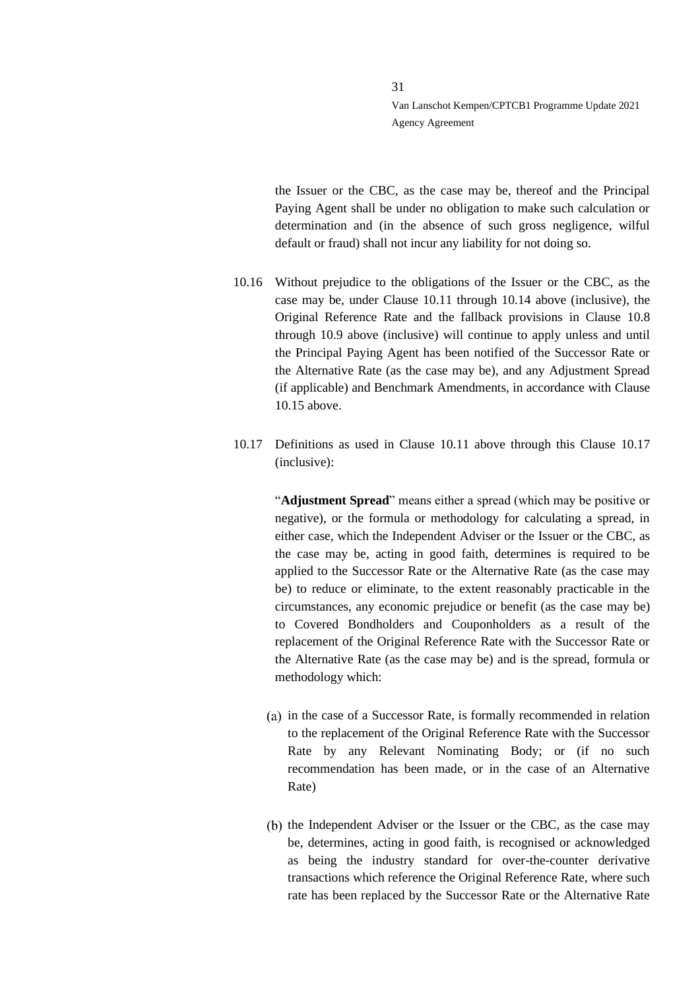the Issuer or the CBC, as the case may be, thereof and the Principal Paying Agent shall be under no obligation to make such calculation or determination and (in the absence of such gross negligence, wilful default or fraud) shall not incur any liability for not doing so.

- 10.16 Without prejudice to the obligations of the Issuer or the CBC, as the case may be, under Clause [10.11](#page-26-0) through [10.14](#page-27-2) above (inclusive), the Original Reference Rate and the fallback provisions in Clause [10.8](#page-24-3) through [10.9](#page-25-0) above (inclusive) will continue to apply unless and until the Principal Paying Agent has been notified of the Successor Rate or the Alternative Rate (as the case may be), and any Adjustment Spread (if applicable) and Benchmark Amendments, in accordance with Clause [10.15](#page-28-0) above.
- <span id="page-30-0"></span>10.17 Definitions as used in Clause [10.11](#page-26-0) above through this Clause [10.17](#page-30-0) (inclusive):

"**Adjustment Spread**" means either a spread (which may be positive or negative), or the formula or methodology for calculating a spread, in either case, which the Independent Adviser or the Issuer or the CBC, as the case may be, acting in good faith, determines is required to be applied to the Successor Rate or the Alternative Rate (as the case may be) to reduce or eliminate, to the extent reasonably practicable in the circumstances, any economic prejudice or benefit (as the case may be) to Covered Bondholders and Couponholders as a result of the replacement of the Original Reference Rate with the Successor Rate or the Alternative Rate (as the case may be) and is the spread, formula or methodology which:

- (a) in the case of a Successor Rate, is formally recommended in relation to the replacement of the Original Reference Rate with the Successor Rate by any Relevant Nominating Body; or (if no such recommendation has been made, or in the case of an Alternative Rate)
- (b) the Independent Adviser or the Issuer or the CBC, as the case may be, determines, acting in good faith, is recognised or acknowledged as being the industry standard for over-the-counter derivative transactions which reference the Original Reference Rate, where such rate has been replaced by the Successor Rate or the Alternative Rate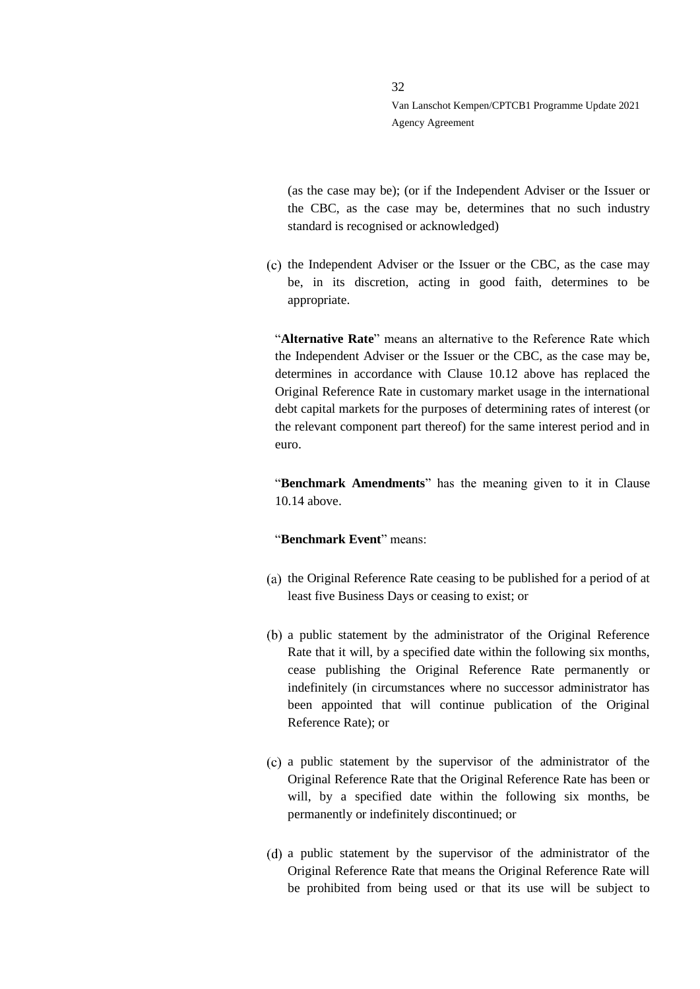(as the case may be); (or if the Independent Adviser or the Issuer or the CBC, as the case may be, determines that no such industry standard is recognised or acknowledged)

 $\sigma$  the Independent Adviser or the Issuer or the CBC, as the case may be, in its discretion, acting in good faith, determines to be appropriate.

"**Alternative Rate**" means an alternative to the Reference Rate which the Independent Adviser or the Issuer or the CBC, as the case may be, determines in accordance with Clause [10.12](#page-27-0) above has replaced the Original Reference Rate in customary market usage in the international debt capital markets for the purposes of determining rates of interest (or the relevant component part thereof) for the same interest period and in euro.

"**Benchmark Amendments**" has the meaning given to it in Clause [10.14](#page-27-2) above.

#### "**Benchmark Event**" means:

- $(a)$  the Original Reference Rate ceasing to be published for a period of at least five Business Days or ceasing to exist; or
- a public statement by the administrator of the Original Reference Rate that it will, by a specified date within the following six months, cease publishing the Original Reference Rate permanently or indefinitely (in circumstances where no successor administrator has been appointed that will continue publication of the Original Reference Rate); or
- a public statement by the supervisor of the administrator of the Original Reference Rate that the Original Reference Rate has been or will, by a specified date within the following six months, be permanently or indefinitely discontinued; or
- a public statement by the supervisor of the administrator of the Original Reference Rate that means the Original Reference Rate will be prohibited from being used or that its use will be subject to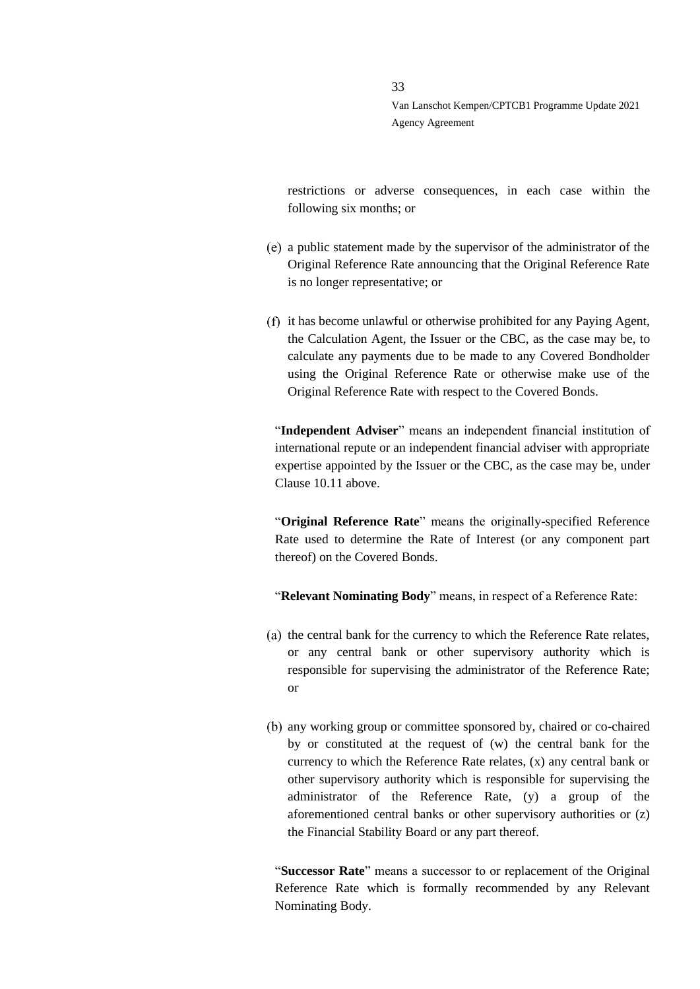restrictions or adverse consequences, in each case within the following six months; or

- a public statement made by the supervisor of the administrator of the Original Reference Rate announcing that the Original Reference Rate is no longer representative; or
- (f) it has become unlawful or otherwise prohibited for any Paying Agent, the Calculation Agent, the Issuer or the CBC, as the case may be, to calculate any payments due to be made to any Covered Bondholder using the Original Reference Rate or otherwise make use of the Original Reference Rate with respect to the Covered Bonds.

"**Independent Adviser**" means an independent financial institution of international repute or an independent financial adviser with appropriate expertise appointed by the Issuer or the CBC, as the case may be, under Claus[e 10.11](#page-26-0) above.

"**Original Reference Rate**" means the originally-specified Reference Rate used to determine the Rate of Interest (or any component part thereof) on the Covered Bonds.

"**Relevant Nominating Body**" means, in respect of a Reference Rate:

- $(a)$  the central bank for the currency to which the Reference Rate relates, or any central bank or other supervisory authority which is responsible for supervising the administrator of the Reference Rate; or
- any working group or committee sponsored by, chaired or co-chaired by or constituted at the request of (w) the central bank for the currency to which the Reference Rate relates, (x) any central bank or other supervisory authority which is responsible for supervising the administrator of the Reference Rate, (y) a group of the aforementioned central banks or other supervisory authorities or (z) the Financial Stability Board or any part thereof.

"**Successor Rate**" means a successor to or replacement of the Original Reference Rate which is formally recommended by any Relevant Nominating Body.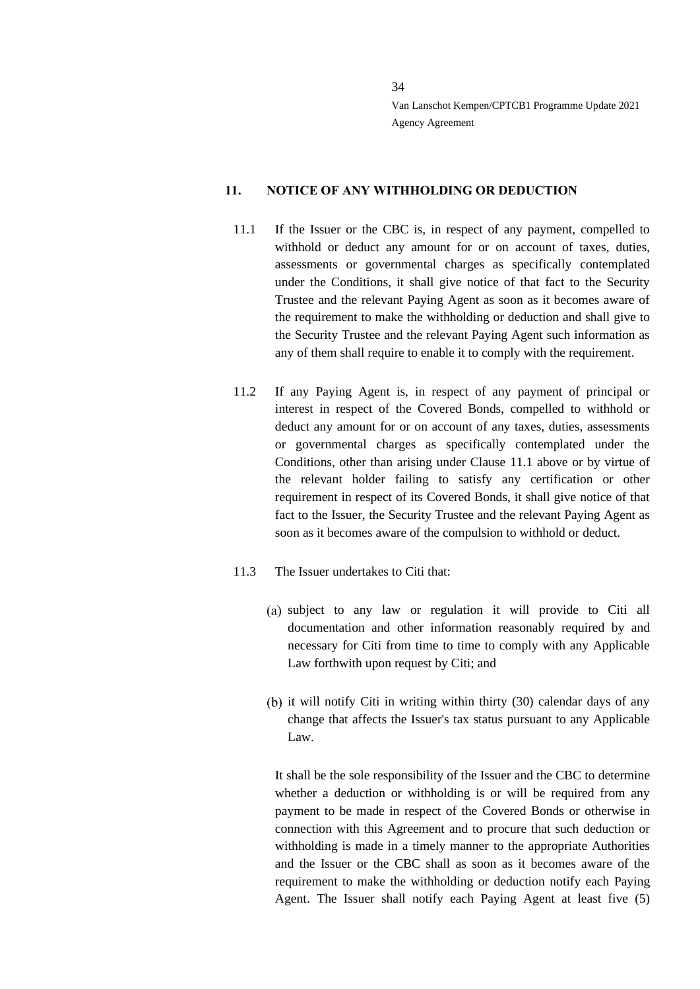#### <span id="page-33-0"></span>**11. NOTICE OF ANY WITHHOLDING OR DEDUCTION**

- <span id="page-33-1"></span>11.1 If the Issuer or the CBC is, in respect of any payment, compelled to withhold or deduct any amount for or on account of taxes, duties, assessments or governmental charges as specifically contemplated under the Conditions, it shall give notice of that fact to the Security Trustee and the relevant Paying Agent as soon as it becomes aware of the requirement to make the withholding or deduction and shall give to the Security Trustee and the relevant Paying Agent such information as any of them shall require to enable it to comply with the requirement.
- 11.2 If any Paying Agent is, in respect of any payment of principal or interest in respect of the Covered Bonds, compelled to withhold or deduct any amount for or on account of any taxes, duties, assessments or governmental charges as specifically contemplated under the Conditions, other than arising under Clause [11.1](#page-33-1) above or by virtue of the relevant holder failing to satisfy any certification or other requirement in respect of its Covered Bonds, it shall give notice of that fact to the Issuer, the Security Trustee and the relevant Paying Agent as soon as it becomes aware of the compulsion to withhold or deduct.
- 11.3 The Issuer undertakes to Citi that:
	- (a) subject to any law or regulation it will provide to Citi all documentation and other information reasonably required by and necessary for Citi from time to time to comply with any Applicable Law forthwith upon request by Citi; and
	- $(b)$  it will notify Citi in writing within thirty  $(30)$  calendar days of any change that affects the Issuer's tax status pursuant to any Applicable Law.

It shall be the sole responsibility of the Issuer and the CBC to determine whether a deduction or withholding is or will be required from any payment to be made in respect of the Covered Bonds or otherwise in connection with this Agreement and to procure that such deduction or withholding is made in a timely manner to the appropriate Authorities and the Issuer or the CBC shall as soon as it becomes aware of the requirement to make the withholding or deduction notify each Paying Agent. The Issuer shall notify each Paying Agent at least five (5)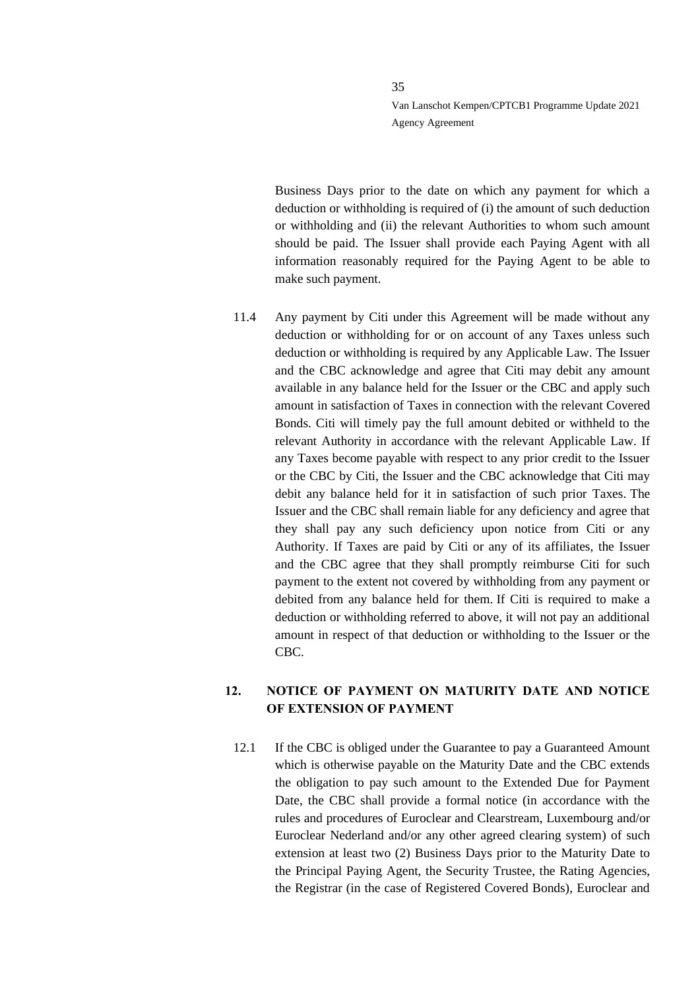Business Days prior to the date on which any payment for which a deduction or withholding is required of (i) the amount of such deduction or withholding and (ii) the relevant Authorities to whom such amount should be paid. The Issuer shall provide each Paying Agent with all information reasonably required for the Paying Agent to be able to make such payment.

11.4 Any payment by Citi under this Agreement will be made without any deduction or withholding for or on account of any Taxes unless such deduction or withholding is required by any Applicable Law. The Issuer and the CBC acknowledge and agree that Citi may debit any amount available in any balance held for the Issuer or the CBC and apply such amount in satisfaction of Taxes in connection with the relevant Covered Bonds. Citi will timely pay the full amount debited or withheld to the relevant Authority in accordance with the relevant Applicable Law. If any Taxes become payable with respect to any prior credit to the Issuer or the CBC by Citi, the Issuer and the CBC acknowledge that Citi may debit any balance held for it in satisfaction of such prior Taxes. The Issuer and the CBC shall remain liable for any deficiency and agree that they shall pay any such deficiency upon notice from Citi or any Authority. If Taxes are paid by Citi or any of its affiliates, the Issuer and the CBC agree that they shall promptly reimburse Citi for such payment to the extent not covered by withholding from any payment or debited from any balance held for them. If Citi is required to make a deduction or withholding referred to above, it will not pay an additional amount in respect of that deduction or withholding to the Issuer or the CBC.

# <span id="page-34-0"></span>**12. NOTICE OF PAYMENT ON MATURITY DATE AND NOTICE OF EXTENSION OF PAYMENT**

12.1 If the CBC is obliged under the Guarantee to pay a Guaranteed Amount which is otherwise payable on the Maturity Date and the CBC extends the obligation to pay such amount to the Extended Due for Payment Date, the CBC shall provide a formal notice (in accordance with the rules and procedures of Euroclear and Clearstream, Luxembourg and/or Euroclear Nederland and/or any other agreed clearing system) of such extension at least two (2) Business Days prior to the Maturity Date to the Principal Paying Agent, the Security Trustee, the Rating Agencies, the Registrar (in the case of Registered Covered Bonds), Euroclear and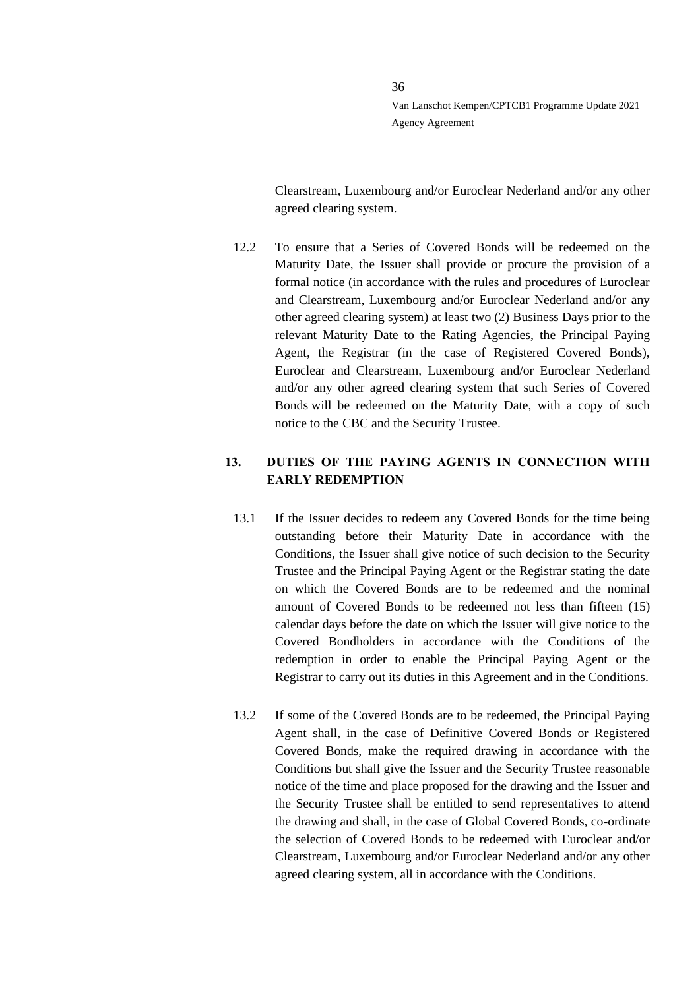Clearstream, Luxembourg and/or Euroclear Nederland and/or any other agreed clearing system.

12.2 To ensure that a Series of Covered Bonds will be redeemed on the Maturity Date, the Issuer shall provide or procure the provision of a formal notice (in accordance with the rules and procedures of Euroclear and Clearstream, Luxembourg and/or Euroclear Nederland and/or any other agreed clearing system) at least two (2) Business Days prior to the relevant Maturity Date to the Rating Agencies, the Principal Paying Agent, the Registrar (in the case of Registered Covered Bonds), Euroclear and Clearstream, Luxembourg and/or Euroclear Nederland and/or any other agreed clearing system that such Series of Covered Bonds will be redeemed on the Maturity Date, with a copy of such notice to the CBC and the Security Trustee.

# <span id="page-35-0"></span>**13. DUTIES OF THE PAYING AGENTS IN CONNECTION WITH EARLY REDEMPTION**

- 13.1 If the Issuer decides to redeem any Covered Bonds for the time being outstanding before their Maturity Date in accordance with the Conditions, the Issuer shall give notice of such decision to the Security Trustee and the Principal Paying Agent or the Registrar stating the date on which the Covered Bonds are to be redeemed and the nominal amount of Covered Bonds to be redeemed not less than fifteen (15) calendar days before the date on which the Issuer will give notice to the Covered Bondholders in accordance with the Conditions of the redemption in order to enable the Principal Paying Agent or the Registrar to carry out its duties in this Agreement and in the Conditions.
- 13.2 If some of the Covered Bonds are to be redeemed, the Principal Paying Agent shall, in the case of Definitive Covered Bonds or Registered Covered Bonds, make the required drawing in accordance with the Conditions but shall give the Issuer and the Security Trustee reasonable notice of the time and place proposed for the drawing and the Issuer and the Security Trustee shall be entitled to send representatives to attend the drawing and shall, in the case of Global Covered Bonds, co-ordinate the selection of Covered Bonds to be redeemed with Euroclear and/or Clearstream, Luxembourg and/or Euroclear Nederland and/or any other agreed clearing system, all in accordance with the Conditions.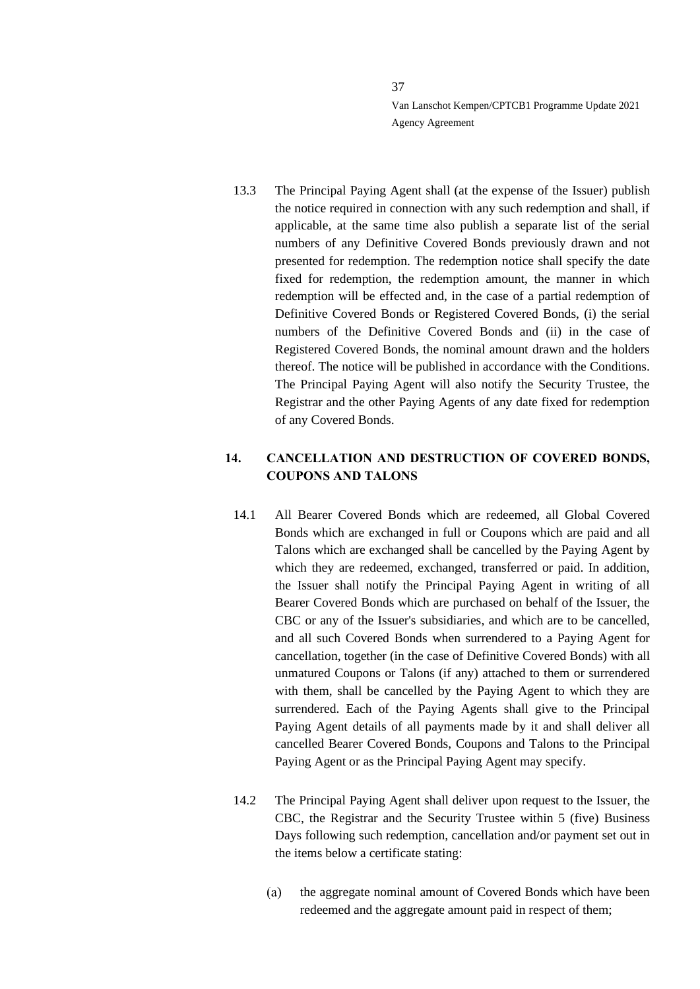13.3 The Principal Paying Agent shall (at the expense of the Issuer) publish the notice required in connection with any such redemption and shall, if applicable, at the same time also publish a separate list of the serial numbers of any Definitive Covered Bonds previously drawn and not presented for redemption. The redemption notice shall specify the date fixed for redemption, the redemption amount, the manner in which redemption will be effected and, in the case of a partial redemption of Definitive Covered Bonds or Registered Covered Bonds, (i) the serial numbers of the Definitive Covered Bonds and (ii) in the case of Registered Covered Bonds, the nominal amount drawn and the holders thereof. The notice will be published in accordance with the Conditions. The Principal Paying Agent will also notify the Security Trustee, the Registrar and the other Paying Agents of any date fixed for redemption of any Covered Bonds.

# **14. CANCELLATION AND DESTRUCTION OF COVERED BONDS, COUPONS AND TALONS**

- <span id="page-36-1"></span>14.1 All Bearer Covered Bonds which are redeemed, all Global Covered Bonds which are exchanged in full or Coupons which are paid and all Talons which are exchanged shall be cancelled by the Paying Agent by which they are redeemed, exchanged, transferred or paid. In addition, the Issuer shall notify the Principal Paying Agent in writing of all Bearer Covered Bonds which are purchased on behalf of the Issuer, the CBC or any of the Issuer's subsidiaries, and which are to be cancelled, and all such Covered Bonds when surrendered to a Paying Agent for cancellation, together (in the case of Definitive Covered Bonds) with all unmatured Coupons or Talons (if any) attached to them or surrendered with them, shall be cancelled by the Paying Agent to which they are surrendered. Each of the Paying Agents shall give to the Principal Paying Agent details of all payments made by it and shall deliver all cancelled Bearer Covered Bonds, Coupons and Talons to the Principal Paying Agent or as the Principal Paying Agent may specify.
- <span id="page-36-0"></span>14.2 The Principal Paying Agent shall deliver upon request to the Issuer, the CBC, the Registrar and the Security Trustee within 5 (five) Business Days following such redemption, cancellation and/or payment set out in the items below a certificate stating:
	- $(a)$ the aggregate nominal amount of Covered Bonds which have been redeemed and the aggregate amount paid in respect of them;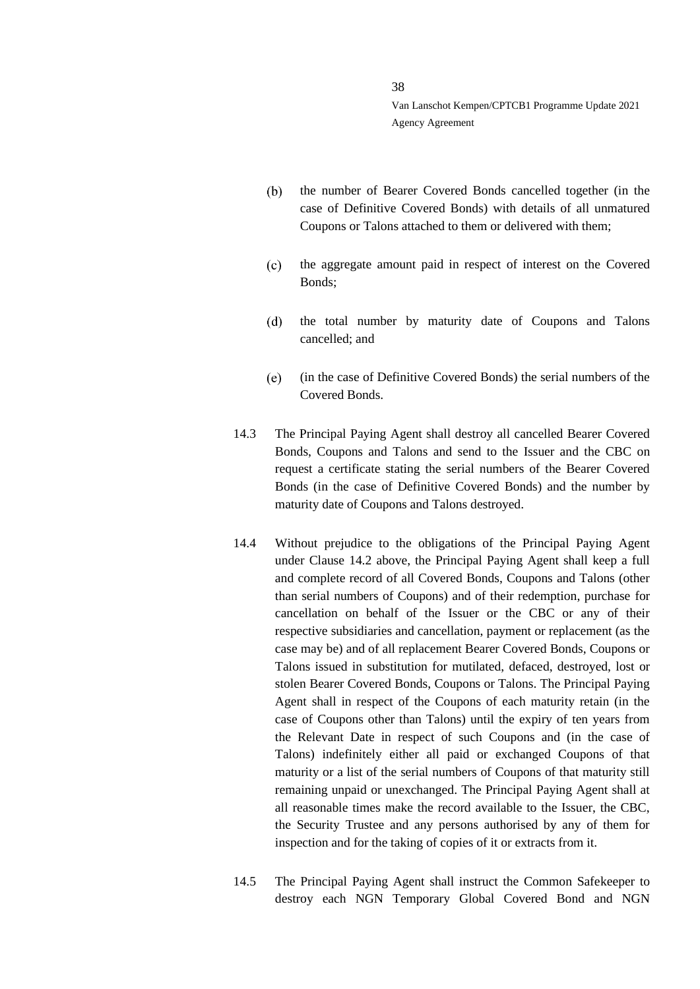- the number of Bearer Covered Bonds cancelled together (in the  $(b)$ case of Definitive Covered Bonds) with details of all unmatured Coupons or Talons attached to them or delivered with them;
- the aggregate amount paid in respect of interest on the Covered  $(c)$ Bonds;
- $(d)$ the total number by maturity date of Coupons and Talons cancelled; and
- $(e)$ (in the case of Definitive Covered Bonds) the serial numbers of the Covered Bonds.
- 14.3 The Principal Paying Agent shall destroy all cancelled Bearer Covered Bonds, Coupons and Talons and send to the Issuer and the CBC on request a certificate stating the serial numbers of the Bearer Covered Bonds (in the case of Definitive Covered Bonds) and the number by maturity date of Coupons and Talons destroyed.
- 14.4 Without prejudice to the obligations of the Principal Paying Agent under Clause [14.2](#page-36-0) above, the Principal Paying Agent shall keep a full and complete record of all Covered Bonds, Coupons and Talons (other than serial numbers of Coupons) and of their redemption, purchase for cancellation on behalf of the Issuer or the CBC or any of their respective subsidiaries and cancellation, payment or replacement (as the case may be) and of all replacement Bearer Covered Bonds, Coupons or Talons issued in substitution for mutilated, defaced, destroyed, lost or stolen Bearer Covered Bonds, Coupons or Talons. The Principal Paying Agent shall in respect of the Coupons of each maturity retain (in the case of Coupons other than Talons) until the expiry of ten years from the Relevant Date in respect of such Coupons and (in the case of Talons) indefinitely either all paid or exchanged Coupons of that maturity or a list of the serial numbers of Coupons of that maturity still remaining unpaid or unexchanged. The Principal Paying Agent shall at all reasonable times make the record available to the Issuer, the CBC, the Security Trustee and any persons authorised by any of them for inspection and for the taking of copies of it or extracts from it.
- 14.5 The Principal Paying Agent shall instruct the Common Safekeeper to destroy each NGN Temporary Global Covered Bond and NGN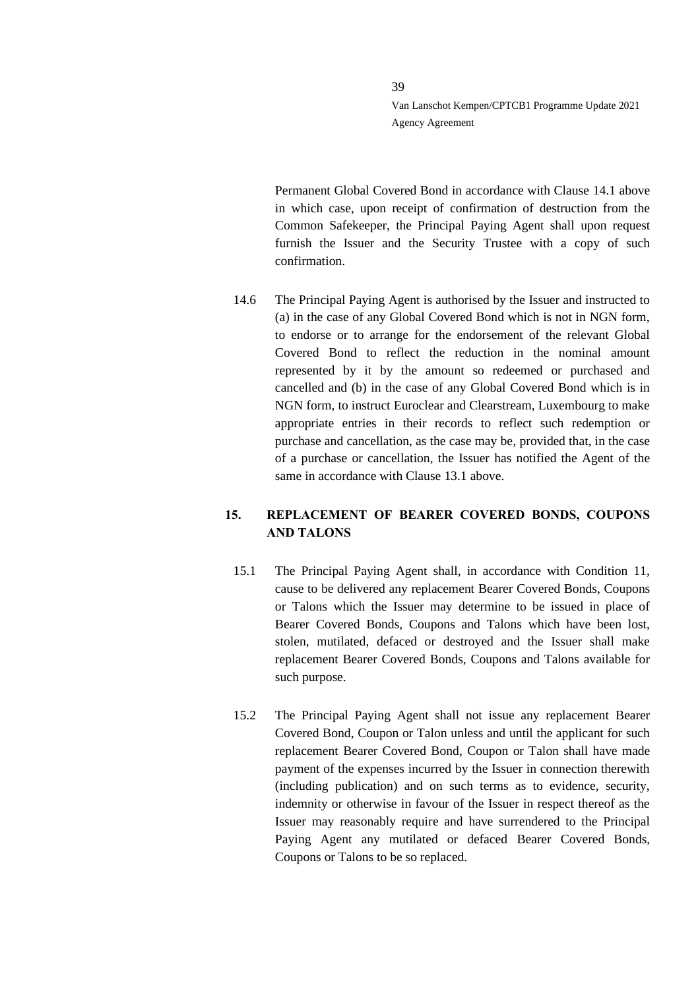Permanent Global Covered Bond in accordance with Clause [14.1](#page-36-1) above in which case, upon receipt of confirmation of destruction from the Common Safekeeper, the Principal Paying Agent shall upon request furnish the Issuer and the Security Trustee with a copy of such confirmation.

14.6 The Principal Paying Agent is authorised by the Issuer and instructed to (a) in the case of any Global Covered Bond which is not in NGN form, to endorse or to arrange for the endorsement of the relevant Global Covered Bond to reflect the reduction in the nominal amount represented by it by the amount so redeemed or purchased and cancelled and (b) in the case of any Global Covered Bond which is in NGN form, to instruct Euroclear and Clearstream, Luxembourg to make appropriate entries in their records to reflect such redemption or purchase and cancellation, as the case may be, provided that, in the case of a purchase or cancellation, the Issuer has notified the Agent of the same in accordance with Clause [13.1](#page-35-0) above.

# **15. REPLACEMENT OF BEARER COVERED BONDS, COUPONS AND TALONS**

- 15.1 The Principal Paying Agent shall, in accordance with Condition 11, cause to be delivered any replacement Bearer Covered Bonds, Coupons or Talons which the Issuer may determine to be issued in place of Bearer Covered Bonds, Coupons and Talons which have been lost, stolen, mutilated, defaced or destroyed and the Issuer shall make replacement Bearer Covered Bonds, Coupons and Talons available for such purpose.
- 15.2 The Principal Paying Agent shall not issue any replacement Bearer Covered Bond, Coupon or Talon unless and until the applicant for such replacement Bearer Covered Bond, Coupon or Talon shall have made payment of the expenses incurred by the Issuer in connection therewith (including publication) and on such terms as to evidence, security, indemnity or otherwise in favour of the Issuer in respect thereof as the Issuer may reasonably require and have surrendered to the Principal Paying Agent any mutilated or defaced Bearer Covered Bonds, Coupons or Talons to be so replaced.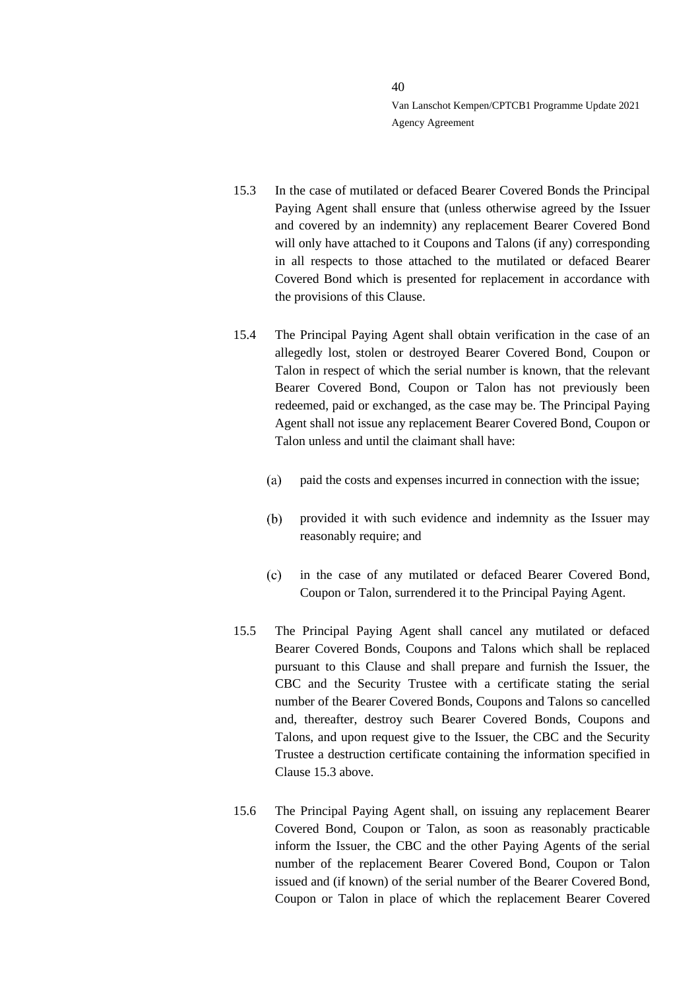- <span id="page-39-0"></span>15.3 In the case of mutilated or defaced Bearer Covered Bonds the Principal Paying Agent shall ensure that (unless otherwise agreed by the Issuer and covered by an indemnity) any replacement Bearer Covered Bond will only have attached to it Coupons and Talons (if any) corresponding in all respects to those attached to the mutilated or defaced Bearer Covered Bond which is presented for replacement in accordance with the provisions of this Clause.
- 15.4 The Principal Paying Agent shall obtain verification in the case of an allegedly lost, stolen or destroyed Bearer Covered Bond, Coupon or Talon in respect of which the serial number is known, that the relevant Bearer Covered Bond, Coupon or Talon has not previously been redeemed, paid or exchanged, as the case may be. The Principal Paying Agent shall not issue any replacement Bearer Covered Bond, Coupon or Talon unless and until the claimant shall have:
	- $(a)$ paid the costs and expenses incurred in connection with the issue;
	- provided it with such evidence and indemnity as the Issuer may  $(b)$ reasonably require; and
	- $(c)$ in the case of any mutilated or defaced Bearer Covered Bond, Coupon or Talon, surrendered it to the Principal Paying Agent.
- 15.5 The Principal Paying Agent shall cancel any mutilated or defaced Bearer Covered Bonds, Coupons and Talons which shall be replaced pursuant to this Clause and shall prepare and furnish the Issuer, the CBC and the Security Trustee with a certificate stating the serial number of the Bearer Covered Bonds, Coupons and Talons so cancelled and, thereafter, destroy such Bearer Covered Bonds, Coupons and Talons, and upon request give to the Issuer, the CBC and the Security Trustee a destruction certificate containing the information specified in Claus[e 15.3](#page-39-0) above.
- 15.6 The Principal Paying Agent shall, on issuing any replacement Bearer Covered Bond, Coupon or Talon, as soon as reasonably practicable inform the Issuer, the CBC and the other Paying Agents of the serial number of the replacement Bearer Covered Bond, Coupon or Talon issued and (if known) of the serial number of the Bearer Covered Bond, Coupon or Talon in place of which the replacement Bearer Covered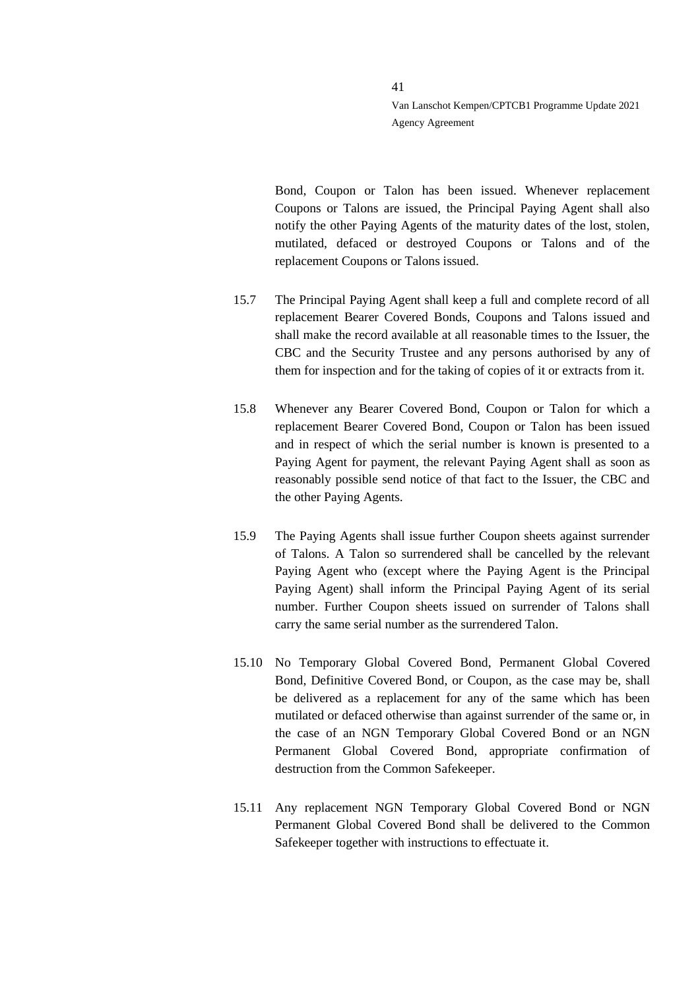Bond, Coupon or Talon has been issued. Whenever replacement Coupons or Talons are issued, the Principal Paying Agent shall also notify the other Paying Agents of the maturity dates of the lost, stolen, mutilated, defaced or destroyed Coupons or Talons and of the replacement Coupons or Talons issued.

- 15.7 The Principal Paying Agent shall keep a full and complete record of all replacement Bearer Covered Bonds, Coupons and Talons issued and shall make the record available at all reasonable times to the Issuer, the CBC and the Security Trustee and any persons authorised by any of them for inspection and for the taking of copies of it or extracts from it.
- 15.8 Whenever any Bearer Covered Bond, Coupon or Talon for which a replacement Bearer Covered Bond, Coupon or Talon has been issued and in respect of which the serial number is known is presented to a Paying Agent for payment, the relevant Paying Agent shall as soon as reasonably possible send notice of that fact to the Issuer, the CBC and the other Paying Agents.
- 15.9 The Paying Agents shall issue further Coupon sheets against surrender of Talons. A Talon so surrendered shall be cancelled by the relevant Paying Agent who (except where the Paying Agent is the Principal Paying Agent) shall inform the Principal Paying Agent of its serial number. Further Coupon sheets issued on surrender of Talons shall carry the same serial number as the surrendered Talon.
- 15.10 No Temporary Global Covered Bond, Permanent Global Covered Bond, Definitive Covered Bond, or Coupon, as the case may be, shall be delivered as a replacement for any of the same which has been mutilated or defaced otherwise than against surrender of the same or, in the case of an NGN Temporary Global Covered Bond or an NGN Permanent Global Covered Bond, appropriate confirmation of destruction from the Common Safekeeper.
- 15.11 Any replacement NGN Temporary Global Covered Bond or NGN Permanent Global Covered Bond shall be delivered to the Common Safekeeper together with instructions to effectuate it.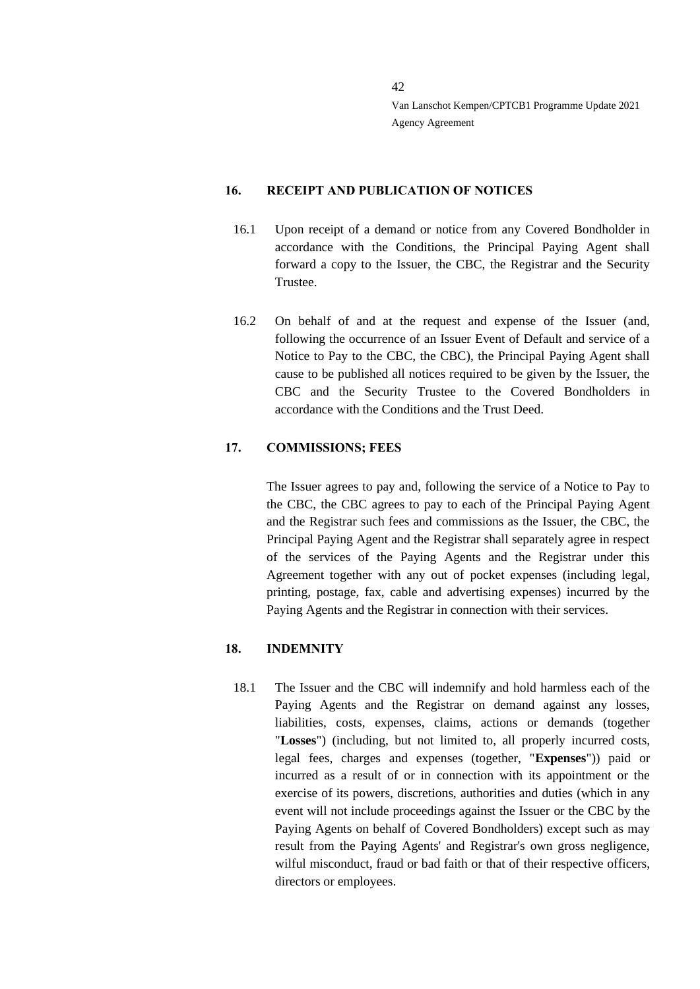#### **16. RECEIPT AND PUBLICATION OF NOTICES**

- 16.1 Upon receipt of a demand or notice from any Covered Bondholder in accordance with the Conditions, the Principal Paying Agent shall forward a copy to the Issuer, the CBC, the Registrar and the Security Trustee.
- 16.2 On behalf of and at the request and expense of the Issuer (and, following the occurrence of an Issuer Event of Default and service of a Notice to Pay to the CBC, the CBC), the Principal Paying Agent shall cause to be published all notices required to be given by the Issuer, the CBC and the Security Trustee to the Covered Bondholders in accordance with the Conditions and the Trust Deed.

### <span id="page-41-0"></span>**17. COMMISSIONS; FEES**

The Issuer agrees to pay and, following the service of a Notice to Pay to the CBC, the CBC agrees to pay to each of the Principal Paying Agent and the Registrar such fees and commissions as the Issuer, the CBC, the Principal Paying Agent and the Registrar shall separately agree in respect of the services of the Paying Agents and the Registrar under this Agreement together with any out of pocket expenses (including legal, printing, postage, fax, cable and advertising expenses) incurred by the Paying Agents and the Registrar in connection with their services.

#### **18. INDEMNITY**

18.1 The Issuer and the CBC will indemnify and hold harmless each of the Paying Agents and the Registrar on demand against any losses, liabilities, costs, expenses, claims, actions or demands (together "**Losses**") (including, but not limited to, all properly incurred costs, legal fees, charges and expenses (together, "**Expenses**")) paid or incurred as a result of or in connection with its appointment or the exercise of its powers, discretions, authorities and duties (which in any event will not include proceedings against the Issuer or the CBC by the Paying Agents on behalf of Covered Bondholders) except such as may result from the Paying Agents' and Registrar's own gross negligence, wilful misconduct, fraud or bad faith or that of their respective officers, directors or employees.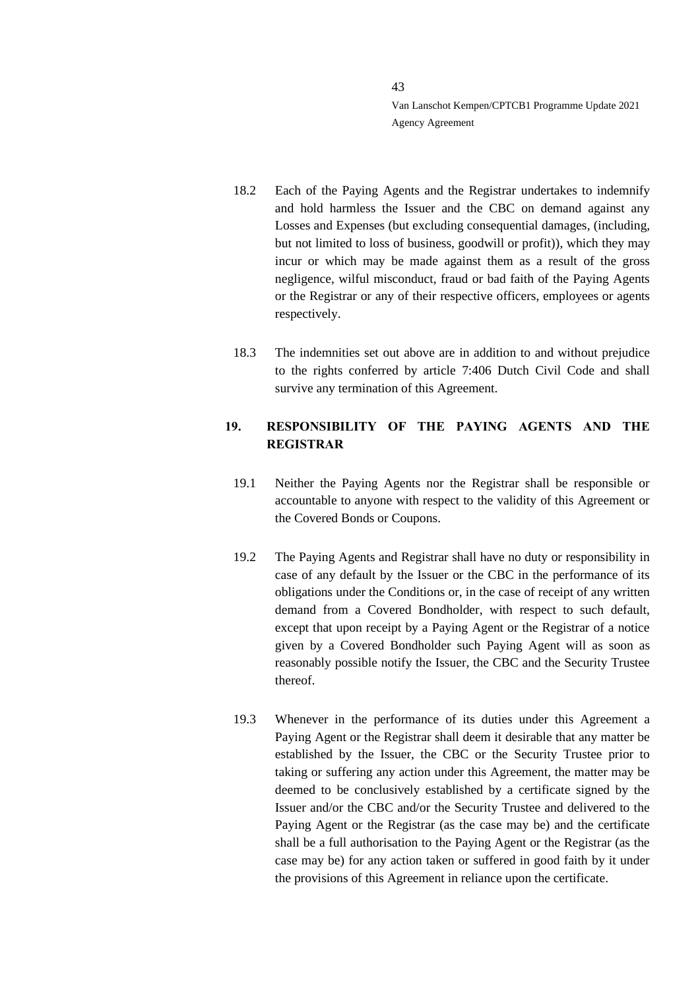- 18.2 Each of the Paying Agents and the Registrar undertakes to indemnify and hold harmless the Issuer and the CBC on demand against any Losses and Expenses (but excluding consequential damages, (including, but not limited to loss of business, goodwill or profit)), which they may incur or which may be made against them as a result of the gross negligence, wilful misconduct, fraud or bad faith of the Paying Agents or the Registrar or any of their respective officers, employees or agents respectively.
- 18.3 The indemnities set out above are in addition to and without prejudice to the rights conferred by article 7:406 Dutch Civil Code and shall survive any termination of this Agreement.

# **19. RESPONSIBILITY OF THE PAYING AGENTS AND THE REGISTRAR**

- 19.1 Neither the Paying Agents nor the Registrar shall be responsible or accountable to anyone with respect to the validity of this Agreement or the Covered Bonds or Coupons.
- 19.2 The Paying Agents and Registrar shall have no duty or responsibility in case of any default by the Issuer or the CBC in the performance of its obligations under the Conditions or, in the case of receipt of any written demand from a Covered Bondholder, with respect to such default, except that upon receipt by a Paying Agent or the Registrar of a notice given by a Covered Bondholder such Paying Agent will as soon as reasonably possible notify the Issuer, the CBC and the Security Trustee thereof.
- 19.3 Whenever in the performance of its duties under this Agreement a Paying Agent or the Registrar shall deem it desirable that any matter be established by the Issuer, the CBC or the Security Trustee prior to taking or suffering any action under this Agreement, the matter may be deemed to be conclusively established by a certificate signed by the Issuer and/or the CBC and/or the Security Trustee and delivered to the Paying Agent or the Registrar (as the case may be) and the certificate shall be a full authorisation to the Paying Agent or the Registrar (as the case may be) for any action taken or suffered in good faith by it under the provisions of this Agreement in reliance upon the certificate.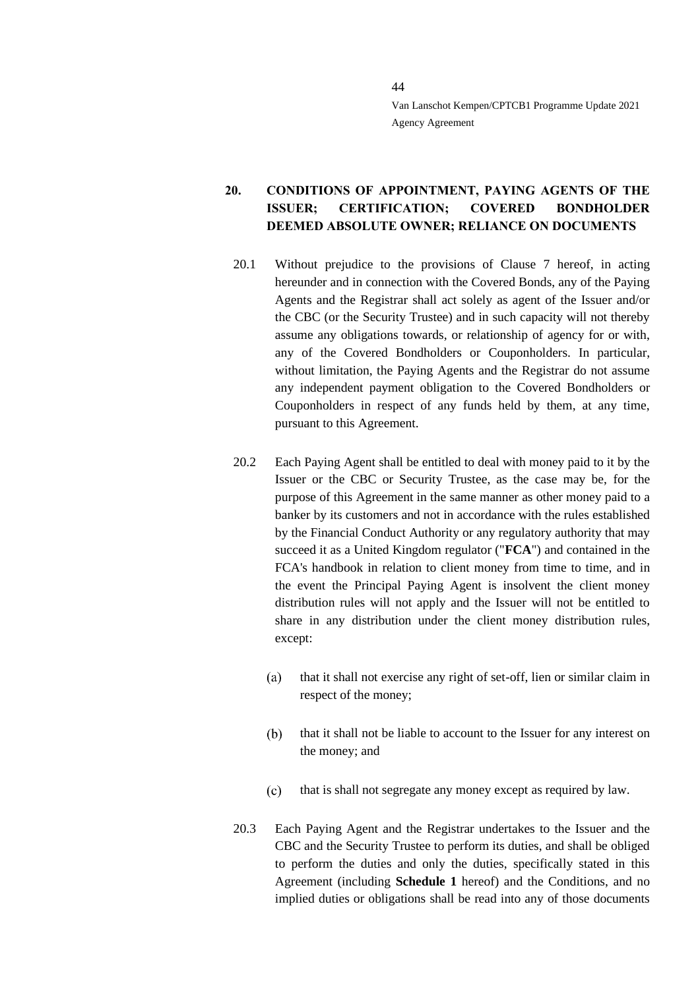# **20. CONDITIONS OF APPOINTMENT, PAYING AGENTS OF THE ISSUER; CERTIFICATION; COVERED BONDHOLDER DEEMED ABSOLUTE OWNER; RELIANCE ON DOCUMENTS**

- 20.1 Without prejudice to the provisions of Clause [7](#page-15-0) hereof, in acting hereunder and in connection with the Covered Bonds, any of the Paying Agents and the Registrar shall act solely as agent of the Issuer and/or the CBC (or the Security Trustee) and in such capacity will not thereby assume any obligations towards, or relationship of agency for or with, any of the Covered Bondholders or Couponholders. In particular, without limitation, the Paying Agents and the Registrar do not assume any independent payment obligation to the Covered Bondholders or Couponholders in respect of any funds held by them, at any time, pursuant to this Agreement.
- 20.2 Each Paying Agent shall be entitled to deal with money paid to it by the Issuer or the CBC or Security Trustee, as the case may be, for the purpose of this Agreement in the same manner as other money paid to a banker by its customers and not in accordance with the rules established by the Financial Conduct Authority or any regulatory authority that may succeed it as a United Kingdom regulator ("**FCA**") and contained in the FCA's handbook in relation to client money from time to time, and in the event the Principal Paying Agent is insolvent the client money distribution rules will not apply and the Issuer will not be entitled to share in any distribution under the client money distribution rules, except:
	- $(a)$ that it shall not exercise any right of set-off, lien or similar claim in respect of the money;
	- $(b)$ that it shall not be liable to account to the Issuer for any interest on the money; and
	- $(c)$ that is shall not segregate any money except as required by law.
- 20.3 Each Paying Agent and the Registrar undertakes to the Issuer and the CBC and the Security Trustee to perform its duties, and shall be obliged to perform the duties and only the duties, specifically stated in this Agreement (including **Schedule 1** hereof) and the Conditions, and no implied duties or obligations shall be read into any of those documents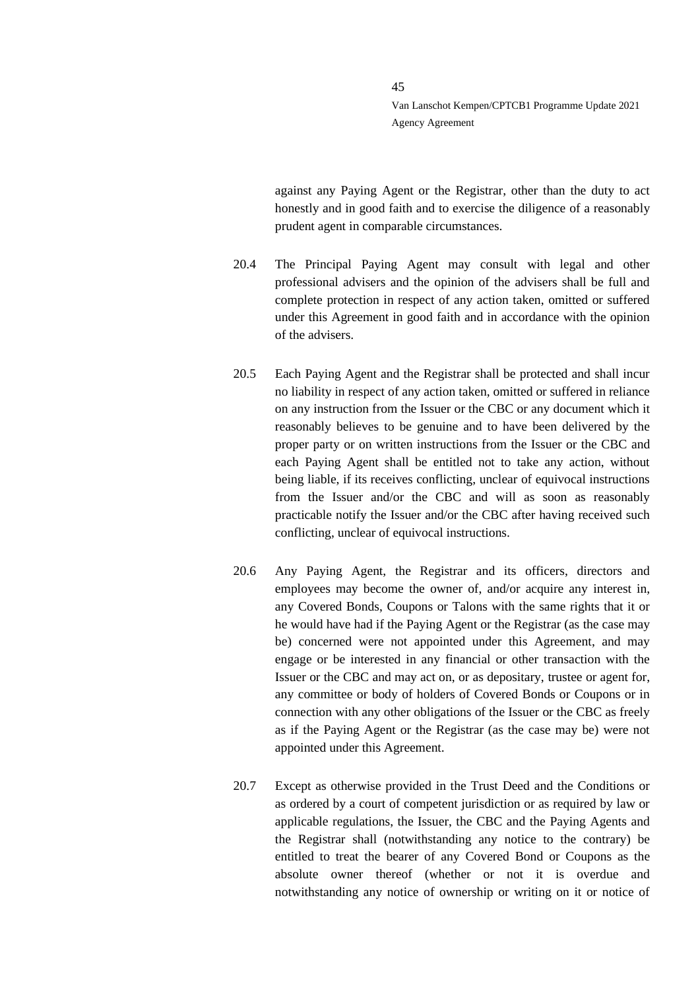against any Paying Agent or the Registrar, other than the duty to act honestly and in good faith and to exercise the diligence of a reasonably prudent agent in comparable circumstances.

- 20.4 The Principal Paying Agent may consult with legal and other professional advisers and the opinion of the advisers shall be full and complete protection in respect of any action taken, omitted or suffered under this Agreement in good faith and in accordance with the opinion of the advisers.
- 20.5 Each Paying Agent and the Registrar shall be protected and shall incur no liability in respect of any action taken, omitted or suffered in reliance on any instruction from the Issuer or the CBC or any document which it reasonably believes to be genuine and to have been delivered by the proper party or on written instructions from the Issuer or the CBC and each Paying Agent shall be entitled not to take any action, without being liable, if its receives conflicting, unclear of equivocal instructions from the Issuer and/or the CBC and will as soon as reasonably practicable notify the Issuer and/or the CBC after having received such conflicting, unclear of equivocal instructions.
- 20.6 Any Paying Agent, the Registrar and its officers, directors and employees may become the owner of, and/or acquire any interest in, any Covered Bonds, Coupons or Talons with the same rights that it or he would have had if the Paying Agent or the Registrar (as the case may be) concerned were not appointed under this Agreement, and may engage or be interested in any financial or other transaction with the Issuer or the CBC and may act on, or as depositary, trustee or agent for, any committee or body of holders of Covered Bonds or Coupons or in connection with any other obligations of the Issuer or the CBC as freely as if the Paying Agent or the Registrar (as the case may be) were not appointed under this Agreement.
- 20.7 Except as otherwise provided in the Trust Deed and the Conditions or as ordered by a court of competent jurisdiction or as required by law or applicable regulations, the Issuer, the CBC and the Paying Agents and the Registrar shall (notwithstanding any notice to the contrary) be entitled to treat the bearer of any Covered Bond or Coupons as the absolute owner thereof (whether or not it is overdue and notwithstanding any notice of ownership or writing on it or notice of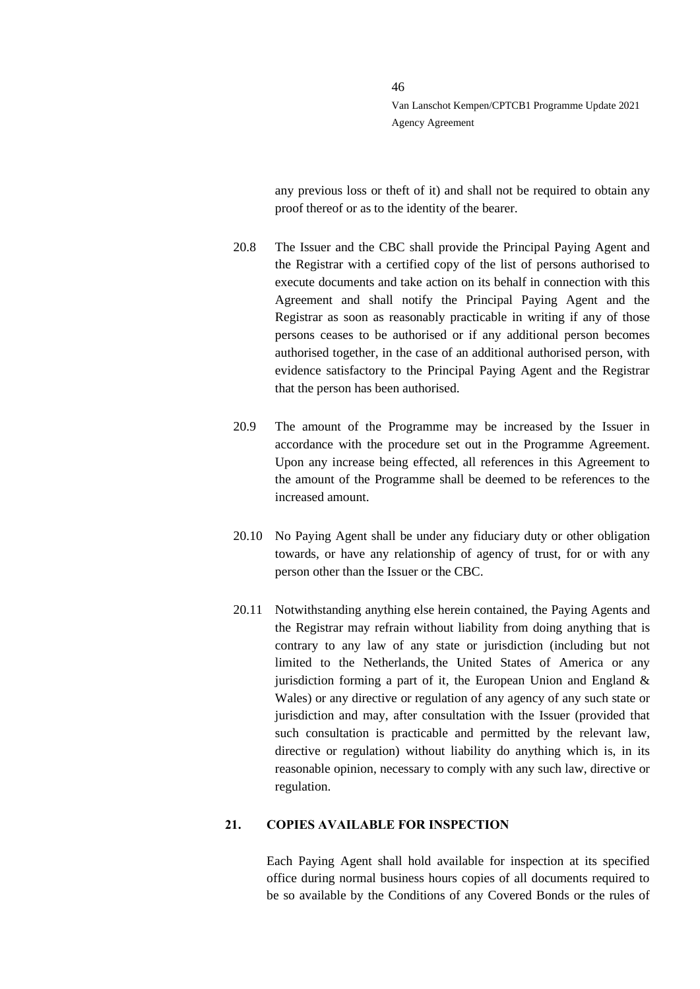any previous loss or theft of it) and shall not be required to obtain any proof thereof or as to the identity of the bearer.

- 20.8 The Issuer and the CBC shall provide the Principal Paying Agent and the Registrar with a certified copy of the list of persons authorised to execute documents and take action on its behalf in connection with this Agreement and shall notify the Principal Paying Agent and the Registrar as soon as reasonably practicable in writing if any of those persons ceases to be authorised or if any additional person becomes authorised together, in the case of an additional authorised person, with evidence satisfactory to the Principal Paying Agent and the Registrar that the person has been authorised.
- 20.9 The amount of the Programme may be increased by the Issuer in accordance with the procedure set out in the Programme Agreement. Upon any increase being effected, all references in this Agreement to the amount of the Programme shall be deemed to be references to the increased amount.
- 20.10 No Paying Agent shall be under any fiduciary duty or other obligation towards, or have any relationship of agency of trust, for or with any person other than the Issuer or the CBC.
- 20.11 Notwithstanding anything else herein contained, the Paying Agents and the Registrar may refrain without liability from doing anything that is contrary to any law of any state or jurisdiction (including but not limited to the Netherlands, the United States of America or any jurisdiction forming a part of it, the European Union and England  $\&$ Wales) or any directive or regulation of any agency of any such state or jurisdiction and may, after consultation with the Issuer (provided that such consultation is practicable and permitted by the relevant law, directive or regulation) without liability do anything which is, in its reasonable opinion, necessary to comply with any such law, directive or regulation.

#### **21. COPIES AVAILABLE FOR INSPECTION**

Each Paying Agent shall hold available for inspection at its specified office during normal business hours copies of all documents required to be so available by the Conditions of any Covered Bonds or the rules of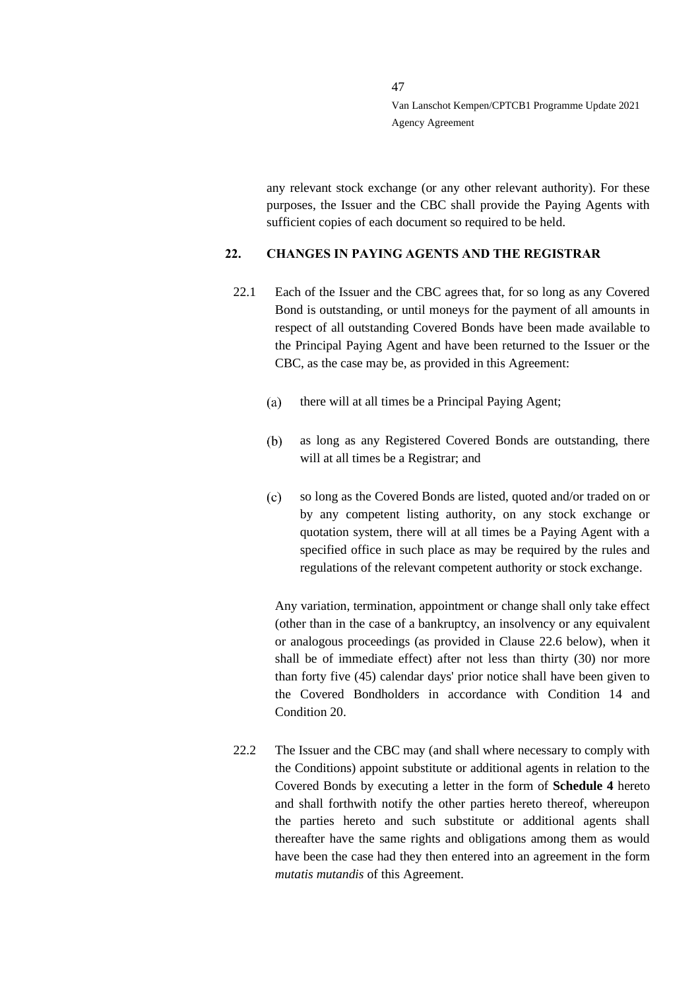any relevant stock exchange (or any other relevant authority). For these purposes, the Issuer and the CBC shall provide the Paying Agents with sufficient copies of each document so required to be held.

### <span id="page-46-1"></span>**22. CHANGES IN PAYING AGENTS AND THE REGISTRAR**

- <span id="page-46-0"></span>22.1 Each of the Issuer and the CBC agrees that, for so long as any Covered Bond is outstanding, or until moneys for the payment of all amounts in respect of all outstanding Covered Bonds have been made available to the Principal Paying Agent and have been returned to the Issuer or the CBC, as the case may be, as provided in this Agreement:
	- $(a)$ there will at all times be a Principal Paying Agent;
	- $(b)$ as long as any Registered Covered Bonds are outstanding, there will at all times be a Registrar; and
	- $(c)$ so long as the Covered Bonds are listed, quoted and/or traded on or by any competent listing authority, on any stock exchange or quotation system, there will at all times be a Paying Agent with a specified office in such place as may be required by the rules and regulations of the relevant competent authority or stock exchange.

Any variation, termination, appointment or change shall only take effect (other than in the case of a bankruptcy, an insolvency or any equivalent or analogous proceedings (as provided in Clause [22.6](#page-47-0) below), when it shall be of immediate effect) after not less than thirty (30) nor more than forty five (45) calendar days' prior notice shall have been given to the Covered Bondholders in accordance with Condition 14 and Condition 20.

22.2 The Issuer and the CBC may (and shall where necessary to comply with the Conditions) appoint substitute or additional agents in relation to the Covered Bonds by executing a letter in the form of **Schedule 4** hereto and shall forthwith notify the other parties hereto thereof, whereupon the parties hereto and such substitute or additional agents shall thereafter have the same rights and obligations among them as would have been the case had they then entered into an agreement in the form *mutatis mutandis* of this Agreement.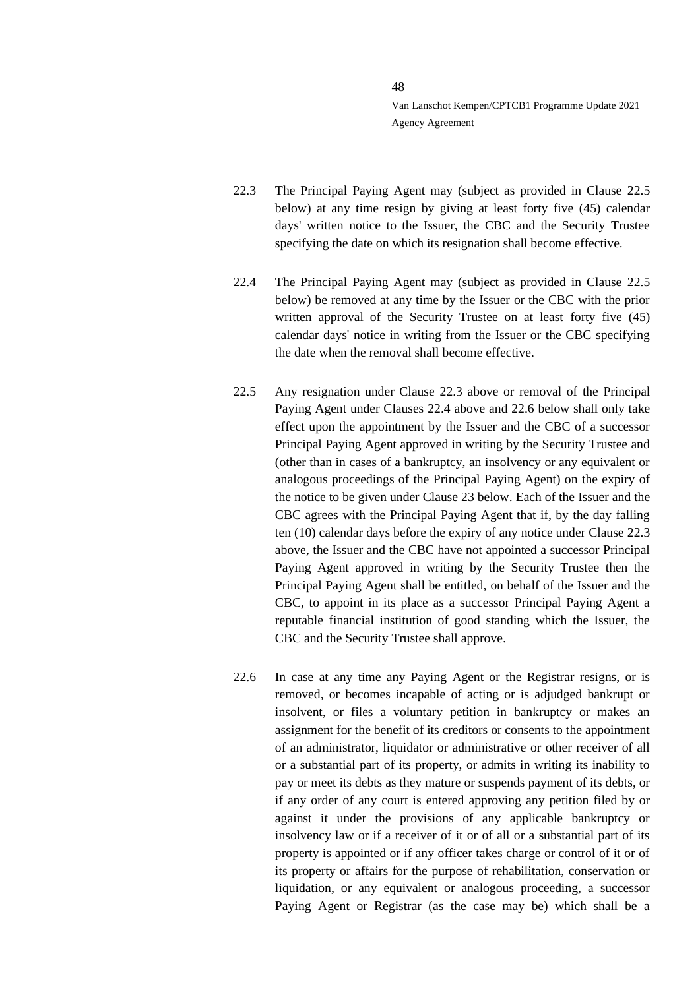- <span id="page-47-2"></span>22.3 The Principal Paying Agent may (subject as provided in Clause [22.5](#page-47-1) below) at any time resign by giving at least forty five (45) calendar days' written notice to the Issuer, the CBC and the Security Trustee specifying the date on which its resignation shall become effective.
- <span id="page-47-3"></span>22.4 The Principal Paying Agent may (subject as provided in Clause [22.5](#page-47-1) below) be removed at any time by the Issuer or the CBC with the prior written approval of the Security Trustee on at least forty five (45) calendar days' notice in writing from the Issuer or the CBC specifying the date when the removal shall become effective.
- <span id="page-47-1"></span>22.5 Any resignation under Clause [22.3](#page-47-2) above or removal of the Principal Paying Agent under Clauses [22.4](#page-47-3) above and [22.6](#page-47-0) below shall only take effect upon the appointment by the Issuer and the CBC of a successor Principal Paying Agent approved in writing by the Security Trustee and (other than in cases of a bankruptcy, an insolvency or any equivalent or analogous proceedings of the Principal Paying Agent) on the expiry of the notice to be given under Clause [23](#page-49-0) below. Each of the Issuer and the CBC agrees with the Principal Paying Agent that if, by the day falling ten (10) calendar days before the expiry of any notice under Clause [22.3](#page-47-2) above, the Issuer and the CBC have not appointed a successor Principal Paying Agent approved in writing by the Security Trustee then the Principal Paying Agent shall be entitled, on behalf of the Issuer and the CBC, to appoint in its place as a successor Principal Paying Agent a reputable financial institution of good standing which the Issuer, the CBC and the Security Trustee shall approve.
- <span id="page-47-0"></span>22.6 In case at any time any Paying Agent or the Registrar resigns, or is removed, or becomes incapable of acting or is adjudged bankrupt or insolvent, or files a voluntary petition in bankruptcy or makes an assignment for the benefit of its creditors or consents to the appointment of an administrator, liquidator or administrative or other receiver of all or a substantial part of its property, or admits in writing its inability to pay or meet its debts as they mature or suspends payment of its debts, or if any order of any court is entered approving any petition filed by or against it under the provisions of any applicable bankruptcy or insolvency law or if a receiver of it or of all or a substantial part of its property is appointed or if any officer takes charge or control of it or of its property or affairs for the purpose of rehabilitation, conservation or liquidation, or any equivalent or analogous proceeding, a successor Paying Agent or Registrar (as the case may be) which shall be a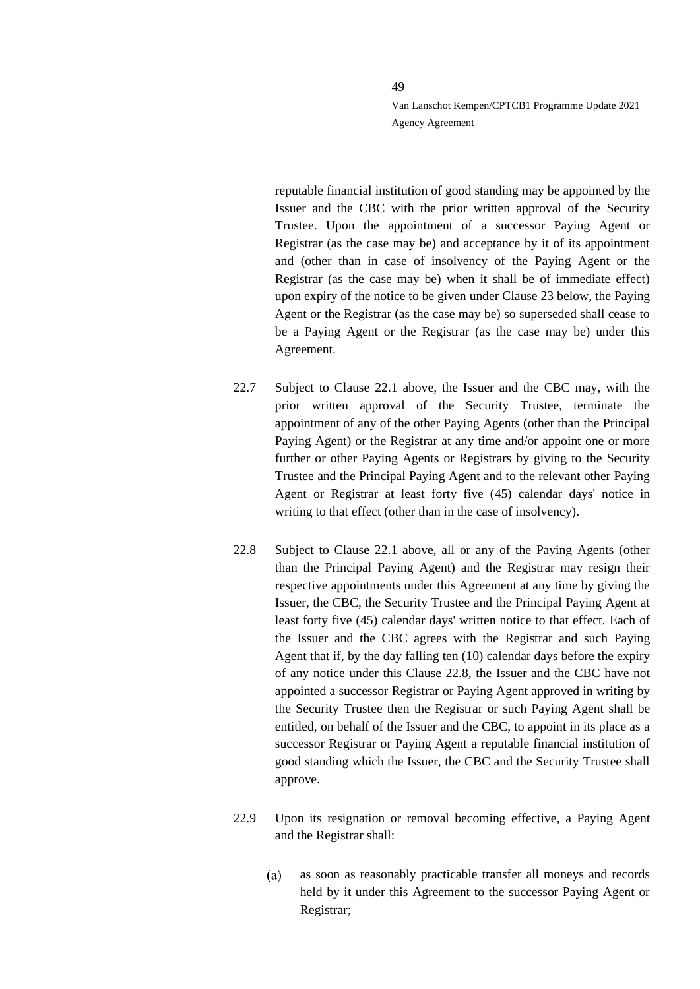reputable financial institution of good standing may be appointed by the Issuer and the CBC with the prior written approval of the Security Trustee. Upon the appointment of a successor Paying Agent or Registrar (as the case may be) and acceptance by it of its appointment and (other than in case of insolvency of the Paying Agent or the Registrar (as the case may be) when it shall be of immediate effect) upon expiry of the notice to be given under Clause [23](#page-49-0) below, the Paying Agent or the Registrar (as the case may be) so superseded shall cease to be a Paying Agent or the Registrar (as the case may be) under this Agreement.

- <span id="page-48-1"></span>22.7 Subject to Clause [22.1](#page-46-0) above, the Issuer and the CBC may, with the prior written approval of the Security Trustee, terminate the appointment of any of the other Paying Agents (other than the Principal Paying Agent) or the Registrar at any time and/or appoint one or more further or other Paying Agents or Registrars by giving to the Security Trustee and the Principal Paying Agent and to the relevant other Paying Agent or Registrar at least forty five (45) calendar days' notice in writing to that effect (other than in the case of insolvency).
- <span id="page-48-0"></span>22.8 Subject to Clause [22.1](#page-46-0) above, all or any of the Paying Agents (other than the Principal Paying Agent) and the Registrar may resign their respective appointments under this Agreement at any time by giving the Issuer, the CBC, the Security Trustee and the Principal Paying Agent at least forty five (45) calendar days' written notice to that effect. Each of the Issuer and the CBC agrees with the Registrar and such Paying Agent that if, by the day falling ten (10) calendar days before the expiry of any notice under this Clause [22.8,](#page-48-0) the Issuer and the CBC have not appointed a successor Registrar or Paying Agent approved in writing by the Security Trustee then the Registrar or such Paying Agent shall be entitled, on behalf of the Issuer and the CBC, to appoint in its place as a successor Registrar or Paying Agent a reputable financial institution of good standing which the Issuer, the CBC and the Security Trustee shall approve.
- 22.9 Upon its resignation or removal becoming effective, a Paying Agent and the Registrar shall:
	- $(a)$ as soon as reasonably practicable transfer all moneys and records held by it under this Agreement to the successor Paying Agent or Registrar;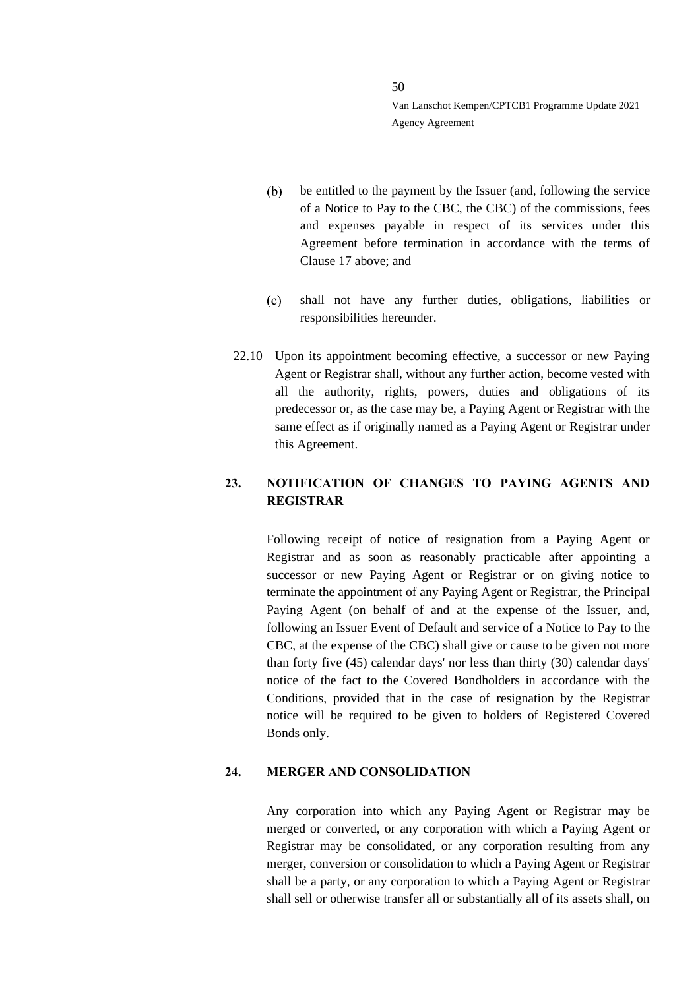- be entitled to the payment by the Issuer (and, following the service  $(b)$ of a Notice to Pay to the CBC, the CBC) of the commissions, fees and expenses payable in respect of its services under this Agreement before termination in accordance with the terms of Clause [17](#page-41-0) above; and
- $(c)$ shall not have any further duties, obligations, liabilities or responsibilities hereunder.
- 22.10 Upon its appointment becoming effective, a successor or new Paying Agent or Registrar shall, without any further action, become vested with all the authority, rights, powers, duties and obligations of its predecessor or, as the case may be, a Paying Agent or Registrar with the same effect as if originally named as a Paying Agent or Registrar under this Agreement.

# <span id="page-49-0"></span>**23. NOTIFICATION OF CHANGES TO PAYING AGENTS AND REGISTRAR**

Following receipt of notice of resignation from a Paying Agent or Registrar and as soon as reasonably practicable after appointing a successor or new Paying Agent or Registrar or on giving notice to terminate the appointment of any Paying Agent or Registrar, the Principal Paying Agent (on behalf of and at the expense of the Issuer, and, following an Issuer Event of Default and service of a Notice to Pay to the CBC, at the expense of the CBC) shall give or cause to be given not more than forty five (45) calendar days' nor less than thirty (30) calendar days' notice of the fact to the Covered Bondholders in accordance with the Conditions, provided that in the case of resignation by the Registrar notice will be required to be given to holders of Registered Covered Bonds only.

### **24. MERGER AND CONSOLIDATION**

Any corporation into which any Paying Agent or Registrar may be merged or converted, or any corporation with which a Paying Agent or Registrar may be consolidated, or any corporation resulting from any merger, conversion or consolidation to which a Paying Agent or Registrar shall be a party, or any corporation to which a Paying Agent or Registrar shall sell or otherwise transfer all or substantially all of its assets shall, on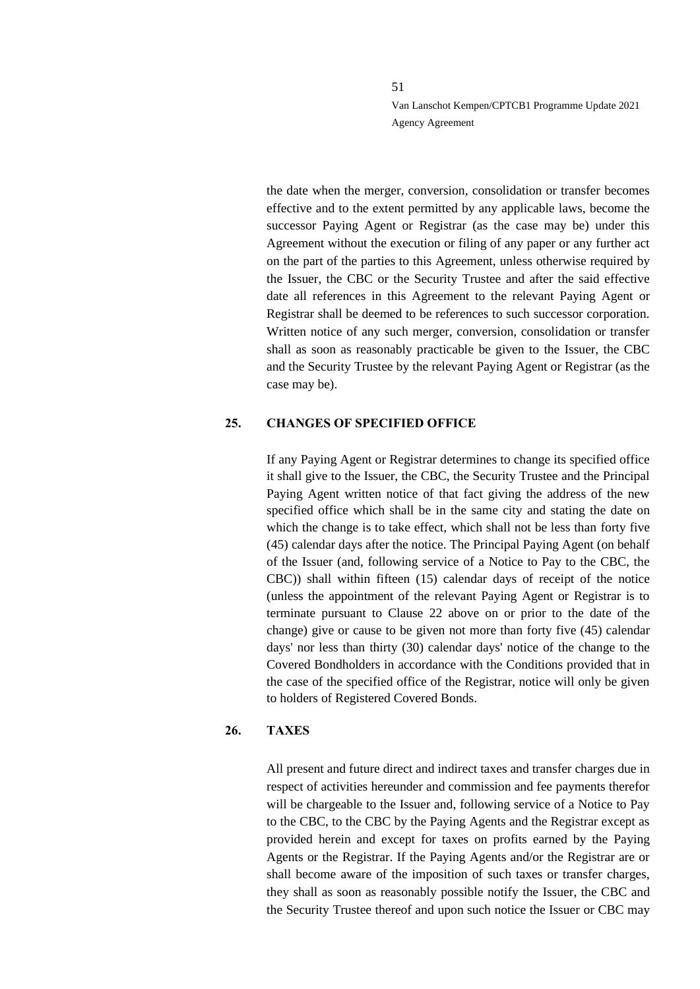the date when the merger, conversion, consolidation or transfer becomes effective and to the extent permitted by any applicable laws, become the successor Paying Agent or Registrar (as the case may be) under this Agreement without the execution or filing of any paper or any further act on the part of the parties to this Agreement, unless otherwise required by the Issuer, the CBC or the Security Trustee and after the said effective date all references in this Agreement to the relevant Paying Agent or Registrar shall be deemed to be references to such successor corporation. Written notice of any such merger, conversion, consolidation or transfer shall as soon as reasonably practicable be given to the Issuer, the CBC and the Security Trustee by the relevant Paying Agent or Registrar (as the case may be).

### **25. CHANGES OF SPECIFIED OFFICE**

If any Paying Agent or Registrar determines to change its specified office it shall give to the Issuer, the CBC, the Security Trustee and the Principal Paying Agent written notice of that fact giving the address of the new specified office which shall be in the same city and stating the date on which the change is to take effect, which shall not be less than forty five (45) calendar days after the notice. The Principal Paying Agent (on behalf of the Issuer (and, following service of a Notice to Pay to the CBC, the CBC)) shall within fifteen (15) calendar days of receipt of the notice (unless the appointment of the relevant Paying Agent or Registrar is to terminate pursuant to Clause [22](#page-46-1) above on or prior to the date of the change) give or cause to be given not more than forty five (45) calendar days' nor less than thirty (30) calendar days' notice of the change to the Covered Bondholders in accordance with the Conditions provided that in the case of the specified office of the Registrar, notice will only be given to holders of Registered Covered Bonds.

#### **26. TAXES**

All present and future direct and indirect taxes and transfer charges due in respect of activities hereunder and commission and fee payments therefor will be chargeable to the Issuer and, following service of a Notice to Pay to the CBC, to the CBC by the Paying Agents and the Registrar except as provided herein and except for taxes on profits earned by the Paying Agents or the Registrar. If the Paying Agents and/or the Registrar are or shall become aware of the imposition of such taxes or transfer charges, they shall as soon as reasonably possible notify the Issuer, the CBC and the Security Trustee thereof and upon such notice the Issuer or CBC may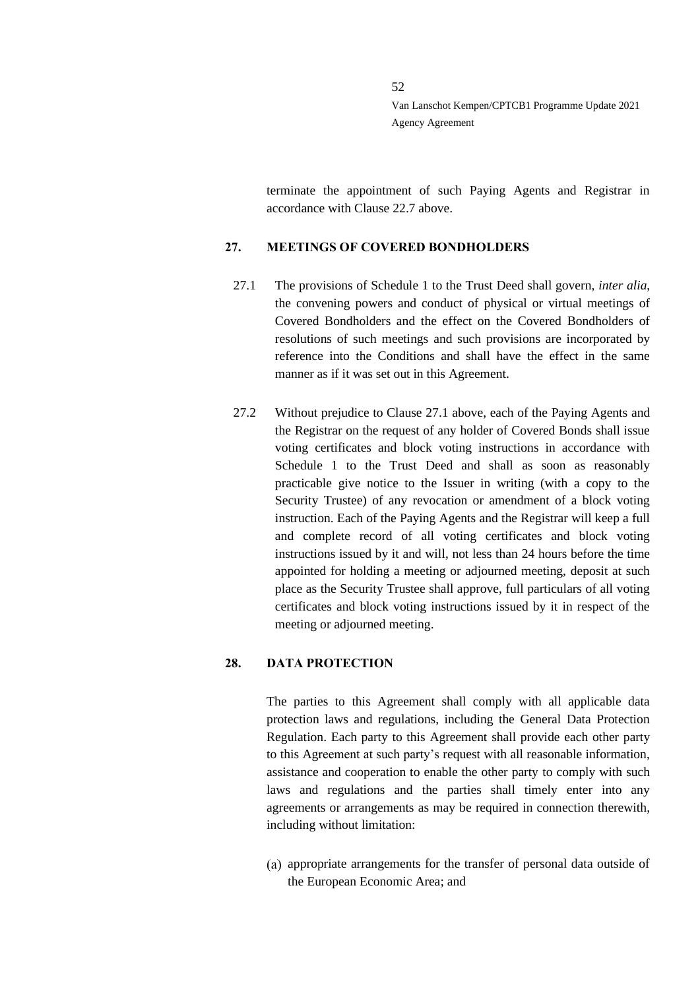terminate the appointment of such Paying Agents and Registrar in accordance with Clause [22.7](#page-48-1) above.

### **27. MEETINGS OF COVERED BONDHOLDERS**

- <span id="page-51-0"></span>27.1 The provisions of Schedule 1 to the Trust Deed shall govern, *inter alia*, the convening powers and conduct of physical or virtual meetings of Covered Bondholders and the effect on the Covered Bondholders of resolutions of such meetings and such provisions are incorporated by reference into the Conditions and shall have the effect in the same manner as if it was set out in this Agreement.
- 27.2 Without prejudice to Clause [27.1](#page-51-0) above, each of the Paying Agents and the Registrar on the request of any holder of Covered Bonds shall issue voting certificates and block voting instructions in accordance with Schedule 1 to the Trust Deed and shall as soon as reasonably practicable give notice to the Issuer in writing (with a copy to the Security Trustee) of any revocation or amendment of a block voting instruction. Each of the Paying Agents and the Registrar will keep a full and complete record of all voting certificates and block voting instructions issued by it and will, not less than 24 hours before the time appointed for holding a meeting or adjourned meeting, deposit at such place as the Security Trustee shall approve, full particulars of all voting certificates and block voting instructions issued by it in respect of the meeting or adjourned meeting.

### **28. DATA PROTECTION**

The parties to this Agreement shall comply with all applicable data protection laws and regulations, including the General Data Protection Regulation. Each party to this Agreement shall provide each other party to this Agreement at such party's request with all reasonable information, assistance and cooperation to enable the other party to comply with such laws and regulations and the parties shall timely enter into any agreements or arrangements as may be required in connection therewith, including without limitation:

appropriate arrangements for the transfer of personal data outside of the European Economic Area; and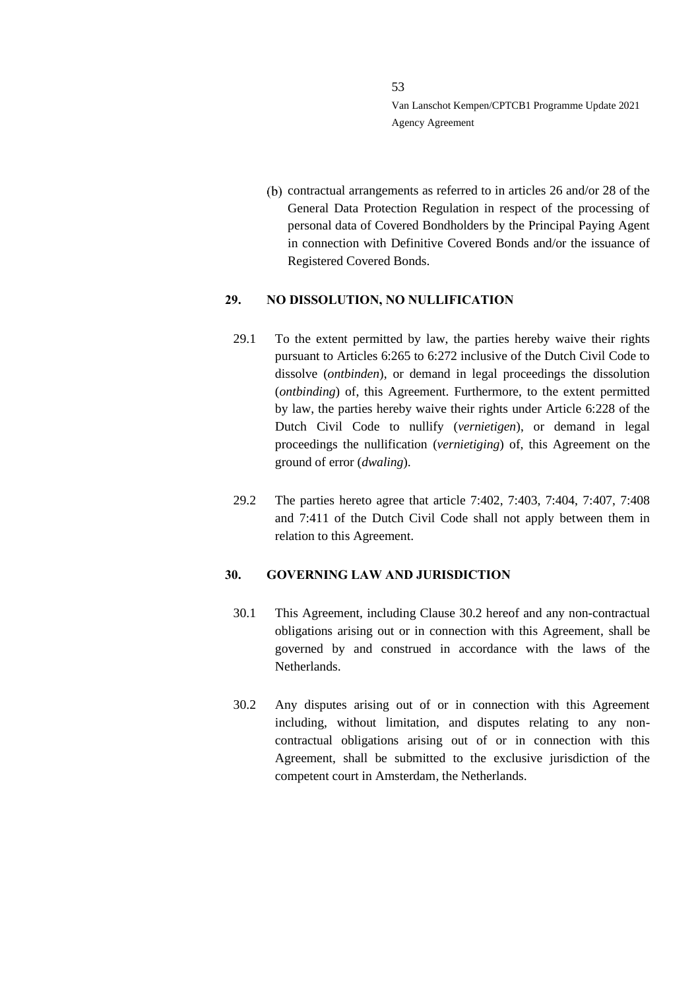$(b)$  contractual arrangements as referred to in articles 26 and/or 28 of the General Data Protection Regulation in respect of the processing of personal data of Covered Bondholders by the Principal Paying Agent in connection with Definitive Covered Bonds and/or the issuance of Registered Covered Bonds.

### **29. NO DISSOLUTION, NO NULLIFICATION**

- 29.1 To the extent permitted by law, the parties hereby waive their rights pursuant to Articles 6:265 to 6:272 inclusive of the Dutch Civil Code to dissolve (*ontbinden*), or demand in legal proceedings the dissolution (*ontbinding*) of, this Agreement. Furthermore, to the extent permitted by law, the parties hereby waive their rights under Article 6:228 of the Dutch Civil Code to nullify (*vernietigen*), or demand in legal proceedings the nullification (*vernietiging*) of, this Agreement on the ground of error (*dwaling*).
- 29.2 The parties hereto agree that article 7:402, 7:403, 7:404, 7:407, 7:408 and 7:411 of the Dutch Civil Code shall not apply between them in relation to this Agreement.

### **30. GOVERNING LAW AND JURISDICTION**

- 30.1 This Agreement, including Clause [30.2](#page-52-0) hereof and any non-contractual obligations arising out or in connection with this Agreement, shall be governed by and construed in accordance with the laws of the Netherlands.
- <span id="page-52-0"></span>30.2 Any disputes arising out of or in connection with this Agreement including, without limitation, and disputes relating to any noncontractual obligations arising out of or in connection with this Agreement, shall be submitted to the exclusive jurisdiction of the competent court in Amsterdam, the Netherlands.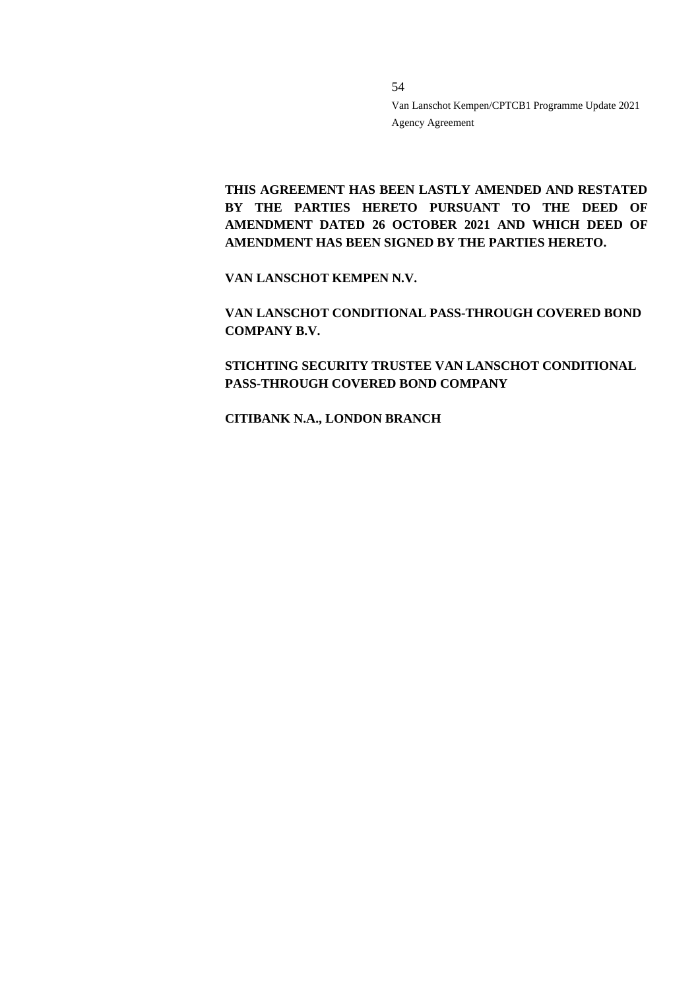**THIS AGREEMENT HAS BEEN LASTLY AMENDED AND RESTATED**  BY THE PARTIES HERETO PURSUANT TO THE DEED OF **AMENDMENT DATED 26 OCTOBER 2021 AND WHICH DEED OF AMENDMENT HAS BEEN SIGNED BY THE PARTIES HERETO.** 

54

**VAN LANSCHOT KEMPEN N.V.**

**VAN LANSCHOT CONDITIONAL PASS-THROUGH COVERED BOND COMPANY B.V.**

**STICHTING SECURITY TRUSTEE VAN LANSCHOT CONDITIONAL PASS-THROUGH COVERED BOND COMPANY**

**CITIBANK N.A., LONDON BRANCH**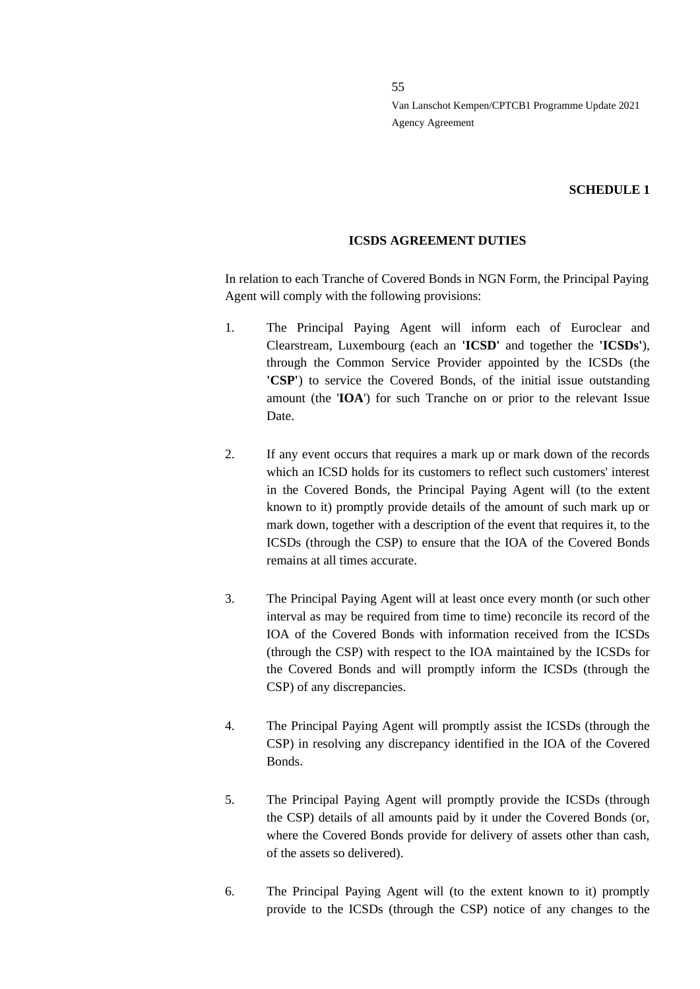#### **SCHEDULE 1**

#### **ICSDS AGREEMENT DUTIES**

In relation to each Tranche of Covered Bonds in NGN Form, the Principal Paying Agent will comply with the following provisions:

- 1. The Principal Paying Agent will inform each of Euroclear and Clearstream, Luxembourg (each an **'ICSD'** and together the **'ICSDs'**), through the Common Service Provider appointed by the ICSDs (the **'CSP'**) to service the Covered Bonds, of the initial issue outstanding amount (the '**IOA**') for such Tranche on or prior to the relevant Issue Date.
- 2. If any event occurs that requires a mark up or mark down of the records which an ICSD holds for its customers to reflect such customers' interest in the Covered Bonds, the Principal Paying Agent will (to the extent known to it) promptly provide details of the amount of such mark up or mark down, together with a description of the event that requires it, to the ICSDs (through the CSP) to ensure that the IOA of the Covered Bonds remains at all times accurate.
- 3. The Principal Paying Agent will at least once every month (or such other interval as may be required from time to time) reconcile its record of the IOA of the Covered Bonds with information received from the ICSDs (through the CSP) with respect to the IOA maintained by the ICSDs for the Covered Bonds and will promptly inform the ICSDs (through the CSP) of any discrepancies.
- 4. The Principal Paying Agent will promptly assist the ICSDs (through the CSP) in resolving any discrepancy identified in the IOA of the Covered Bonds.
- 5. The Principal Paying Agent will promptly provide the ICSDs (through the CSP) details of all amounts paid by it under the Covered Bonds (or, where the Covered Bonds provide for delivery of assets other than cash, of the assets so delivered).
- 6. The Principal Paying Agent will (to the extent known to it) promptly provide to the ICSDs (through the CSP) notice of any changes to the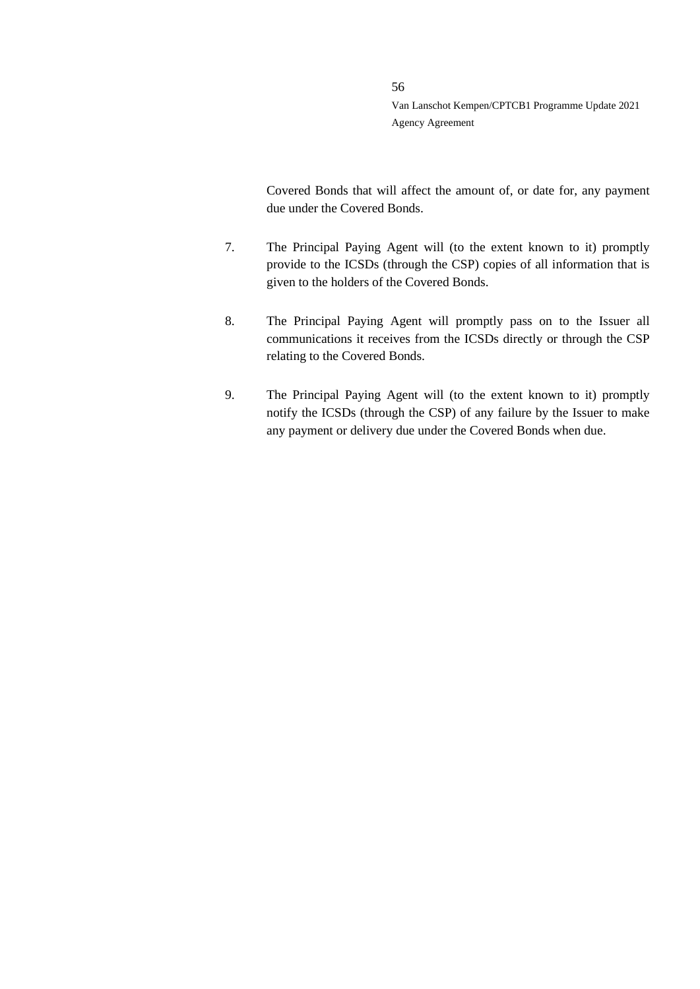Covered Bonds that will affect the amount of, or date for, any payment due under the Covered Bonds.

7. The Principal Paying Agent will (to the extent known to it) promptly provide to the ICSDs (through the CSP) copies of all information that is given to the holders of the Covered Bonds.

- 8. The Principal Paying Agent will promptly pass on to the Issuer all communications it receives from the ICSDs directly or through the CSP relating to the Covered Bonds.
- 9. The Principal Paying Agent will (to the extent known to it) promptly notify the ICSDs (through the CSP) of any failure by the Issuer to make any payment or delivery due under the Covered Bonds when due.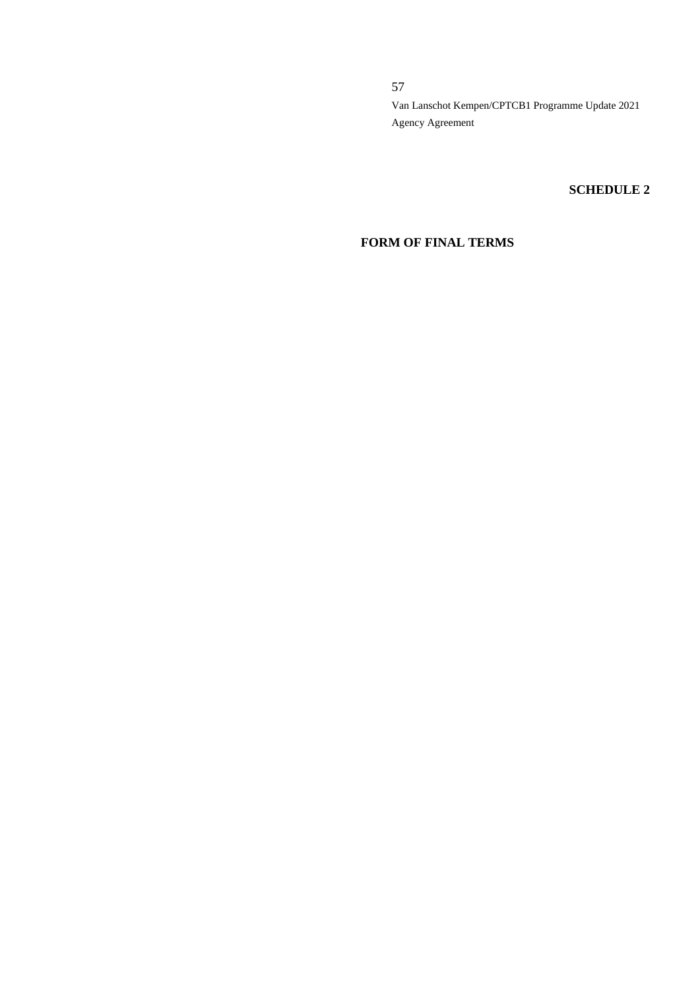### **SCHEDULE 2**

# **FORM OF FINAL TERMS**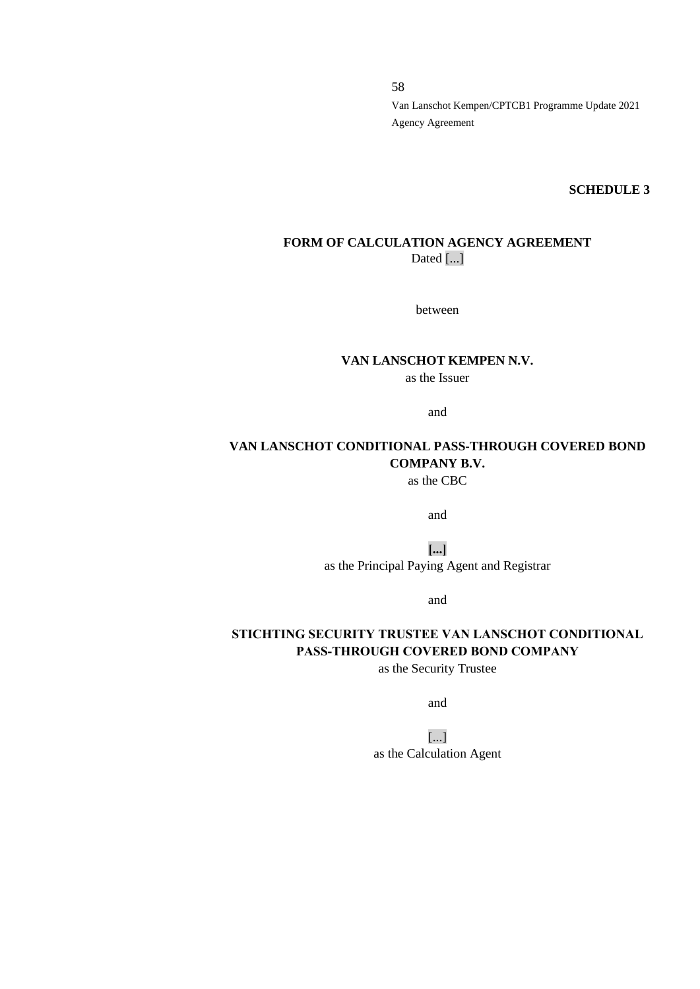**SCHEDULE 3**

### **FORM OF CALCULATION AGENCY AGREEMENT** Dated [...]

between

### **VAN LANSCHOT KEMPEN N.V.** as the Issuer

and

# **VAN LANSCHOT CONDITIONAL PASS-THROUGH COVERED BOND COMPANY B.V.**

as the CBC

and

**[...]** as the Principal Paying Agent and Registrar

and

# **STICHTING SECURITY TRUSTEE VAN LANSCHOT CONDITIONAL PASS-THROUGH COVERED BOND COMPANY**

as the Security Trustee

and

[...] as the Calculation Agent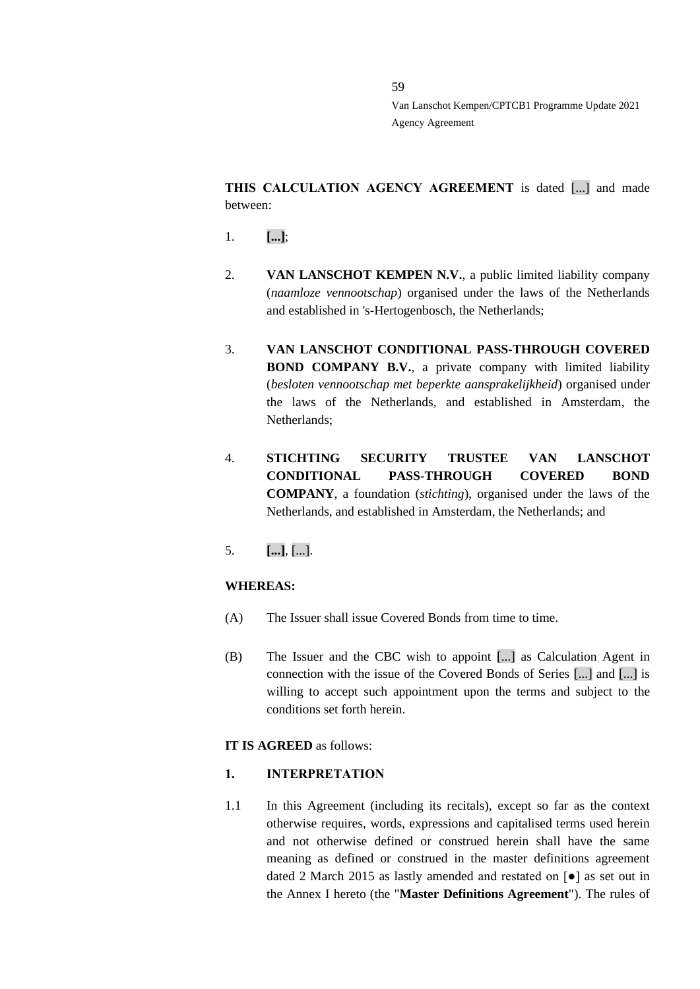**THIS CALCULATION AGENCY AGREEMENT** is dated [...] and made between:

- 1. **[...]**;
- 2. **VAN LANSCHOT KEMPEN N.V.**, a public limited liability company (*naamloze vennootschap*) organised under the laws of the Netherlands and established in 's-Hertogenbosch, the Netherlands;
- 3. **VAN LANSCHOT CONDITIONAL PASS-THROUGH COVERED BOND COMPANY B.V.**, a private company with limited liability (*besloten vennootschap met beperkte aansprakelijkheid*) organised under the laws of the Netherlands, and established in Amsterdam, the Netherlands;
- 4. **STICHTING SECURITY TRUSTEE VAN LANSCHOT CONDITIONAL PASS-THROUGH COVERED BOND COMPANY**, a foundation (*stichting*), organised under the laws of the Netherlands, and established in Amsterdam, the Netherlands; and
- 5. **[...]**, [...].

### **WHEREAS:**

- (A) The Issuer shall issue Covered Bonds from time to time.
- (B) The Issuer and the CBC wish to appoint [...] as Calculation Agent in connection with the issue of the Covered Bonds of Series [...] and [...] is willing to accept such appointment upon the terms and subject to the conditions set forth herein.

#### **IT IS AGREED** as follows:

#### **1. INTERPRETATION**

1.1 In this Agreement (including its recitals), except so far as the context otherwise requires, words, expressions and capitalised terms used herein and not otherwise defined or construed herein shall have the same meaning as defined or construed in the master definitions agreement dated 2 March 2015 as lastly amended and restated on [●] as set out in the Annex I hereto (the "**Master Definitions Agreement**"). The rules of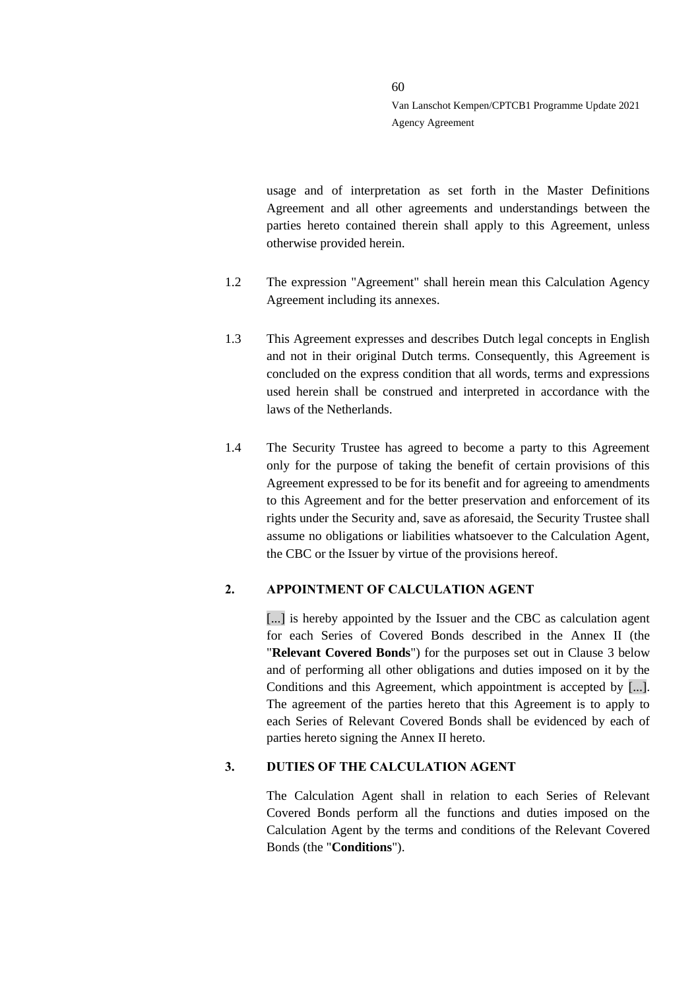usage and of interpretation as set forth in the Master Definitions Agreement and all other agreements and understandings between the parties hereto contained therein shall apply to this Agreement, unless otherwise provided herein.

- 1.2 The expression "Agreement" shall herein mean this Calculation Agency Agreement including its annexes.
- 1.3 This Agreement expresses and describes Dutch legal concepts in English and not in their original Dutch terms. Consequently, this Agreement is concluded on the express condition that all words, terms and expressions used herein shall be construed and interpreted in accordance with the laws of the Netherlands.
- 1.4 The Security Trustee has agreed to become a party to this Agreement only for the purpose of taking the benefit of certain provisions of this Agreement expressed to be for its benefit and for agreeing to amendments to this Agreement and for the better preservation and enforcement of its rights under the Security and, save as aforesaid, the Security Trustee shall assume no obligations or liabilities whatsoever to the Calculation Agent, the CBC or the Issuer by virtue of the provisions hereof.

### **2. APPOINTMENT OF CALCULATION AGENT**

[...] is hereby appointed by the Issuer and the CBC as calculation agent for each Series of Covered Bonds described in the Annex II (the "**Relevant Covered Bonds**") for the purposes set out in Clause [3](#page-59-0) below and of performing all other obligations and duties imposed on it by the Conditions and this Agreement, which appointment is accepted by [...]. The agreement of the parties hereto that this Agreement is to apply to each Series of Relevant Covered Bonds shall be evidenced by each of parties hereto signing the Annex II hereto.

# <span id="page-59-0"></span>**3. DUTIES OF THE CALCULATION AGENT**

The Calculation Agent shall in relation to each Series of Relevant Covered Bonds perform all the functions and duties imposed on the Calculation Agent by the terms and conditions of the Relevant Covered Bonds (the "**Conditions**").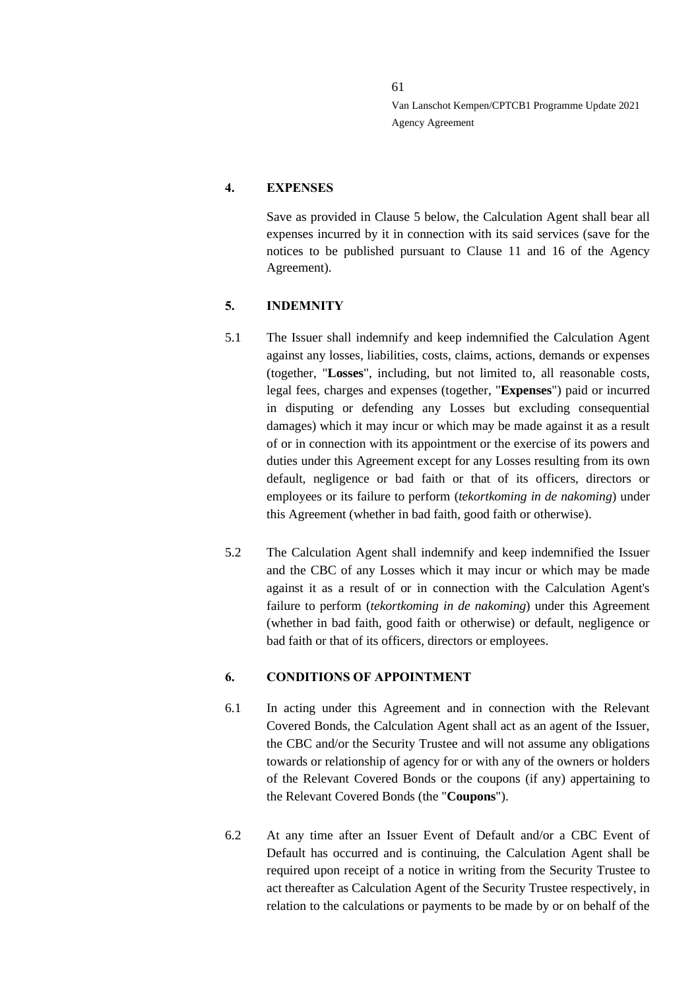### **4. EXPENSES**

Save as provided in Clause [5](#page-60-0) below, the Calculation Agent shall bear all expenses incurred by it in connection with its said services (save for the notices to be published pursuant to Clause 11 and 16 of the Agency Agreement).

### <span id="page-60-0"></span>**5. INDEMNITY**

- 5.1 The Issuer shall indemnify and keep indemnified the Calculation Agent against any losses, liabilities, costs, claims, actions, demands or expenses (together, "**Losses**", including, but not limited to, all reasonable costs, legal fees, charges and expenses (together, "**Expenses**") paid or incurred in disputing or defending any Losses but excluding consequential damages) which it may incur or which may be made against it as a result of or in connection with its appointment or the exercise of its powers and duties under this Agreement except for any Losses resulting from its own default, negligence or bad faith or that of its officers, directors or employees or its failure to perform (*tekortkoming in de nakoming*) under this Agreement (whether in bad faith, good faith or otherwise).
- 5.2 The Calculation Agent shall indemnify and keep indemnified the Issuer and the CBC of any Losses which it may incur or which may be made against it as a result of or in connection with the Calculation Agent's failure to perform (*tekortkoming in de nakoming*) under this Agreement (whether in bad faith, good faith or otherwise) or default, negligence or bad faith or that of its officers, directors or employees.

### **6. CONDITIONS OF APPOINTMENT**

- 6.1 In acting under this Agreement and in connection with the Relevant Covered Bonds, the Calculation Agent shall act as an agent of the Issuer, the CBC and/or the Security Trustee and will not assume any obligations towards or relationship of agency for or with any of the owners or holders of the Relevant Covered Bonds or the coupons (if any) appertaining to the Relevant Covered Bonds (the "**Coupons**").
- 6.2 At any time after an Issuer Event of Default and/or a CBC Event of Default has occurred and is continuing, the Calculation Agent shall be required upon receipt of a notice in writing from the Security Trustee to act thereafter as Calculation Agent of the Security Trustee respectively, in relation to the calculations or payments to be made by or on behalf of the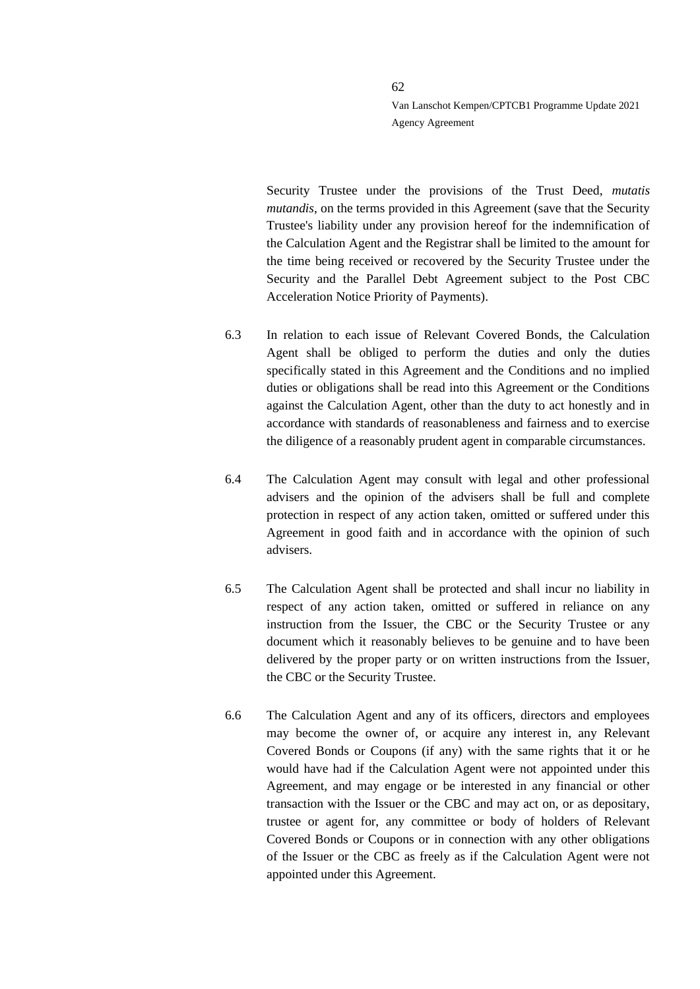Security Trustee under the provisions of the Trust Deed, *mutatis mutandis*, on the terms provided in this Agreement (save that the Security Trustee's liability under any provision hereof for the indemnification of the Calculation Agent and the Registrar shall be limited to the amount for the time being received or recovered by the Security Trustee under the Security and the Parallel Debt Agreement subject to the Post CBC Acceleration Notice Priority of Payments).

- 6.3 In relation to each issue of Relevant Covered Bonds, the Calculation Agent shall be obliged to perform the duties and only the duties specifically stated in this Agreement and the Conditions and no implied duties or obligations shall be read into this Agreement or the Conditions against the Calculation Agent, other than the duty to act honestly and in accordance with standards of reasonableness and fairness and to exercise the diligence of a reasonably prudent agent in comparable circumstances.
- 6.4 The Calculation Agent may consult with legal and other professional advisers and the opinion of the advisers shall be full and complete protection in respect of any action taken, omitted or suffered under this Agreement in good faith and in accordance with the opinion of such advisers.
- 6.5 The Calculation Agent shall be protected and shall incur no liability in respect of any action taken, omitted or suffered in reliance on any instruction from the Issuer, the CBC or the Security Trustee or any document which it reasonably believes to be genuine and to have been delivered by the proper party or on written instructions from the Issuer, the CBC or the Security Trustee.
- 6.6 The Calculation Agent and any of its officers, directors and employees may become the owner of, or acquire any interest in, any Relevant Covered Bonds or Coupons (if any) with the same rights that it or he would have had if the Calculation Agent were not appointed under this Agreement, and may engage or be interested in any financial or other transaction with the Issuer or the CBC and may act on, or as depositary, trustee or agent for, any committee or body of holders of Relevant Covered Bonds or Coupons or in connection with any other obligations of the Issuer or the CBC as freely as if the Calculation Agent were not appointed under this Agreement.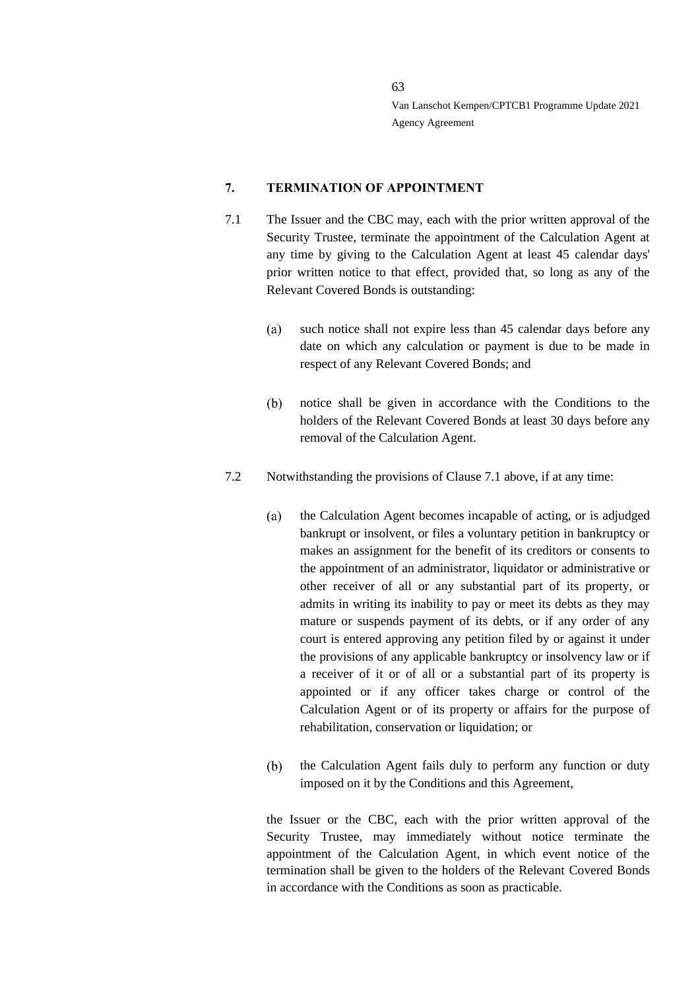### **7. TERMINATION OF APPOINTMENT**

- 7.1 The Issuer and the CBC may, each with the prior written approval of the Security Trustee, terminate the appointment of the Calculation Agent at any time by giving to the Calculation Agent at least 45 calendar days' prior written notice to that effect, provided that, so long as any of the Relevant Covered Bonds is outstanding:
	- $(a)$ such notice shall not expire less than 45 calendar days before any date on which any calculation or payment is due to be made in respect of any Relevant Covered Bonds; and
	- notice shall be given in accordance with the Conditions to the  $(b)$ holders of the Relevant Covered Bonds at least 30 days before any removal of the Calculation Agent.
- 7.2 Notwithstanding the provisions of Clause 7.1 above, if at any time:
	- the Calculation Agent becomes incapable of acting, or is adjudged  $(a)$ bankrupt or insolvent, or files a voluntary petition in bankruptcy or makes an assignment for the benefit of its creditors or consents to the appointment of an administrator, liquidator or administrative or other receiver of all or any substantial part of its property, or admits in writing its inability to pay or meet its debts as they may mature or suspends payment of its debts, or if any order of any court is entered approving any petition filed by or against it under the provisions of any applicable bankruptcy or insolvency law or if a receiver of it or of all or a substantial part of its property is appointed or if any officer takes charge or control of the Calculation Agent or of its property or affairs for the purpose of rehabilitation, conservation or liquidation; or
	- the Calculation Agent fails duly to perform any function or duty  $(b)$ imposed on it by the Conditions and this Agreement,

the Issuer or the CBC, each with the prior written approval of the Security Trustee, may immediately without notice terminate the appointment of the Calculation Agent, in which event notice of the termination shall be given to the holders of the Relevant Covered Bonds in accordance with the Conditions as soon as practicable.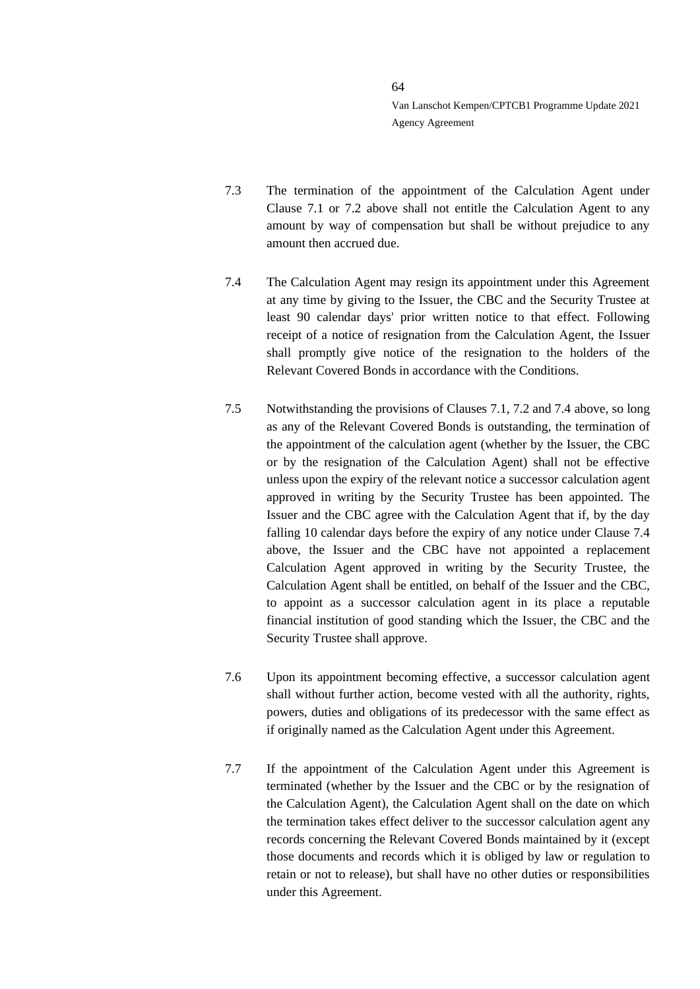- 7.3 The termination of the appointment of the Calculation Agent under Clause 7.1 or 7.2 above shall not entitle the Calculation Agent to any amount by way of compensation but shall be without prejudice to any amount then accrued due.
- 7.4 The Calculation Agent may resign its appointment under this Agreement at any time by giving to the Issuer, the CBC and the Security Trustee at least 90 calendar days' prior written notice to that effect. Following receipt of a notice of resignation from the Calculation Agent, the Issuer shall promptly give notice of the resignation to the holders of the Relevant Covered Bonds in accordance with the Conditions.
- 7.5 Notwithstanding the provisions of Clauses 7.1, 7.2 and 7.4 above, so long as any of the Relevant Covered Bonds is outstanding, the termination of the appointment of the calculation agent (whether by the Issuer, the CBC or by the resignation of the Calculation Agent) shall not be effective unless upon the expiry of the relevant notice a successor calculation agent approved in writing by the Security Trustee has been appointed. The Issuer and the CBC agree with the Calculation Agent that if, by the day falling 10 calendar days before the expiry of any notice under Clause 7.4 above, the Issuer and the CBC have not appointed a replacement Calculation Agent approved in writing by the Security Trustee, the Calculation Agent shall be entitled, on behalf of the Issuer and the CBC, to appoint as a successor calculation agent in its place a reputable financial institution of good standing which the Issuer, the CBC and the Security Trustee shall approve.
- 7.6 Upon its appointment becoming effective, a successor calculation agent shall without further action, become vested with all the authority, rights, powers, duties and obligations of its predecessor with the same effect as if originally named as the Calculation Agent under this Agreement.
- 7.7 If the appointment of the Calculation Agent under this Agreement is terminated (whether by the Issuer and the CBC or by the resignation of the Calculation Agent), the Calculation Agent shall on the date on which the termination takes effect deliver to the successor calculation agent any records concerning the Relevant Covered Bonds maintained by it (except those documents and records which it is obliged by law or regulation to retain or not to release), but shall have no other duties or responsibilities under this Agreement.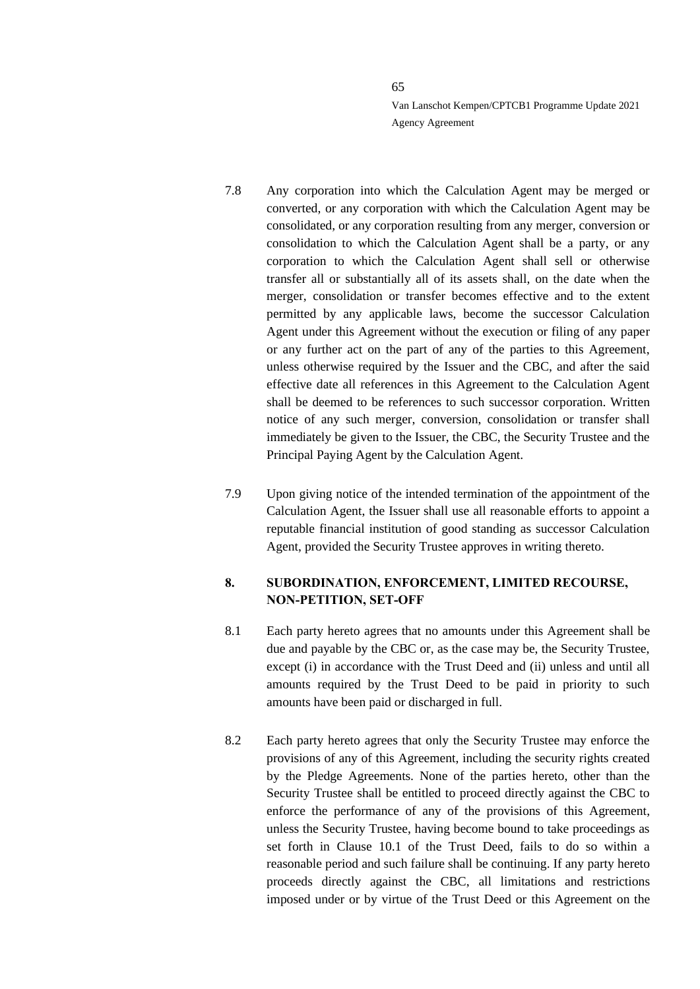- 7.8 Any corporation into which the Calculation Agent may be merged or converted, or any corporation with which the Calculation Agent may be consolidated, or any corporation resulting from any merger, conversion or consolidation to which the Calculation Agent shall be a party, or any corporation to which the Calculation Agent shall sell or otherwise transfer all or substantially all of its assets shall, on the date when the merger, consolidation or transfer becomes effective and to the extent permitted by any applicable laws, become the successor Calculation Agent under this Agreement without the execution or filing of any paper or any further act on the part of any of the parties to this Agreement, unless otherwise required by the Issuer and the CBC, and after the said effective date all references in this Agreement to the Calculation Agent shall be deemed to be references to such successor corporation. Written notice of any such merger, conversion, consolidation or transfer shall immediately be given to the Issuer, the CBC, the Security Trustee and the Principal Paying Agent by the Calculation Agent.
- 7.9 Upon giving notice of the intended termination of the appointment of the Calculation Agent, the Issuer shall use all reasonable efforts to appoint a reputable financial institution of good standing as successor Calculation Agent, provided the Security Trustee approves in writing thereto.

# **8. SUBORDINATION, ENFORCEMENT, LIMITED RECOURSE, NON-PETITION, SET-OFF**

- 8.1 Each party hereto agrees that no amounts under this Agreement shall be due and payable by the CBC or, as the case may be, the Security Trustee, except (i) in accordance with the Trust Deed and (ii) unless and until all amounts required by the Trust Deed to be paid in priority to such amounts have been paid or discharged in full.
- 8.2 Each party hereto agrees that only the Security Trustee may enforce the provisions of any of this Agreement, including the security rights created by the Pledge Agreements. None of the parties hereto, other than the Security Trustee shall be entitled to proceed directly against the CBC to enforce the performance of any of the provisions of this Agreement, unless the Security Trustee, having become bound to take proceedings as set forth in Clause 10.1 of the Trust Deed, fails to do so within a reasonable period and such failure shall be continuing. If any party hereto proceeds directly against the CBC, all limitations and restrictions imposed under or by virtue of the Trust Deed or this Agreement on the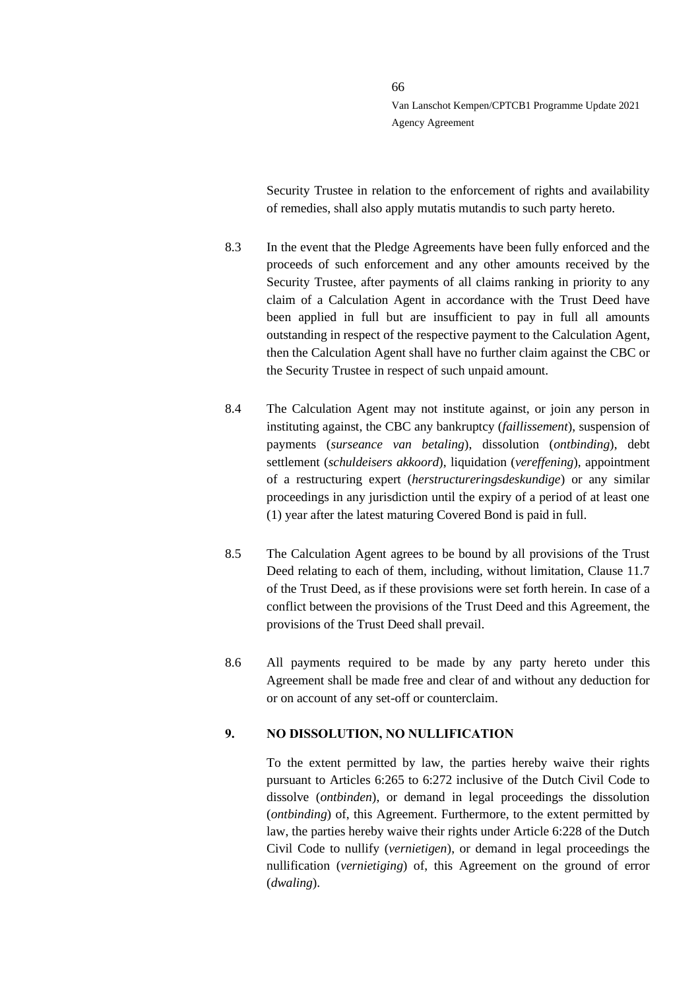Security Trustee in relation to the enforcement of rights and availability of remedies, shall also apply mutatis mutandis to such party hereto.

- 8.3 In the event that the Pledge Agreements have been fully enforced and the proceeds of such enforcement and any other amounts received by the Security Trustee, after payments of all claims ranking in priority to any claim of a Calculation Agent in accordance with the Trust Deed have been applied in full but are insufficient to pay in full all amounts outstanding in respect of the respective payment to the Calculation Agent, then the Calculation Agent shall have no further claim against the CBC or the Security Trustee in respect of such unpaid amount.
- 8.4 The Calculation Agent may not institute against, or join any person in instituting against, the CBC any bankruptcy (*faillissement*), suspension of payments (*surseance van betaling*), dissolution (*ontbinding*), debt settlement (*schuldeisers akkoord*), liquidation (*vereffening*), appointment of a restructuring expert (*herstructureringsdeskundige*) or any similar proceedings in any jurisdiction until the expiry of a period of at least one (1) year after the latest maturing Covered Bond is paid in full.
- 8.5 The Calculation Agent agrees to be bound by all provisions of the Trust Deed relating to each of them, including, without limitation, Clause 11.7 of the Trust Deed, as if these provisions were set forth herein. In case of a conflict between the provisions of the Trust Deed and this Agreement, the provisions of the Trust Deed shall prevail.
- 8.6 All payments required to be made by any party hereto under this Agreement shall be made free and clear of and without any deduction for or on account of any set-off or counterclaim.

### **9. NO DISSOLUTION, NO NULLIFICATION**

To the extent permitted by law, the parties hereby waive their rights pursuant to Articles 6:265 to 6:272 inclusive of the Dutch Civil Code to dissolve (*ontbinden*), or demand in legal proceedings the dissolution (*ontbinding*) of, this Agreement. Furthermore, to the extent permitted by law, the parties hereby waive their rights under Article 6:228 of the Dutch Civil Code to nullify (*vernietigen*), or demand in legal proceedings the nullification (*vernietiging*) of, this Agreement on the ground of error (*dwaling*).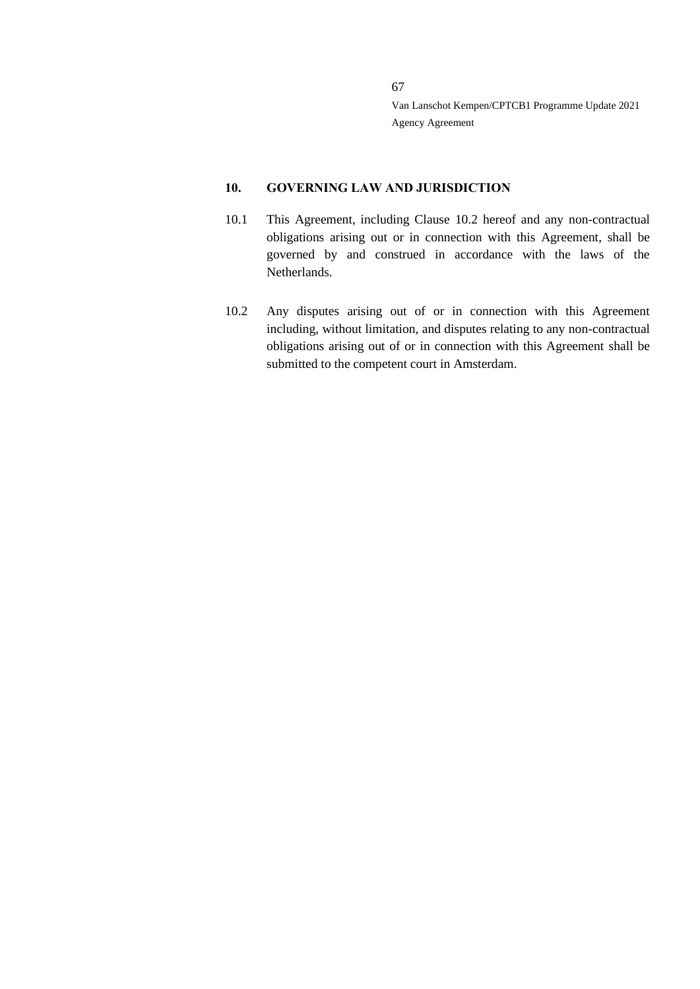#### **10. GOVERNING LAW AND JURISDICTION**

- 10.1 This Agreement, including Clause 10.2 hereof and any non-contractual obligations arising out or in connection with this Agreement, shall be governed by and construed in accordance with the laws of the Netherlands.
- 10.2 Any disputes arising out of or in connection with this Agreement including, without limitation, and disputes relating to any non-contractual obligations arising out of or in connection with this Agreement shall be submitted to the competent court in Amsterdam.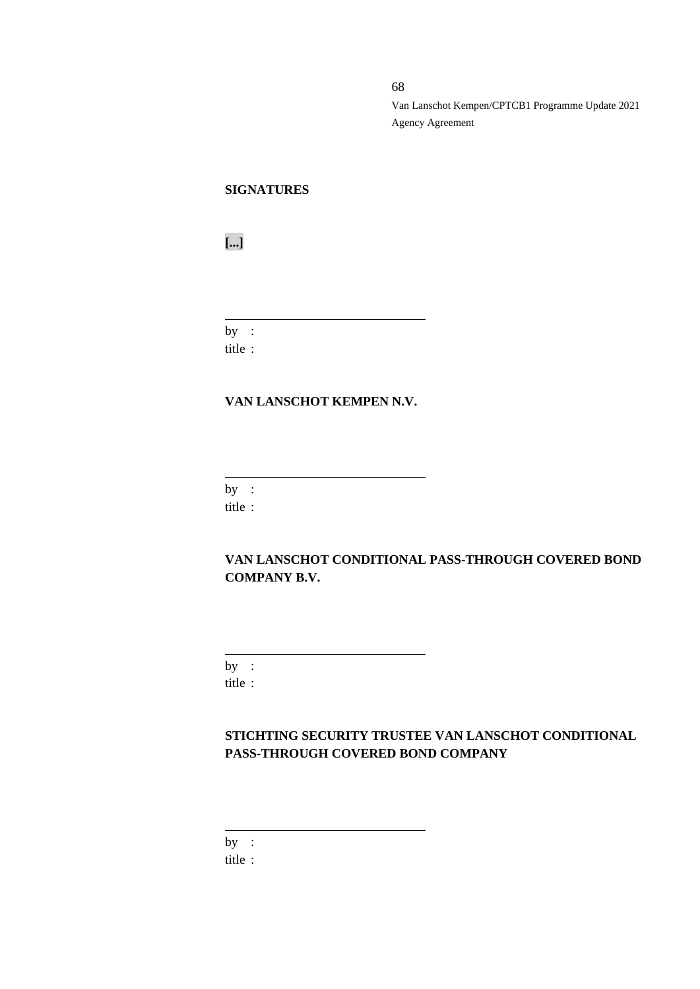# **SIGNATURES**

**[...]**

by : title :

#### **VAN LANSCHOT KEMPEN N.V.**

 $by:$ 

title :

# **VAN LANSCHOT CONDITIONAL PASS-THROUGH COVERED BOND COMPANY B.V.**

by : title :

# **STICHTING SECURITY TRUSTEE VAN LANSCHOT CONDITIONAL PASS-THROUGH COVERED BOND COMPANY**

by :

title :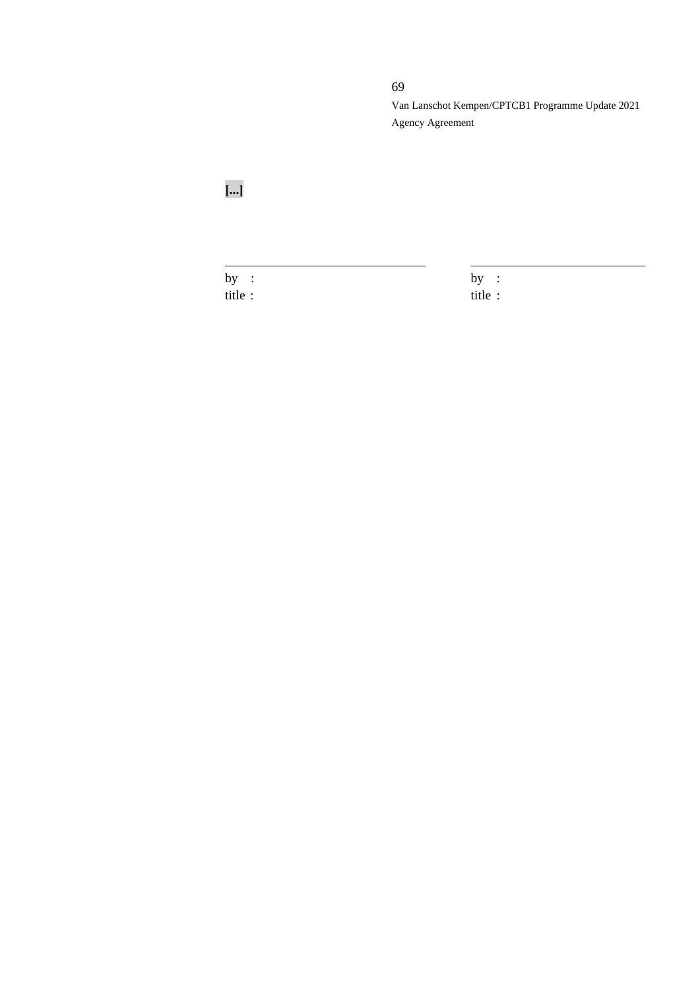69

Van Lanschot Kempen/CPTCB1 Programme Update 2021 Agency Agreement

**[...]**

title : title :

by :  $by$  :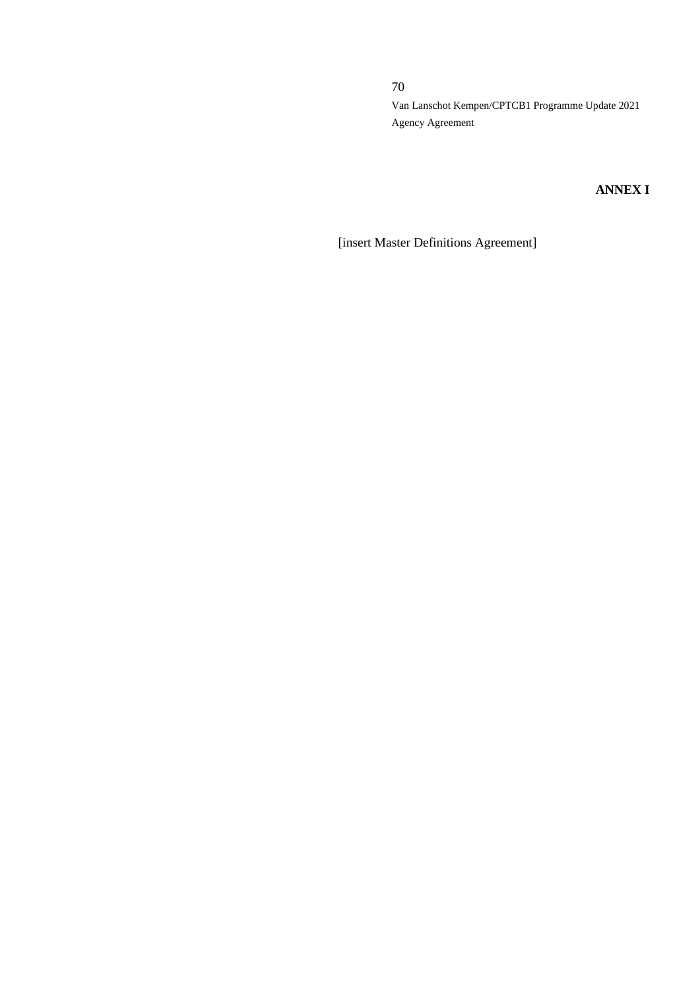# **ANNEX I**

[insert Master Definitions Agreement]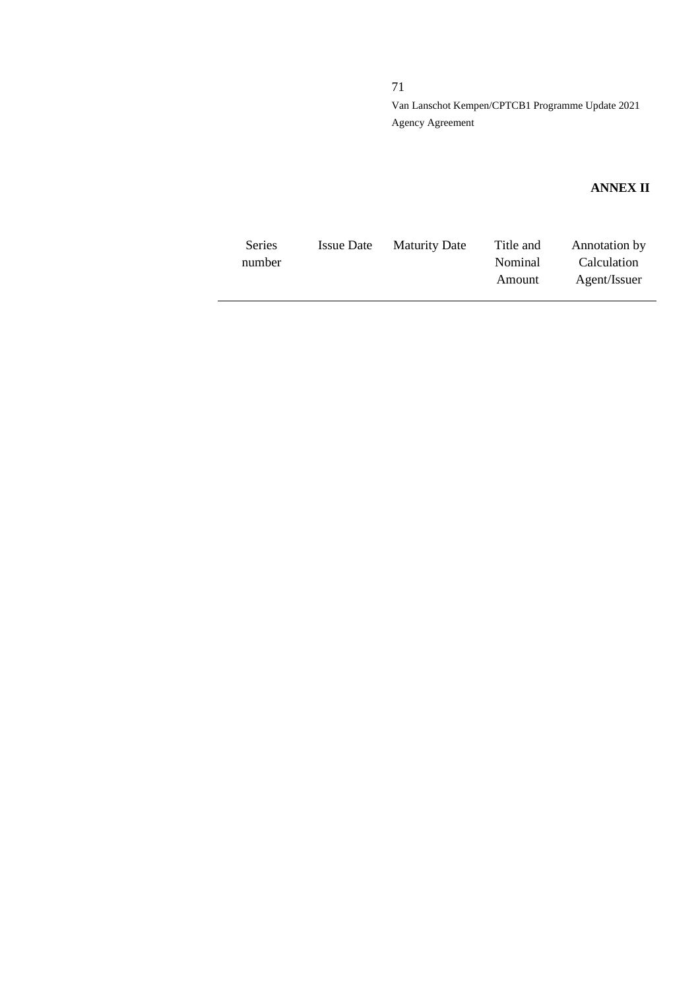# **ANNEX II**

| <b>Series</b> | Issue Date | <b>Maturity Date</b> | Title and      | Annotation by |
|---------------|------------|----------------------|----------------|---------------|
| number        |            |                      | <b>Nominal</b> | Calculation   |
|               |            |                      | Amount         | Agent/Issuer  |